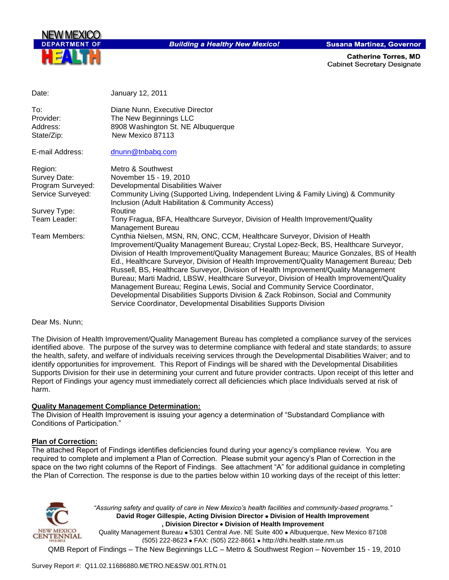

**Building a Healthy New Mexico!** 

**Susana Martinez, Governor** 

**Catherine Torres, MD Cabinet Secretary Designate** 

| Date:                                      | January 12, 2011                                                                                                                                                                                                                                                                                                                                                                                                                                                                                                                                                                                                                                                                                                                                                                     |
|--------------------------------------------|--------------------------------------------------------------------------------------------------------------------------------------------------------------------------------------------------------------------------------------------------------------------------------------------------------------------------------------------------------------------------------------------------------------------------------------------------------------------------------------------------------------------------------------------------------------------------------------------------------------------------------------------------------------------------------------------------------------------------------------------------------------------------------------|
| To:<br>Provider:<br>Address:<br>State/Zip: | Diane Nunn, Executive Director<br>The New Beginnings LLC<br>8908 Washington St. NE Albuquerque<br>New Mexico 87113                                                                                                                                                                                                                                                                                                                                                                                                                                                                                                                                                                                                                                                                   |
| E-mail Address:                            | dnunn@tnbabg.com                                                                                                                                                                                                                                                                                                                                                                                                                                                                                                                                                                                                                                                                                                                                                                     |
| Region:                                    | Metro & Southwest                                                                                                                                                                                                                                                                                                                                                                                                                                                                                                                                                                                                                                                                                                                                                                    |
| Survey Date:                               | November 15 - 19, 2010                                                                                                                                                                                                                                                                                                                                                                                                                                                                                                                                                                                                                                                                                                                                                               |
| Program Surveyed:                          | Developmental Disabilities Waiver                                                                                                                                                                                                                                                                                                                                                                                                                                                                                                                                                                                                                                                                                                                                                    |
| Service Surveyed:                          | Community Living (Supported Living, Independent Living & Family Living) & Community<br>Inclusion (Adult Habilitation & Community Access)                                                                                                                                                                                                                                                                                                                                                                                                                                                                                                                                                                                                                                             |
| Survey Type:                               | Routine                                                                                                                                                                                                                                                                                                                                                                                                                                                                                                                                                                                                                                                                                                                                                                              |
| Team Leader:                               | Tony Fragua, BFA, Healthcare Surveyor, Division of Health Improvement/Quality<br>Management Bureau                                                                                                                                                                                                                                                                                                                                                                                                                                                                                                                                                                                                                                                                                   |
| Team Members:                              | Cynthia Nielsen, MSN, RN, ONC, CCM, Healthcare Surveyor, Division of Health<br>Improvement/Quality Management Bureau; Crystal Lopez-Beck, BS, Healthcare Surveyor,<br>Division of Health Improvement/Quality Management Bureau; Maurice Gonzales, BS of Health<br>Ed., Healthcare Surveyor, Division of Health Improvement/Quality Management Bureau; Deb<br>Russell, BS, Healthcare Surveyor, Division of Health Improvement/Quality Management<br>Bureau; Marti Madrid, LBSW, Healthcare Surveyor, Division of Health Improvement/Quality<br>Management Bureau; Regina Lewis, Social and Community Service Coordinator,<br>Developmental Disabilities Supports Division & Zack Robinson, Social and Community<br>Service Coordinator, Developmental Disabilities Supports Division |

#### Dear Ms. Nunn;

The Division of Health Improvement/Quality Management Bureau has completed a compliance survey of the services identified above. The purpose of the survey was to determine compliance with federal and state standards; to assure the health, safety, and welfare of individuals receiving services through the Developmental Disabilities Waiver; and to identify opportunities for improvement. This Report of Findings will be shared with the Developmental Disabilities Supports Division for their use in determining your current and future provider contracts. Upon receipt of this letter and Report of Findings your agency must immediately correct all deficiencies which place Individuals served at risk of harm.

# **Quality Management Compliance Determination:**

The Division of Health Improvement is issuing your agency a determination of "Substandard Compliance with Conditions of Participation."

#### **Plan of Correction:**

The attached Report of Findings identifies deficiencies found during your agency"s compliance review. You are required to complete and implement a Plan of Correction. Please submit your agency"s Plan of Correction in the space on the two right columns of the Report of Findings. See attachment "A" for additional guidance in completing the Plan of Correction. The response is due to the parties below within 10 working days of the receipt of this letter:



*"Assuring safety and quality of care in New Mexico's health facilities and community-based programs."* **David Roger Gillespie, Acting Division Director Division of Health Improvement , Division Director Division of Health Improvement** 

Quality Management Bureau • 5301 Central Ave. NE Suite 400 • Albuquerque, New Mexico 87108 (505) 222-8623 • FAX: (505) 222-8661 • http://dhi.health.state.nm.us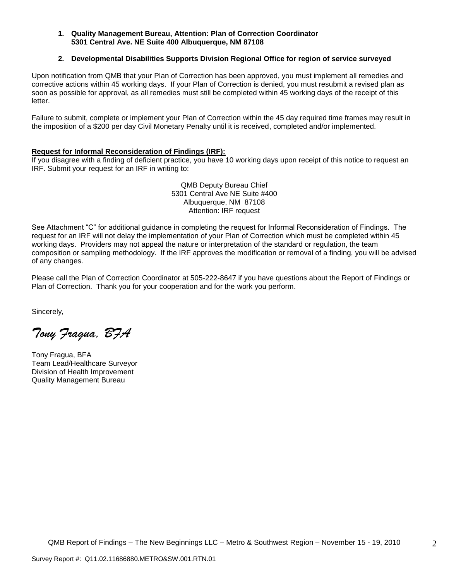#### **1. Quality Management Bureau, Attention: Plan of Correction Coordinator 5301 Central Ave. NE Suite 400 Albuquerque, NM 87108**

## **2. Developmental Disabilities Supports Division Regional Office for region of service surveyed**

Upon notification from QMB that your Plan of Correction has been approved, you must implement all remedies and corrective actions within 45 working days. If your Plan of Correction is denied, you must resubmit a revised plan as soon as possible for approval, as all remedies must still be completed within 45 working days of the receipt of this letter.

Failure to submit, complete or implement your Plan of Correction within the 45 day required time frames may result in the imposition of a \$200 per day Civil Monetary Penalty until it is received, completed and/or implemented.

#### **Request for Informal Reconsideration of Findings (IRF):**

If you disagree with a finding of deficient practice, you have 10 working days upon receipt of this notice to request an IRF. Submit your request for an IRF in writing to:

> QMB Deputy Bureau Chief 5301 Central Ave NE Suite #400 Albuquerque, NM 87108 Attention: IRF request

See Attachment "C" for additional guidance in completing the request for Informal Reconsideration of Findings. The request for an IRF will not delay the implementation of your Plan of Correction which must be completed within 45 working days. Providers may not appeal the nature or interpretation of the standard or regulation, the team composition or sampling methodology. If the IRF approves the modification or removal of a finding, you will be advised of any changes.

Please call the Plan of Correction Coordinator at 505-222-8647 if you have questions about the Report of Findings or Plan of Correction. Thank you for your cooperation and for the work you perform.

Sincerely,

*Tony Fragua, BFA*

Tony Fragua, BFA Team Lead/Healthcare Surveyor Division of Health Improvement Quality Management Bureau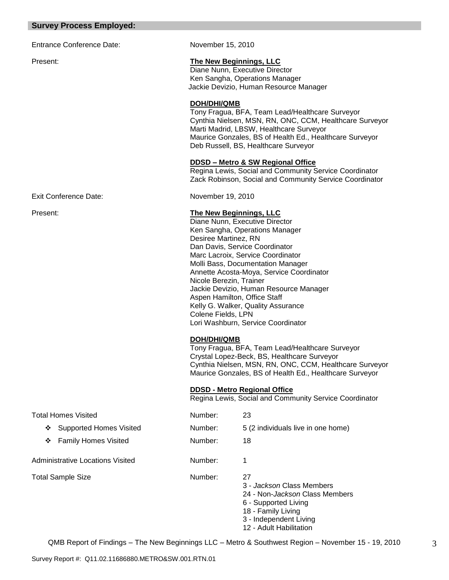## **Survey Process Employed:**

Entrance Conference Date: November 15, 2010

Exit Conference Date: November 19, 2010

## Present: **The New Beginnings, LLC**

Diane Nunn, Executive Director Ken Sangha, Operations Manager Jackie Devizio, Human Resource Manager

#### **DOH/DHI/QMB**

Tony Fragua, BFA, Team Lead/Healthcare Surveyor Cynthia Nielsen, MSN, RN, ONC, CCM, Healthcare Surveyor Marti Madrid, LBSW, Healthcare Surveyor Maurice Gonzales, BS of Health Ed., Healthcare Surveyor Deb Russell, BS, Healthcare Surveyor

## **DDSD – Metro & SW Regional Office**

Regina Lewis, Social and Community Service Coordinator Zack Robinson, Social and Community Service Coordinator

## Present: **The New Beginnings, LLC**

Diane Nunn, Executive Director Ken Sangha, Operations Manager Desiree Martinez, RN Dan Davis, Service Coordinator Marc Lacroix, Service Coordinator Molli Bass, Documentation Manager Annette Acosta-Moya, Service Coordinator Nicole Berezin, Trainer Jackie Devizio, Human Resource Manager Aspen Hamilton, Office Staff Kelly G. Walker, Quality Assurance Colene Fields, LPN Lori Washburn, Service Coordinator

# **DOH/DHI/QMB**

Tony Fragua, BFA, Team Lead/Healthcare Surveyor Crystal Lopez-Beck, BS, Healthcare Surveyor Cynthia Nielsen, MSN, RN, ONC, CCM, Healthcare Surveyor Maurice Gonzales, BS of Health Ed., Healthcare Surveyor

#### **DDSD - Metro Regional Office**

Regina Lewis, Social and Community Service Coordinator

| <b>Total Homes Visited</b>          | Number: | 23                                                                                                                                                                           |
|-------------------------------------|---------|------------------------------------------------------------------------------------------------------------------------------------------------------------------------------|
| <b>Supported Homes Visited</b><br>❖ | Number: | 5 (2 individuals live in one home)                                                                                                                                           |
| <b>Family Homes Visited</b><br>❖    | Number: | 18                                                                                                                                                                           |
| Administrative Locations Visited    | Number: |                                                                                                                                                                              |
| Total Sample Size                   | Number: | 27<br>3 - Jackson Class Members<br>24 - Non- <i>Jackson</i> Class Members<br>6 - Supported Living<br>18 - Family Living<br>3 - Independent Living<br>12 - Adult Habilitation |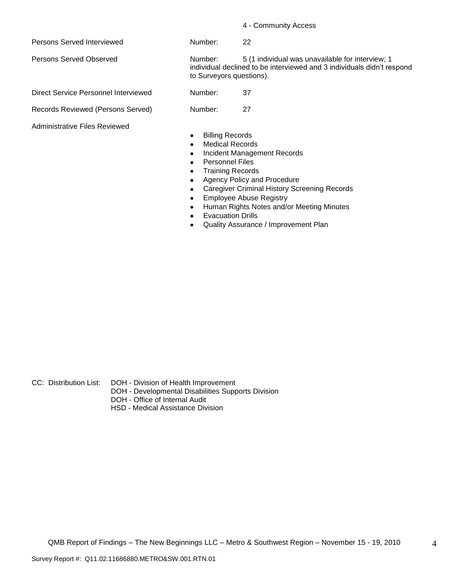4 - Community Access

Persons Served Interviewed Number: 22

Direct Service Personnel Interviewed Number: 37

Records Reviewed (Persons Served) Number: 27

Administrative Files Reviewed

Persons Served Observed Number: 5 (1 individual was unavailable for interview; 1 individual declined to be interviewed and 3 individuals didn"t respond to Surveyors questions).

- Billing Records  $\bullet$
- Medical Records  $\bullet$
- Incident Management Records  $\bullet$
- Personnel Files
- Training Records  $\bullet$
- Agency Policy and Procedure  $\bullet$
- Caregiver Criminal History Screening Records
- Employee Abuse Registry  $\bullet$
- Human Rights Notes and/or Meeting Minutes
- Evacuation Drills  $\bullet$
- Quality Assurance / Improvement Plan

CC: Distribution List: DOH - Division of Health Improvement

- DOH Developmental Disabilities Supports Division
- DOH Office of Internal Audit
- HSD Medical Assistance Division

4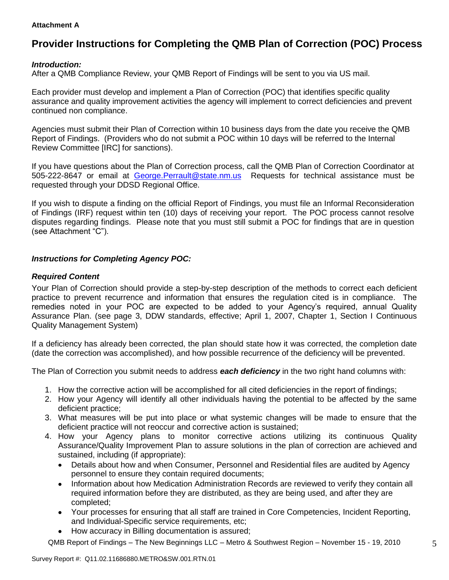# **Attachment A**

# **Provider Instructions for Completing the QMB Plan of Correction (POC) Process**

# *Introduction:*

After a QMB Compliance Review, your QMB Report of Findings will be sent to you via US mail.

Each provider must develop and implement a Plan of Correction (POC) that identifies specific quality assurance and quality improvement activities the agency will implement to correct deficiencies and prevent continued non compliance.

Agencies must submit their Plan of Correction within 10 business days from the date you receive the QMB Report of Findings. (Providers who do not submit a POC within 10 days will be referred to the Internal Review Committee [IRC] for sanctions).

If you have questions about the Plan of Correction process, call the QMB Plan of Correction Coordinator at 505-222-8647 or email at George.Perrault@state.nm.us Requests for technical assistance must be requested through your DDSD Regional Office.

If you wish to dispute a finding on the official Report of Findings, you must file an Informal Reconsideration of Findings (IRF) request within ten (10) days of receiving your report. The POC process cannot resolve disputes regarding findings. Please note that you must still submit a POC for findings that are in question (see Attachment "C").

# *Instructions for Completing Agency POC:*

# *Required Content*

Your Plan of Correction should provide a step-by-step description of the methods to correct each deficient practice to prevent recurrence and information that ensures the regulation cited is in compliance. The remedies noted in your POC are expected to be added to your Agency"s required, annual Quality Assurance Plan. (see page 3, DDW standards, effective; April 1, 2007, Chapter 1, Section I Continuous Quality Management System)

If a deficiency has already been corrected, the plan should state how it was corrected, the completion date (date the correction was accomplished), and how possible recurrence of the deficiency will be prevented.

The Plan of Correction you submit needs to address *each deficiency* in the two right hand columns with:

- 1. How the corrective action will be accomplished for all cited deficiencies in the report of findings;
- 2. How your Agency will identify all other individuals having the potential to be affected by the same deficient practice;
- 3. What measures will be put into place or what systemic changes will be made to ensure that the deficient practice will not reoccur and corrective action is sustained;
- 4. How your Agency plans to monitor corrective actions utilizing its continuous Quality Assurance/Quality Improvement Plan to assure solutions in the plan of correction are achieved and sustained, including (if appropriate):
	- Details about how and when Consumer, Personnel and Residential files are audited by Agency  $\bullet$ personnel to ensure they contain required documents;
	- Information about how Medication Administration Records are reviewed to verify they contain all  $\bullet$ required information before they are distributed, as they are being used, and after they are completed;
	- Your processes for ensuring that all staff are trained in Core Competencies, Incident Reporting, and Individual-Specific service requirements, etc;
	- How accuracy in Billing documentation is assured;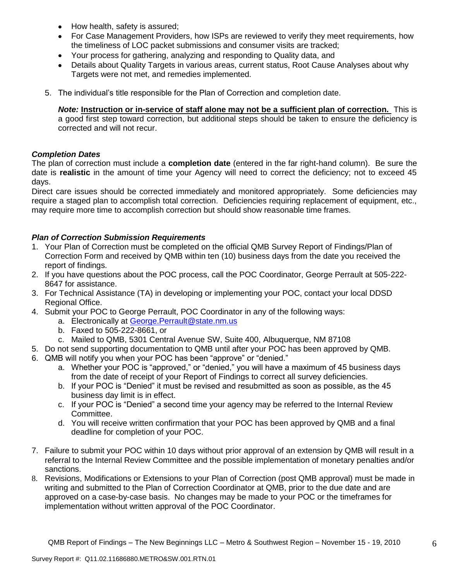- How health, safety is assured;  $\bullet$
- For Case Management Providers, how ISPs are reviewed to verify they meet requirements, how the timeliness of LOC packet submissions and consumer visits are tracked;
- Your process for gathering, analyzing and responding to Quality data, and
- Details about Quality Targets in various areas, current status, Root Cause Analyses about why Targets were not met, and remedies implemented.
- 5. The individual"s title responsible for the Plan of Correction and completion date.

*Note:* **Instruction or in-service of staff alone may not be a sufficient plan of correction.** This is a good first step toward correction, but additional steps should be taken to ensure the deficiency is corrected and will not recur.

# *Completion Dates*

The plan of correction must include a **completion date** (entered in the far right-hand column). Be sure the date is **realistic** in the amount of time your Agency will need to correct the deficiency; not to exceed 45 days.

Direct care issues should be corrected immediately and monitored appropriately. Some deficiencies may require a staged plan to accomplish total correction. Deficiencies requiring replacement of equipment, etc., may require more time to accomplish correction but should show reasonable time frames.

# *Plan of Correction Submission Requirements*

- 1. Your Plan of Correction must be completed on the official QMB Survey Report of Findings/Plan of Correction Form and received by QMB within ten (10) business days from the date you received the report of findings.
- 2. If you have questions about the POC process, call the POC Coordinator, George Perrault at 505-222- 8647 for assistance.
- 3. For Technical Assistance (TA) in developing or implementing your POC, contact your local DDSD Regional Office.
- 4. Submit your POC to George Perrault, POC Coordinator in any of the following ways:
	- a. Electronically at [George.Perrault@state.nm.us](mailto:George.Perrault@state.nm.us)
	- b. Faxed to 505-222-8661, or
	- c. Mailed to QMB, 5301 Central Avenue SW, Suite 400, Albuquerque, NM 87108
- 5. Do not send supporting documentation to QMB until after your POC has been approved by QMB.
- 6. QMB will notify you when your POC has been "approve" or "denied."
	- a. Whether your POC is "approved," or "denied," you will have a maximum of 45 business days from the date of receipt of your Report of Findings to correct all survey deficiencies.
	- b. If your POC is "Denied" it must be revised and resubmitted as soon as possible, as the 45 business day limit is in effect.
	- c. If your POC is "Denied" a second time your agency may be referred to the Internal Review Committee.
	- d. You will receive written confirmation that your POC has been approved by QMB and a final deadline for completion of your POC.
- 7. Failure to submit your POC within 10 days without prior approval of an extension by QMB will result in a referral to the Internal Review Committee and the possible implementation of monetary penalties and/or sanctions.
- 8. Revisions, Modifications or Extensions to your Plan of Correction (post QMB approval) must be made in writing and submitted to the Plan of Correction Coordinator at QMB, prior to the due date and are approved on a case-by-case basis. No changes may be made to your POC or the timeframes for implementation without written approval of the POC Coordinator.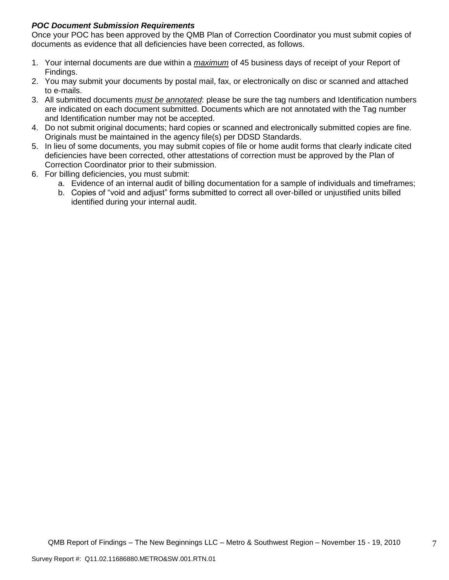# *POC Document Submission Requirements*

Once your POC has been approved by the QMB Plan of Correction Coordinator you must submit copies of documents as evidence that all deficiencies have been corrected, as follows.

- 1. Your internal documents are due within a *maximum* of 45 business days of receipt of your Report of Findings.
- 2. You may submit your documents by postal mail, fax, or electronically on disc or scanned and attached to e-mails.
- 3. All submitted documents *must be annotated*: please be sure the tag numbers and Identification numbers are indicated on each document submitted. Documents which are not annotated with the Tag number and Identification number may not be accepted.
- 4. Do not submit original documents; hard copies or scanned and electronically submitted copies are fine. Originals must be maintained in the agency file(s) per DDSD Standards.
- 5. In lieu of some documents, you may submit copies of file or home audit forms that clearly indicate cited deficiencies have been corrected, other attestations of correction must be approved by the Plan of Correction Coordinator prior to their submission.
- 6. For billing deficiencies, you must submit:
	- a. Evidence of an internal audit of billing documentation for a sample of individuals and timeframes;
	- b. Copies of "void and adjust" forms submitted to correct all over-billed or unjustified units billed identified during your internal audit.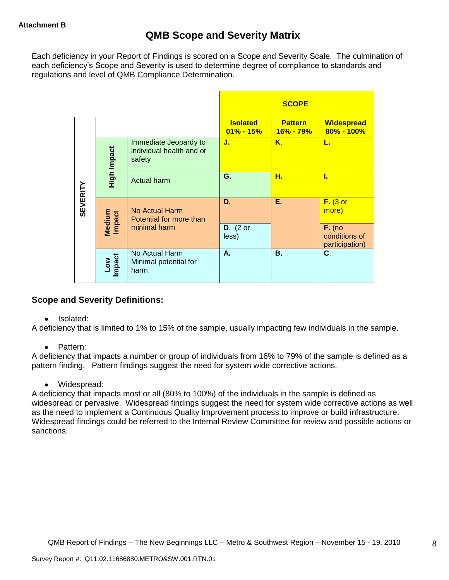Each deficiency in your Report of Findings is scored on a Scope and Severity Scale. The culmination of each deficiency's Scope and Severity is used to determine degree of compliance to standards and regulations and level of QMB Compliance Determination.

|                 |                      |                                                             |                                  | <b>SCOPE</b>                    |                                             |
|-----------------|----------------------|-------------------------------------------------------------|----------------------------------|---------------------------------|---------------------------------------------|
|                 |                      |                                                             | <b>Isolated</b><br>$01\% - 15\%$ | <b>Pattern</b><br>$16\% - 79\%$ | <b>Widespread</b><br>$80\% - 100\%$         |
|                 | High Impact          | Immediate Jeopardy to<br>individual health and or<br>safety | J.                               | Κ.                              | L.                                          |
|                 |                      | <b>Actual harm</b>                                          | G.                               | Н.                              | L                                           |
| <b>SEVERITY</b> | Medium<br>Impact     | <b>No Actual Harm</b><br>Potential for more than            | D.                               | Е.                              | $F.$ (3 or<br>more)                         |
|                 |                      | minimal harm                                                | $D.$ (2 or<br>less)              |                                 | $F.$ (no<br>conditions of<br>participation) |
|                 | <b>Impact</b><br>Low | No Actual Harm<br>Minimal potential for<br>harm.            | А.                               | <b>B.</b>                       | C.                                          |

# **Scope and Severity Definitions:**

• Isolated:

A deficiency that is limited to 1% to 15% of the sample, usually impacting few individuals in the sample.

• Pattern:

A deficiency that impacts a number or group of individuals from 16% to 79% of the sample is defined as a pattern finding. Pattern findings suggest the need for system wide corrective actions.

• Widespread:

A deficiency that impacts most or all (80% to 100%) of the individuals in the sample is defined as widespread or pervasive. Widespread findings suggest the need for system wide corrective actions as well as the need to implement a Continuous Quality Improvement process to improve or build infrastructure. Widespread findings could be referred to the Internal Review Committee for review and possible actions or sanctions.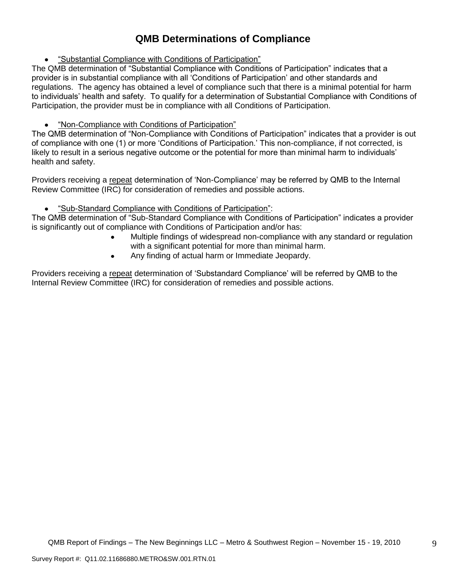# **QMB Determinations of Compliance**

"Substantial Compliance with Conditions of Participation"

The QMB determination of "Substantial Compliance with Conditions of Participation" indicates that a provider is in substantial compliance with all "Conditions of Participation" and other standards and regulations. The agency has obtained a level of compliance such that there is a minimal potential for harm to individuals" health and safety. To qualify for a determination of Substantial Compliance with Conditions of Participation, the provider must be in compliance with all Conditions of Participation.

# "Non-Compliance with Conditions of Participation"

The QMB determination of "Non-Compliance with Conditions of Participation" indicates that a provider is out of compliance with one (1) or more "Conditions of Participation." This non-compliance, if not corrected, is likely to result in a serious negative outcome or the potential for more than minimal harm to individuals' health and safety.

Providers receiving a repeat determination of 'Non-Compliance' may be referred by QMB to the Internal Review Committee (IRC) for consideration of remedies and possible actions.

#### $\bullet$ "Sub-Standard Compliance with Conditions of Participation":

The QMB determination of "Sub-Standard Compliance with Conditions of Participation" indicates a provider is significantly out of compliance with Conditions of Participation and/or has:

- Multiple findings of widespread non-compliance with any standard or regulation with a significant potential for more than minimal harm.
- Any finding of actual harm or Immediate Jeopardy.  $\bullet$

Providers receiving a repeat determination of 'Substandard Compliance' will be referred by QMB to the Internal Review Committee (IRC) for consideration of remedies and possible actions.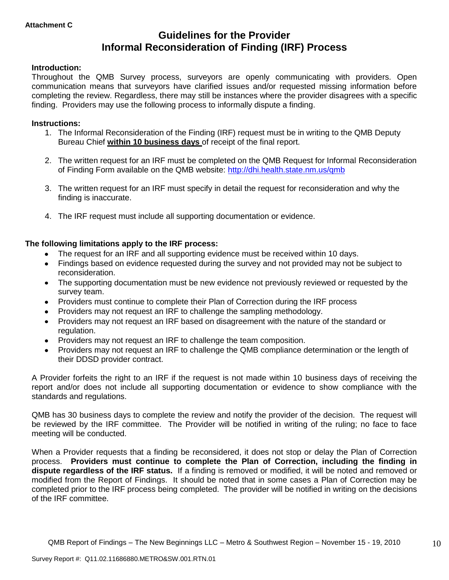# **Guidelines for the Provider Informal Reconsideration of Finding (IRF) Process**

# **Introduction:**

Throughout the QMB Survey process, surveyors are openly communicating with providers. Open communication means that surveyors have clarified issues and/or requested missing information before completing the review. Regardless, there may still be instances where the provider disagrees with a specific finding. Providers may use the following process to informally dispute a finding.

## **Instructions:**

- 1. The Informal Reconsideration of the Finding (IRF) request must be in writing to the QMB Deputy Bureau Chief **within 10 business days** of receipt of the final report.
- 2. The written request for an IRF must be completed on the QMB Request for Informal Reconsideration of Finding Form available on the QMB website:<http://dhi.health.state.nm.us/qmb>
- 3. The written request for an IRF must specify in detail the request for reconsideration and why the finding is inaccurate.
- 4. The IRF request must include all supporting documentation or evidence.

# **The following limitations apply to the IRF process:**

- The request for an IRF and all supporting evidence must be received within 10 days.
- Findings based on evidence requested during the survey and not provided may not be subject to reconsideration.
- The supporting documentation must be new evidence not previously reviewed or requested by the survey team.
- Providers must continue to complete their Plan of Correction during the IRF process  $\bullet$
- Providers may not request an IRF to challenge the sampling methodology.
- Providers may not request an IRF based on disagreement with the nature of the standard or  $\bullet$ regulation.
- Providers may not request an IRF to challenge the team composition.
- Providers may not request an IRF to challenge the QMB compliance determination or the length of  $\bullet$ their DDSD provider contract.

A Provider forfeits the right to an IRF if the request is not made within 10 business days of receiving the report and/or does not include all supporting documentation or evidence to show compliance with the standards and regulations.

QMB has 30 business days to complete the review and notify the provider of the decision. The request will be reviewed by the IRF committee. The Provider will be notified in writing of the ruling; no face to face meeting will be conducted.

When a Provider requests that a finding be reconsidered, it does not stop or delay the Plan of Correction process. **Providers must continue to complete the Plan of Correction, including the finding in dispute regardless of the IRF status.** If a finding is removed or modified, it will be noted and removed or modified from the Report of Findings. It should be noted that in some cases a Plan of Correction may be completed prior to the IRF process being completed. The provider will be notified in writing on the decisions of the IRF committee.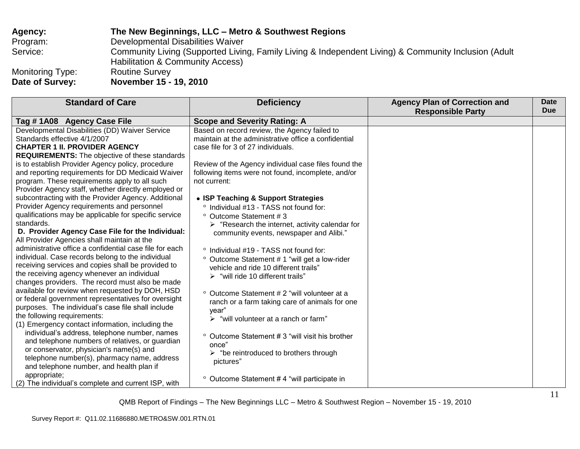| <b>Agency:</b>   | The New Beginnings, LLC - Metro & Southwest Regions                                                                                                 |
|------------------|-----------------------------------------------------------------------------------------------------------------------------------------------------|
| Program:         | Developmental Disabilities Waiver                                                                                                                   |
| Service:         | Community Living (Supported Living, Family Living & Independent Living) & Community Inclusion (Adult<br><b>Habilitation &amp; Community Access)</b> |
| Monitoring Type: | <b>Routine Survey</b>                                                                                                                               |
| Date of Survey:  | November 15 - 19, 2010                                                                                                                              |

| <b>Standard of Care</b>                                 | <b>Deficiency</b>                                              | <b>Agency Plan of Correction and</b><br><b>Responsible Party</b> | Date<br><b>Due</b> |
|---------------------------------------------------------|----------------------------------------------------------------|------------------------------------------------------------------|--------------------|
|                                                         |                                                                |                                                                  |                    |
| Tag # 1A08 Agency Case File                             | <b>Scope and Severity Rating: A</b>                            |                                                                  |                    |
| Developmental Disabilities (DD) Waiver Service          | Based on record review, the Agency failed to                   |                                                                  |                    |
| Standards effective 4/1/2007                            | maintain at the administrative office a confidential           |                                                                  |                    |
| <b>CHAPTER 1 II. PROVIDER AGENCY</b>                    | case file for 3 of 27 individuals.                             |                                                                  |                    |
| <b>REQUIREMENTS:</b> The objective of these standards   |                                                                |                                                                  |                    |
| is to establish Provider Agency policy, procedure       | Review of the Agency individual case files found the           |                                                                  |                    |
| and reporting requirements for DD Medicaid Waiver       | following items were not found, incomplete, and/or             |                                                                  |                    |
| program. These requirements apply to all such           | not current:                                                   |                                                                  |                    |
| Provider Agency staff, whether directly employed or     |                                                                |                                                                  |                    |
| subcontracting with the Provider Agency. Additional     | • ISP Teaching & Support Strategies                            |                                                                  |                    |
| Provider Agency requirements and personnel              | ° Individual #13 - TASS not found for:                         |                                                                  |                    |
| qualifications may be applicable for specific service   | ° Outcome Statement #3                                         |                                                                  |                    |
| standards.                                              | $\triangleright$ "Research the internet, activity calendar for |                                                                  |                    |
| D. Provider Agency Case File for the Individual:        | community events, newspaper and Alibi."                        |                                                                  |                    |
| All Provider Agencies shall maintain at the             |                                                                |                                                                  |                    |
| administrative office a confidential case file for each | ° Individual #19 - TASS not found for:                         |                                                                  |                    |
| individual. Case records belong to the individual       | ° Outcome Statement # 1 "will get a low-rider                  |                                                                  |                    |
| receiving services and copies shall be provided to      | vehicle and ride 10 different trails"                          |                                                                  |                    |
| the receiving agency whenever an individual             | $\triangleright$ "will ride 10 different trails"               |                                                                  |                    |
| changes providers. The record must also be made         |                                                                |                                                                  |                    |
| available for review when requested by DOH, HSD         | Outcome Statement # 2 "will volunteer at a<br>$\circ$          |                                                                  |                    |
| or federal government representatives for oversight     | ranch or a farm taking care of animals for one                 |                                                                  |                    |
| purposes. The individual's case file shall include      | year"                                                          |                                                                  |                    |
| the following requirements:                             | $\triangleright$ "will volunteer at a ranch or farm"           |                                                                  |                    |
| (1) Emergency contact information, including the        |                                                                |                                                                  |                    |
| individual's address, telephone number, names           | ° Outcome Statement # 3 "will visit his brother                |                                                                  |                    |
| and telephone numbers of relatives, or guardian         | once"                                                          |                                                                  |                    |
| or conservator, physician's name(s) and                 | $\triangleright$ "be reintroduced to brothers through          |                                                                  |                    |
| telephone number(s), pharmacy name, address             | pictures"                                                      |                                                                  |                    |
| and telephone number, and health plan if                |                                                                |                                                                  |                    |
| appropriate;                                            |                                                                |                                                                  |                    |
| (2) The individual's complete and current ISP, with     | ° Outcome Statement #4 "will participate in                    |                                                                  |                    |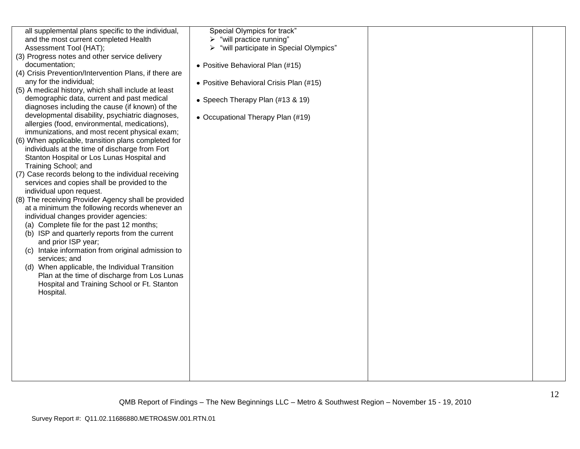| all supplemental plans specific to the individual,     | Special Olympics for track"              |  |
|--------------------------------------------------------|------------------------------------------|--|
| and the most current completed Health                  | $\triangleright$ "will practice running" |  |
| Assessment Tool (HAT);                                 | "will participate in Special Olympics"   |  |
| (3) Progress notes and other service delivery          |                                          |  |
| documentation:                                         | • Positive Behavioral Plan (#15)         |  |
| (4) Crisis Prevention/Intervention Plans, if there are |                                          |  |
| any for the individual;                                | • Positive Behavioral Crisis Plan (#15)  |  |
| (5) A medical history, which shall include at least    |                                          |  |
| demographic data, current and past medical             | • Speech Therapy Plan (#13 & 19)         |  |
| diagnoses including the cause (if known) of the        |                                          |  |
| developmental disability, psychiatric diagnoses,       | • Occupational Therapy Plan (#19)        |  |
| allergies (food, environmental, medications),          |                                          |  |
| immunizations, and most recent physical exam;          |                                          |  |
| (6) When applicable, transition plans completed for    |                                          |  |
| individuals at the time of discharge from Fort         |                                          |  |
| Stanton Hospital or Los Lunas Hospital and             |                                          |  |
| Training School; and                                   |                                          |  |
| (7) Case records belong to the individual receiving    |                                          |  |
| services and copies shall be provided to the           |                                          |  |
| individual upon request.                               |                                          |  |
| (8) The receiving Provider Agency shall be provided    |                                          |  |
| at a minimum the following records whenever an         |                                          |  |
| individual changes provider agencies:                  |                                          |  |
| (a) Complete file for the past 12 months;              |                                          |  |
| (b) ISP and quarterly reports from the current         |                                          |  |
| and prior ISP year;                                    |                                          |  |
| (c) Intake information from original admission to      |                                          |  |
| services; and                                          |                                          |  |
| (d) When applicable, the Individual Transition         |                                          |  |
| Plan at the time of discharge from Los Lunas           |                                          |  |
| Hospital and Training School or Ft. Stanton            |                                          |  |
| Hospital.                                              |                                          |  |
|                                                        |                                          |  |
|                                                        |                                          |  |
|                                                        |                                          |  |
|                                                        |                                          |  |
|                                                        |                                          |  |
|                                                        |                                          |  |
|                                                        |                                          |  |
|                                                        |                                          |  |
|                                                        |                                          |  |
|                                                        |                                          |  |
|                                                        |                                          |  |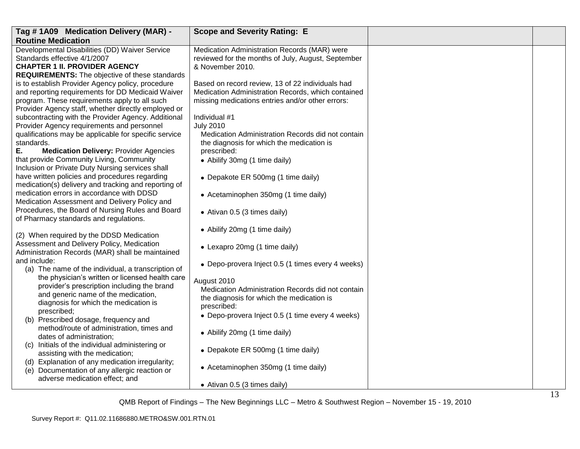| Tag #1A09 Medication Delivery (MAR) -                                                                | <b>Scope and Severity Rating: E</b>                |  |
|------------------------------------------------------------------------------------------------------|----------------------------------------------------|--|
| <b>Routine Medication</b>                                                                            |                                                    |  |
| Developmental Disabilities (DD) Waiver Service                                                       | Medication Administration Records (MAR) were       |  |
| Standards effective 4/1/2007                                                                         | reviewed for the months of July, August, September |  |
| <b>CHAPTER 1 II. PROVIDER AGENCY</b>                                                                 | & November 2010.                                   |  |
| <b>REQUIREMENTS:</b> The objective of these standards                                                |                                                    |  |
| is to establish Provider Agency policy, procedure                                                    | Based on record review, 13 of 22 individuals had   |  |
| and reporting requirements for DD Medicaid Waiver                                                    | Medication Administration Records, which contained |  |
| program. These requirements apply to all such<br>Provider Agency staff, whether directly employed or | missing medications entries and/or other errors:   |  |
| subcontracting with the Provider Agency. Additional                                                  | Individual #1                                      |  |
| Provider Agency requirements and personnel                                                           | <b>July 2010</b>                                   |  |
| qualifications may be applicable for specific service                                                | Medication Administration Records did not contain  |  |
| standards.                                                                                           | the diagnosis for which the medication is          |  |
| Ε.<br><b>Medication Delivery: Provider Agencies</b>                                                  | prescribed:                                        |  |
| that provide Community Living, Community                                                             | • Abilify 30mg (1 time daily)                      |  |
| Inclusion or Private Duty Nursing services shall                                                     |                                                    |  |
| have written policies and procedures regarding                                                       | • Depakote ER 500mg (1 time daily)                 |  |
| medication(s) delivery and tracking and reporting of                                                 |                                                    |  |
| medication errors in accordance with DDSD                                                            | • Acetaminophen 350mg (1 time daily)               |  |
| Medication Assessment and Delivery Policy and                                                        |                                                    |  |
| Procedures, the Board of Nursing Rules and Board                                                     | • Ativan 0.5 (3 times daily)                       |  |
| of Pharmacy standards and regulations.                                                               |                                                    |  |
| (2) When required by the DDSD Medication                                                             | • Abilify 20mg (1 time daily)                      |  |
| Assessment and Delivery Policy, Medication                                                           |                                                    |  |
| Administration Records (MAR) shall be maintained                                                     | • Lexapro 20mg (1 time daily)                      |  |
| and include:                                                                                         |                                                    |  |
| (a) The name of the individual, a transcription of                                                   | • Depo-provera Inject 0.5 (1 times every 4 weeks)  |  |
| the physician's written or licensed health care                                                      | August 2010                                        |  |
| provider's prescription including the brand                                                          | Medication Administration Records did not contain  |  |
| and generic name of the medication,                                                                  | the diagnosis for which the medication is          |  |
| diagnosis for which the medication is                                                                | prescribed:                                        |  |
| prescribed;                                                                                          | • Depo-provera Inject 0.5 (1 time every 4 weeks)   |  |
| (b) Prescribed dosage, frequency and                                                                 |                                                    |  |
| method/route of administration, times and<br>dates of administration;                                | • Abilify 20mg (1 time daily)                      |  |
| (c) Initials of the individual administering or                                                      |                                                    |  |
| assisting with the medication;                                                                       | • Depakote ER 500mg (1 time daily)                 |  |
| (d) Explanation of any medication irregularity;                                                      |                                                    |  |
| (e) Documentation of any allergic reaction or                                                        | • Acetaminophen 350mg (1 time daily)               |  |
| adverse medication effect; and                                                                       |                                                    |  |
|                                                                                                      | • Ativan 0.5 (3 times daily)                       |  |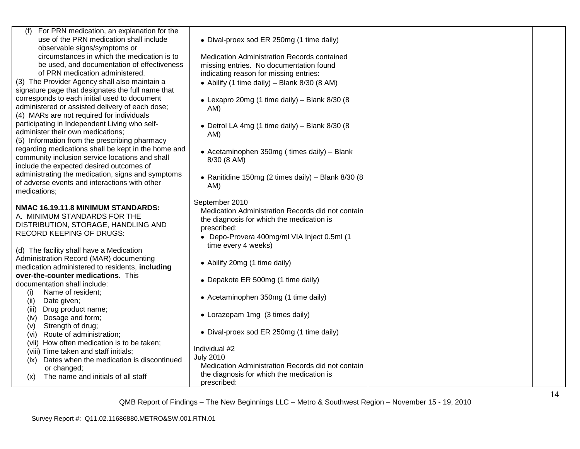| (f) For PRN medication, an explanation for the                          |                                                    |  |
|-------------------------------------------------------------------------|----------------------------------------------------|--|
| use of the PRN medication shall include<br>observable signs/symptoms or | • Dival-proex sod ER 250mg (1 time daily)          |  |
| circumstances in which the medication is to                             | Medication Administration Records contained        |  |
| be used, and documentation of effectiveness                             | missing entries. No documentation found            |  |
| of PRN medication administered.                                         | indicating reason for missing entries:             |  |
| (3) The Provider Agency shall also maintain a                           | • Abilify (1 time daily) – Blank $8/30$ (8 AM)     |  |
| signature page that designates the full name that                       |                                                    |  |
| corresponds to each initial used to document                            | • Lexapro 20mg (1 time daily) - Blank 8/30 (8      |  |
| administered or assisted delivery of each dose;                         | AM)                                                |  |
| (4) MARs are not required for individuals                               |                                                    |  |
| participating in Independent Living who self-                           | • Detrol LA 4mg (1 time daily) - Blank 8/30 (8     |  |
| administer their own medications;                                       | AM)                                                |  |
| (5) Information from the prescribing pharmacy                           |                                                    |  |
| regarding medications shall be kept in the home and                     | • Acetaminophen 350mg (times daily) - Blank        |  |
| community inclusion service locations and shall                         | 8/30 (8 AM)                                        |  |
| include the expected desired outcomes of                                |                                                    |  |
| administrating the medication, signs and symptoms                       | • Ranitidine 150mg (2 times daily) - Blank 8/30 (8 |  |
| of adverse events and interactions with other                           | AM)                                                |  |
| medications;                                                            |                                                    |  |
|                                                                         | September 2010                                     |  |
| NMAC 16.19.11.8 MINIMUM STANDARDS:<br>A. MINIMUM STANDARDS FOR THE      | Medication Administration Records did not contain  |  |
| DISTRIBUTION, STORAGE, HANDLING AND                                     | the diagnosis for which the medication is          |  |
| <b>RECORD KEEPING OF DRUGS:</b>                                         | prescribed:                                        |  |
|                                                                         | • Depo-Provera 400mg/ml VIA Inject 0.5ml (1        |  |
| (d) The facility shall have a Medication                                | time every 4 weeks)                                |  |
| Administration Record (MAR) documenting                                 |                                                    |  |
| medication administered to residents, including                         | • Abilify 20mg (1 time daily)                      |  |
| over-the-counter medications. This                                      |                                                    |  |
| documentation shall include:                                            | • Depakote ER 500mg (1 time daily)                 |  |
| Name of resident;<br>(i)                                                |                                                    |  |
| (ii)<br>Date given;                                                     | • Acetaminophen 350mg (1 time daily)               |  |
| Drug product name;<br>(iii)                                             |                                                    |  |
| Dosage and form;<br>(iv)                                                | • Lorazepam 1mg (3 times daily)                    |  |
| Strength of drug;<br>(v)                                                |                                                    |  |
| Route of administration;<br>(vi)                                        | • Dival-proex sod ER 250mg (1 time daily)          |  |
| (vii) How often medication is to be taken;                              |                                                    |  |
| (viii) Time taken and staff initials;                                   | Individual #2                                      |  |
| Dates when the medication is discontinued<br>(ix)                       | <b>July 2010</b>                                   |  |
| or changed;                                                             | Medication Administration Records did not contain  |  |
| The name and initials of all staff<br>(x)                               | the diagnosis for which the medication is          |  |
|                                                                         | prescribed:                                        |  |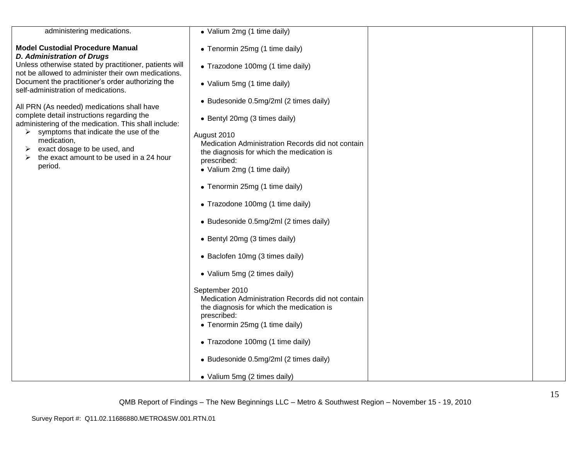| administering medications.                                                                                    | • Valium 2mg (1 time daily)                              |  |
|---------------------------------------------------------------------------------------------------------------|----------------------------------------------------------|--|
| <b>Model Custodial Procedure Manual</b><br><b>D. Administration of Drugs</b>                                  | • Tenormin 25mg (1 time daily)                           |  |
| Unless otherwise stated by practitioner, patients will<br>not be allowed to administer their own medications. | • Trazodone 100mg (1 time daily)                         |  |
| Document the practitioner's order authorizing the<br>self-administration of medications.                      | • Valium 5mg (1 time daily)                              |  |
| All PRN (As needed) medications shall have                                                                    | • Budesonide 0.5mg/2ml (2 times daily)                   |  |
| complete detail instructions regarding the<br>administering of the medication. This shall include:            | • Bentyl 20mg (3 times daily)                            |  |
| $\triangleright$ symptoms that indicate the use of the                                                        | August 2010                                              |  |
| medication,<br>exact dosage to be used, and<br>➤                                                              | Medication Administration Records did not contain        |  |
| the exact amount to be used in a 24 hour                                                                      | the diagnosis for which the medication is<br>prescribed: |  |
| period.                                                                                                       | • Valium 2mg (1 time daily)                              |  |
|                                                                                                               |                                                          |  |
|                                                                                                               | • Tenormin 25mg (1 time daily)                           |  |
|                                                                                                               | • Trazodone 100mg (1 time daily)                         |  |
|                                                                                                               | • Budesonide 0.5mg/2ml (2 times daily)                   |  |
|                                                                                                               | • Bentyl 20mg (3 times daily)                            |  |
|                                                                                                               | • Baclofen 10mg (3 times daily)                          |  |
|                                                                                                               | • Valium 5mg (2 times daily)                             |  |
|                                                                                                               | September 2010                                           |  |
|                                                                                                               | Medication Administration Records did not contain        |  |
|                                                                                                               | the diagnosis for which the medication is<br>prescribed: |  |
|                                                                                                               | • Tenormin 25mg (1 time daily)                           |  |
|                                                                                                               | • Trazodone 100mg (1 time daily)                         |  |
|                                                                                                               | • Budesonide 0.5mg/2ml (2 times daily)                   |  |
|                                                                                                               | · Valium 5mg (2 times daily)                             |  |
|                                                                                                               |                                                          |  |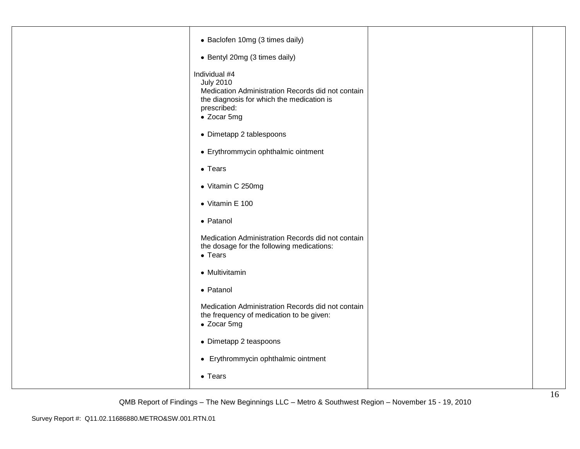| • Baclofen 10mg (3 times daily)                                                                                                                                   |  |
|-------------------------------------------------------------------------------------------------------------------------------------------------------------------|--|
| • Bentyl 20mg (3 times daily)                                                                                                                                     |  |
| Individual #4<br><b>July 2010</b><br>Medication Administration Records did not contain<br>the diagnosis for which the medication is<br>prescribed:<br>• Zocar 5mg |  |
| • Dimetapp 2 tablespoons                                                                                                                                          |  |
| • Erythrommycin ophthalmic ointment                                                                                                                               |  |
| $\bullet$ Tears                                                                                                                                                   |  |
| • Vitamin C 250mg                                                                                                                                                 |  |
| • Vitamin E 100                                                                                                                                                   |  |
| • Patanol                                                                                                                                                         |  |
| Medication Administration Records did not contain<br>the dosage for the following medications:<br>$\bullet$ Tears                                                 |  |
| • Multivitamin                                                                                                                                                    |  |
| • Patanol                                                                                                                                                         |  |
| Medication Administration Records did not contain<br>the frequency of medication to be given:<br>• Zocar 5mg                                                      |  |
| • Dimetapp 2 teaspoons                                                                                                                                            |  |
| • Erythrommycin ophthalmic ointment                                                                                                                               |  |
| • Tears                                                                                                                                                           |  |
|                                                                                                                                                                   |  |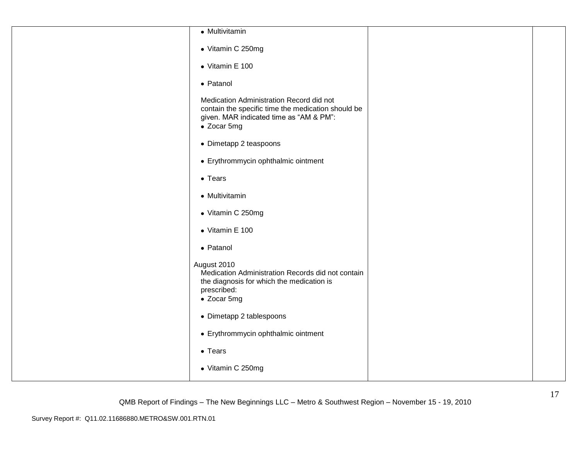| • Multivitamin                                                                                                                                           |  |
|----------------------------------------------------------------------------------------------------------------------------------------------------------|--|
| • Vitamin C 250mg                                                                                                                                        |  |
| $\bullet$ Vitamin E 100                                                                                                                                  |  |
| • Patanol                                                                                                                                                |  |
| Medication Administration Record did not<br>contain the specific time the medication should be<br>given. MAR indicated time as "AM & PM":<br>• Zocar 5mg |  |
| • Dimetapp 2 teaspoons                                                                                                                                   |  |
| • Erythrommycin ophthalmic ointment                                                                                                                      |  |
| $\bullet$ Tears                                                                                                                                          |  |
| • Multivitamin                                                                                                                                           |  |
| • Vitamin C 250mg                                                                                                                                        |  |
| $\bullet$ Vitamin E 100                                                                                                                                  |  |
| • Patanol                                                                                                                                                |  |
| August 2010<br>Medication Administration Records did not contain<br>the diagnosis for which the medication is<br>prescribed:<br>• Zocar 5mg              |  |
| • Dimetapp 2 tablespoons                                                                                                                                 |  |
| • Erythrommycin ophthalmic ointment                                                                                                                      |  |
| $\bullet$ Tears                                                                                                                                          |  |
| • Vitamin C 250mg                                                                                                                                        |  |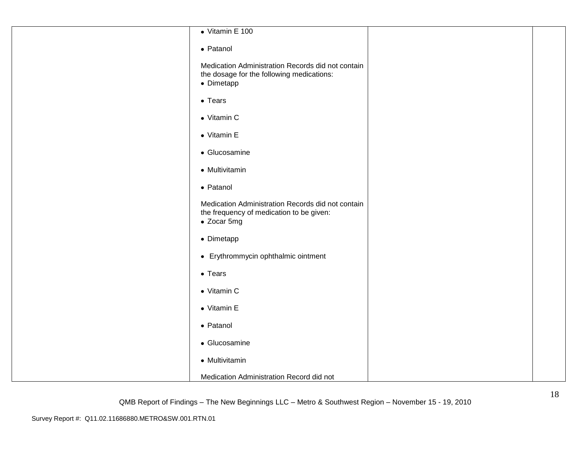| $\bullet$ Vitamin E 100                                                                                      |  |
|--------------------------------------------------------------------------------------------------------------|--|
| • Patanol                                                                                                    |  |
| Medication Administration Records did not contain<br>the dosage for the following medications:<br>• Dimetapp |  |
| $\bullet$ Tears                                                                                              |  |
| • Vitamin C                                                                                                  |  |
| • Vitamin E                                                                                                  |  |
| • Glucosamine                                                                                                |  |
| • Multivitamin                                                                                               |  |
| • Patanol                                                                                                    |  |
| Medication Administration Records did not contain<br>the frequency of medication to be given:<br>• Zocar 5mg |  |
| • Dimetapp                                                                                                   |  |
| • Erythrommycin ophthalmic ointment                                                                          |  |
| $\bullet$ Tears                                                                                              |  |
| • Vitamin C                                                                                                  |  |
| • Vitamin E                                                                                                  |  |
| • Patanol                                                                                                    |  |
| • Glucosamine                                                                                                |  |
| • Multivitamin                                                                                               |  |
| Medication Administration Record did not                                                                     |  |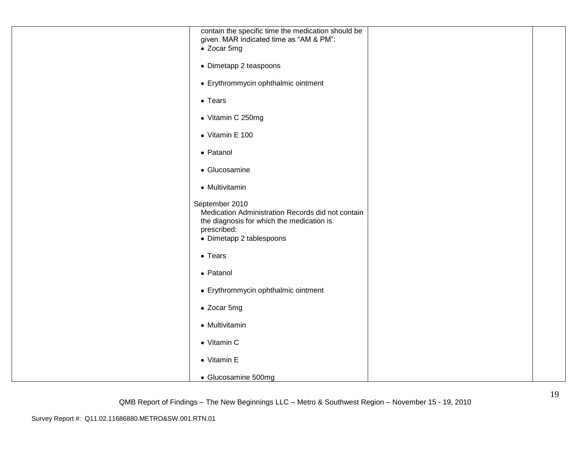| contain the specific time the medication should be                                                                                                          |  |
|-------------------------------------------------------------------------------------------------------------------------------------------------------------|--|
| given. MAR indicated time as "AM & PM":<br>• Zocar 5mg                                                                                                      |  |
|                                                                                                                                                             |  |
| • Dimetapp 2 teaspoons                                                                                                                                      |  |
| • Erythrommycin ophthalmic ointment                                                                                                                         |  |
| $\bullet$ Tears                                                                                                                                             |  |
| • Vitamin C 250mg                                                                                                                                           |  |
| $\bullet$ Vitamin E 100                                                                                                                                     |  |
| • Patanol                                                                                                                                                   |  |
| • Glucosamine                                                                                                                                               |  |
| • Multivitamin                                                                                                                                              |  |
| September 2010<br>Medication Administration Records did not contain<br>the diagnosis for which the medication is<br>prescribed:<br>• Dimetapp 2 tablespoons |  |
| $\bullet$ Tears                                                                                                                                             |  |
| • Patanol                                                                                                                                                   |  |
| • Erythrommycin ophthalmic ointment                                                                                                                         |  |
| • Zocar 5mg                                                                                                                                                 |  |
| • Multivitamin                                                                                                                                              |  |
| • Vitamin C                                                                                                                                                 |  |
| • Vitamin E                                                                                                                                                 |  |
| • Glucosamine 500mg                                                                                                                                         |  |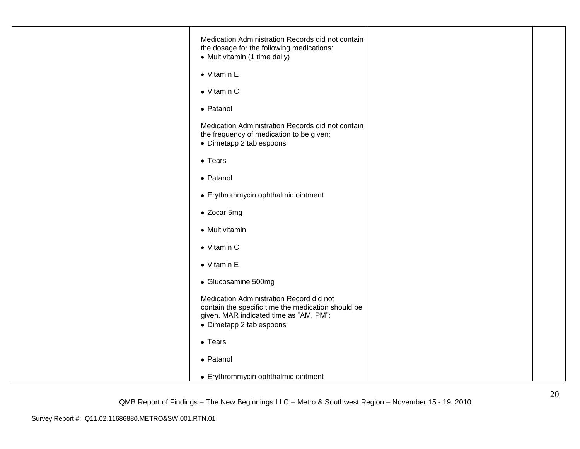| Medication Administration Records did not contain<br>the dosage for the following medications:<br>• Multivitamin (1 time daily)<br>• Vitamin E                       |  |
|----------------------------------------------------------------------------------------------------------------------------------------------------------------------|--|
|                                                                                                                                                                      |  |
| • Vitamin C                                                                                                                                                          |  |
| • Patanol                                                                                                                                                            |  |
| Medication Administration Records did not contain<br>the frequency of medication to be given:<br>• Dimetapp 2 tablespoons                                            |  |
| $\bullet$ Tears                                                                                                                                                      |  |
| • Patanol                                                                                                                                                            |  |
| • Erythrommycin ophthalmic ointment                                                                                                                                  |  |
| • Zocar 5mg                                                                                                                                                          |  |
| • Multivitamin                                                                                                                                                       |  |
| • Vitamin C                                                                                                                                                          |  |
| • Vitamin E                                                                                                                                                          |  |
| • Glucosamine 500mg                                                                                                                                                  |  |
| Medication Administration Record did not<br>contain the specific time the medication should be<br>given. MAR indicated time as "AM, PM":<br>• Dimetapp 2 tablespoons |  |
| $\bullet$ Tears                                                                                                                                                      |  |
| • Patanol                                                                                                                                                            |  |
| • Erythrommycin ophthalmic ointment                                                                                                                                  |  |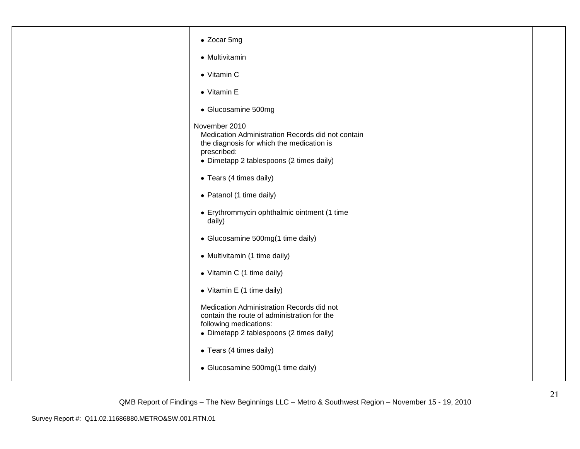| • Zocar 5mg                                                                                                                                                                |  |
|----------------------------------------------------------------------------------------------------------------------------------------------------------------------------|--|
| • Multivitamin                                                                                                                                                             |  |
| • Vitamin C                                                                                                                                                                |  |
| $\bullet$ Vitamin E                                                                                                                                                        |  |
| • Glucosamine 500mg                                                                                                                                                        |  |
| November 2010<br>Medication Administration Records did not contain<br>the diagnosis for which the medication is<br>prescribed:<br>• Dimetapp 2 tablespoons (2 times daily) |  |
| • Tears (4 times daily)                                                                                                                                                    |  |
| • Patanol (1 time daily)                                                                                                                                                   |  |
| • Erythrommycin ophthalmic ointment (1 time<br>daily)                                                                                                                      |  |
| • Glucosamine 500mg(1 time daily)                                                                                                                                          |  |
| • Multivitamin (1 time daily)                                                                                                                                              |  |
| • Vitamin C (1 time daily)                                                                                                                                                 |  |
| • Vitamin E (1 time daily)                                                                                                                                                 |  |
| Medication Administration Records did not<br>contain the route of administration for the<br>following medications:<br>• Dimetapp 2 tablespoons (2 times daily)             |  |
| • Tears (4 times daily)                                                                                                                                                    |  |
| • Glucosamine 500mg(1 time daily)                                                                                                                                          |  |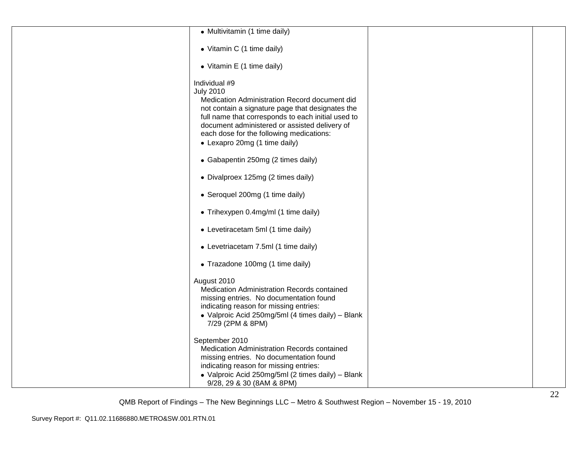| • Multivitamin (1 time daily)                                                                                                                                                                                                                                                                                              |  |
|----------------------------------------------------------------------------------------------------------------------------------------------------------------------------------------------------------------------------------------------------------------------------------------------------------------------------|--|
| • Vitamin C (1 time daily)                                                                                                                                                                                                                                                                                                 |  |
| • Vitamin E (1 time daily)                                                                                                                                                                                                                                                                                                 |  |
| Individual #9<br><b>July 2010</b><br>Medication Administration Record document did<br>not contain a signature page that designates the<br>full name that corresponds to each initial used to<br>document administered or assisted delivery of<br>each dose for the following medications:<br>• Lexapro 20mg (1 time daily) |  |
| • Gabapentin 250mg (2 times daily)                                                                                                                                                                                                                                                                                         |  |
| • Divalproex 125mg (2 times daily)                                                                                                                                                                                                                                                                                         |  |
| • Seroquel 200mg (1 time daily)                                                                                                                                                                                                                                                                                            |  |
| • Trihexypen 0.4mg/ml (1 time daily)                                                                                                                                                                                                                                                                                       |  |
| • Levetiracetam 5ml (1 time daily)                                                                                                                                                                                                                                                                                         |  |
| • Levetriacetam 7.5ml (1 time daily)                                                                                                                                                                                                                                                                                       |  |
| • Trazadone 100mg (1 time daily)                                                                                                                                                                                                                                                                                           |  |
| August 2010<br>Medication Administration Records contained<br>missing entries. No documentation found<br>indicating reason for missing entries:<br>• Valproic Acid 250mg/5ml (4 times daily) - Blank<br>7/29 (2PM & 8PM)                                                                                                   |  |
| September 2010<br>Medication Administration Records contained<br>missing entries. No documentation found<br>indicating reason for missing entries:<br>• Valproic Acid 250mg/5ml (2 times daily) - Blank<br>9/28, 29 & 30 (8AM & 8PM)                                                                                       |  |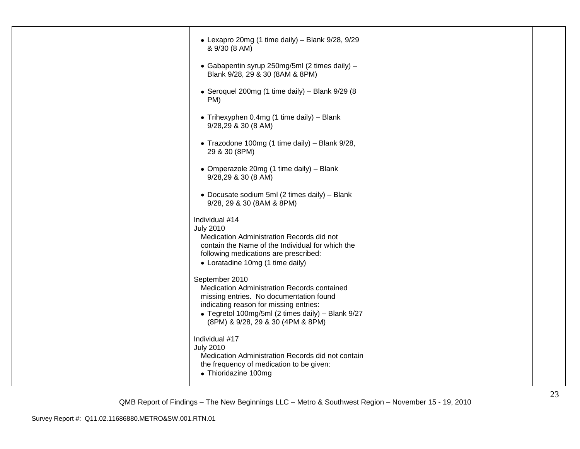| • Lexapro 20mg (1 time daily) - Blank 9/28, 9/29<br>& 9/30 (8 AM)                                                                                                                                                                            |  |
|----------------------------------------------------------------------------------------------------------------------------------------------------------------------------------------------------------------------------------------------|--|
| • Gabapentin syrup 250mg/5ml (2 times daily) -<br>Blank 9/28, 29 & 30 (8AM & 8PM)                                                                                                                                                            |  |
| • Seroquel 200mg (1 time daily) - Blank 9/29 (8<br>PM)                                                                                                                                                                                       |  |
| • Trihexyphen 0.4mg (1 time daily) - Blank<br>9/28,29 & 30 (8 AM)                                                                                                                                                                            |  |
| • Trazodone 100mg (1 time daily) - Blank 9/28,<br>29 & 30 (8PM)                                                                                                                                                                              |  |
| • Omperazole 20mg (1 time daily) - Blank<br>9/28,29 & 30 (8 AM)                                                                                                                                                                              |  |
| • Docusate sodium 5ml (2 times daily) - Blank<br>9/28, 29 & 30 (8AM & 8PM)                                                                                                                                                                   |  |
| Individual #14<br><b>July 2010</b><br>Medication Administration Records did not<br>contain the Name of the Individual for which the<br>following medications are prescribed:<br>• Loratadine 10mg (1 time daily)                             |  |
| September 2010<br>Medication Administration Records contained<br>missing entries. No documentation found<br>indicating reason for missing entries:<br>• Tegretol 100mg/5ml (2 times daily) - Blank 9/27<br>(8PM) & 9/28, 29 & 30 (4PM & 8PM) |  |
| Individual #17<br><b>July 2010</b><br>Medication Administration Records did not contain<br>the frequency of medication to be given:<br>• Thioridazine 100mg                                                                                  |  |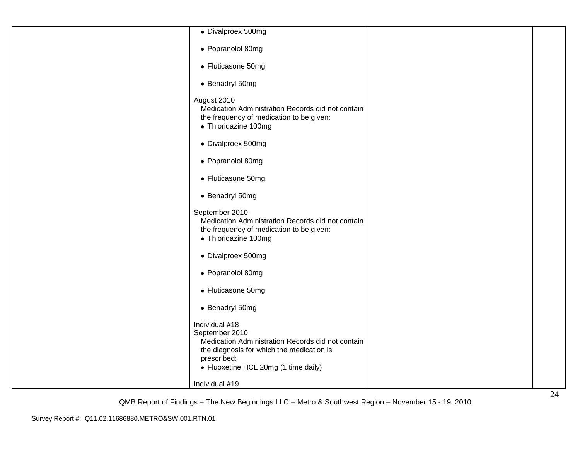| • Divalproex 500mg                                                                                                                                                                        |  |
|-------------------------------------------------------------------------------------------------------------------------------------------------------------------------------------------|--|
| • Popranolol 80mg                                                                                                                                                                         |  |
| • Fluticasone 50mg                                                                                                                                                                        |  |
| • Benadryl 50mg                                                                                                                                                                           |  |
| August 2010<br>Medication Administration Records did not contain<br>the frequency of medication to be given:<br>• Thioridazine 100mg                                                      |  |
| • Divalproex 500mg                                                                                                                                                                        |  |
| • Popranolol 80mg                                                                                                                                                                         |  |
| • Fluticasone 50mg                                                                                                                                                                        |  |
| • Benadryl 50mg                                                                                                                                                                           |  |
| September 2010<br>Medication Administration Records did not contain<br>the frequency of medication to be given:<br>• Thioridazine 100mg                                                   |  |
| • Divalproex 500mg                                                                                                                                                                        |  |
| • Popranolol 80mg                                                                                                                                                                         |  |
| • Fluticasone 50mg                                                                                                                                                                        |  |
| • Benadryl 50mg                                                                                                                                                                           |  |
| Individual #18<br>September 2010<br>Medication Administration Records did not contain<br>the diagnosis for which the medication is<br>prescribed:<br>• Fluoxetine HCL 20mg (1 time daily) |  |
| Individual #19                                                                                                                                                                            |  |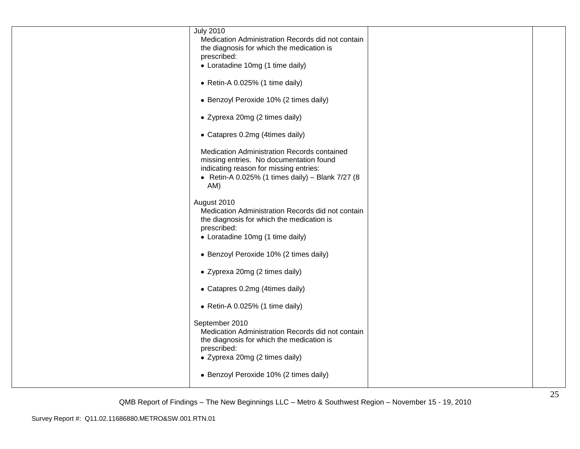| <b>July 2010</b><br>Medication Administration Records did not contain                          |  |
|------------------------------------------------------------------------------------------------|--|
| the diagnosis for which the medication is                                                      |  |
| prescribed:                                                                                    |  |
| • Loratadine 10mg (1 time daily)                                                               |  |
| • Retin-A 0.025% (1 time daily)                                                                |  |
| • Benzoyl Peroxide 10% (2 times daily)                                                         |  |
| • Zyprexa 20mg (2 times daily)                                                                 |  |
| • Catapres 0.2mg (4times daily)                                                                |  |
| Medication Administration Records contained                                                    |  |
| missing entries. No documentation found<br>indicating reason for missing entries:              |  |
| • Retin-A 0.025% (1 times daily) - Blank 7/27 (8                                               |  |
| AM)                                                                                            |  |
| August 2010                                                                                    |  |
| Medication Administration Records did not contain<br>the diagnosis for which the medication is |  |
| prescribed:                                                                                    |  |
| • Loratadine 10mg (1 time daily)                                                               |  |
| • Benzoyl Peroxide 10% (2 times daily)                                                         |  |
| • Zyprexa 20mg (2 times daily)                                                                 |  |
| • Catapres 0.2mg (4times daily)                                                                |  |
| • Retin-A 0.025% (1 time daily)                                                                |  |
| September 2010                                                                                 |  |
| Medication Administration Records did not contain<br>the diagnosis for which the medication is |  |
| prescribed:                                                                                    |  |
| • Zyprexa 20mg (2 times daily)                                                                 |  |
| • Benzoyl Peroxide 10% (2 times daily)                                                         |  |
|                                                                                                |  |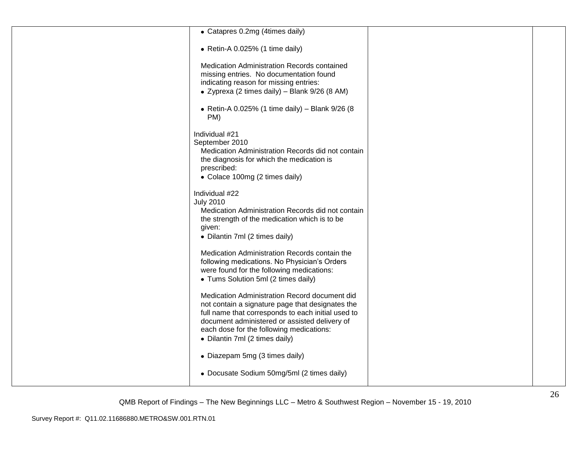| • Catapres 0.2mg (4times daily)                                                                                                                                                                                                                                                        |  |
|----------------------------------------------------------------------------------------------------------------------------------------------------------------------------------------------------------------------------------------------------------------------------------------|--|
| • Retin-A 0.025% (1 time daily)                                                                                                                                                                                                                                                        |  |
| Medication Administration Records contained<br>missing entries. No documentation found<br>indicating reason for missing entries:                                                                                                                                                       |  |
| • Zyprexa (2 times daily) – Blank 9/26 (8 AM)                                                                                                                                                                                                                                          |  |
| • Retin-A 0.025% (1 time daily) - Blank 9/26 (8<br>PM)                                                                                                                                                                                                                                 |  |
| Individual #21<br>September 2010<br>Medication Administration Records did not contain<br>the diagnosis for which the medication is<br>prescribed:<br>• Colace 100mg (2 times daily)                                                                                                    |  |
| Individual #22<br><b>July 2010</b><br>Medication Administration Records did not contain<br>the strength of the medication which is to be<br>given:<br>• Dilantin 7ml (2 times daily)                                                                                                   |  |
| Medication Administration Records contain the<br>following medications. No Physician's Orders<br>were found for the following medications:<br>• Tums Solution 5ml (2 times daily)                                                                                                      |  |
| Medication Administration Record document did<br>not contain a signature page that designates the<br>full name that corresponds to each initial used to<br>document administered or assisted delivery of<br>each dose for the following medications:<br>• Dilantin 7ml (2 times daily) |  |
| • Diazepam 5mg (3 times daily)                                                                                                                                                                                                                                                         |  |
| • Docusate Sodium 50mg/5ml (2 times daily)                                                                                                                                                                                                                                             |  |
|                                                                                                                                                                                                                                                                                        |  |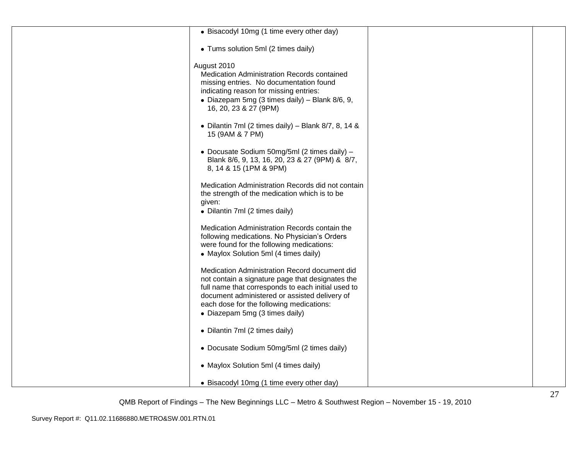| • Bisacodyl 10mg (1 time every other day)                                                                                                                                                                                                                                              |  |
|----------------------------------------------------------------------------------------------------------------------------------------------------------------------------------------------------------------------------------------------------------------------------------------|--|
| • Tums solution 5ml (2 times daily)                                                                                                                                                                                                                                                    |  |
| August 2010<br>Medication Administration Records contained<br>missing entries. No documentation found<br>indicating reason for missing entries:<br>· Diazepam 5mg (3 times daily) - Blank 8/6, 9,<br>16, 20, 23 & 27 (9PM)                                                             |  |
| • Dilantin 7ml (2 times daily) – Blank $8/7$ , 8, 14 &<br>15 (9AM & 7 PM)                                                                                                                                                                                                              |  |
| • Docusate Sodium 50mg/5ml (2 times daily) -<br>Blank 8/6, 9, 13, 16, 20, 23 & 27 (9PM) & 8/7,<br>8, 14 & 15 (1PM & 9PM)                                                                                                                                                               |  |
| Medication Administration Records did not contain<br>the strength of the medication which is to be<br>given:<br>• Dilantin 7ml (2 times daily)                                                                                                                                         |  |
| Medication Administration Records contain the<br>following medications. No Physician's Orders<br>were found for the following medications:<br>• Maylox Solution 5ml (4 times daily)                                                                                                    |  |
| Medication Administration Record document did<br>not contain a signature page that designates the<br>full name that corresponds to each initial used to<br>document administered or assisted delivery of<br>each dose for the following medications:<br>• Diazepam 5mg (3 times daily) |  |
| • Dilantin 7ml (2 times daily)                                                                                                                                                                                                                                                         |  |
| • Docusate Sodium 50mg/5ml (2 times daily)                                                                                                                                                                                                                                             |  |
| • Maylox Solution 5ml (4 times daily)                                                                                                                                                                                                                                                  |  |
| • Bisacodyl 10mg (1 time every other day)                                                                                                                                                                                                                                              |  |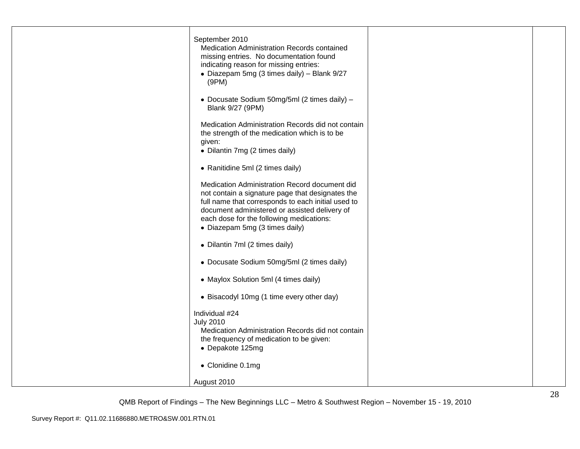| September 2010<br>Medication Administration Records contained<br>missing entries. No documentation found<br>indicating reason for missing entries:<br>• Diazepam 5mg (3 times daily) - Blank 9/27<br>(9PM)                                                                             |  |
|----------------------------------------------------------------------------------------------------------------------------------------------------------------------------------------------------------------------------------------------------------------------------------------|--|
| · Docusate Sodium 50mg/5ml (2 times daily) -<br>Blank 9/27 (9PM)                                                                                                                                                                                                                       |  |
| Medication Administration Records did not contain<br>the strength of the medication which is to be<br>given:<br>• Dilantin 7mg (2 times daily)                                                                                                                                         |  |
| • Ranitidine 5ml (2 times daily)                                                                                                                                                                                                                                                       |  |
| Medication Administration Record document did<br>not contain a signature page that designates the<br>full name that corresponds to each initial used to<br>document administered or assisted delivery of<br>each dose for the following medications:<br>• Diazepam 5mg (3 times daily) |  |
| • Dilantin 7ml (2 times daily)                                                                                                                                                                                                                                                         |  |
| • Docusate Sodium 50mg/5ml (2 times daily)                                                                                                                                                                                                                                             |  |
| • Maylox Solution 5ml (4 times daily)                                                                                                                                                                                                                                                  |  |
| • Bisacodyl 10mg (1 time every other day)                                                                                                                                                                                                                                              |  |
| Individual #24<br><b>July 2010</b><br>Medication Administration Records did not contain<br>the frequency of medication to be given:<br>• Depakote 125mg                                                                                                                                |  |
| • Clonidine 0.1mg                                                                                                                                                                                                                                                                      |  |
| August 2010                                                                                                                                                                                                                                                                            |  |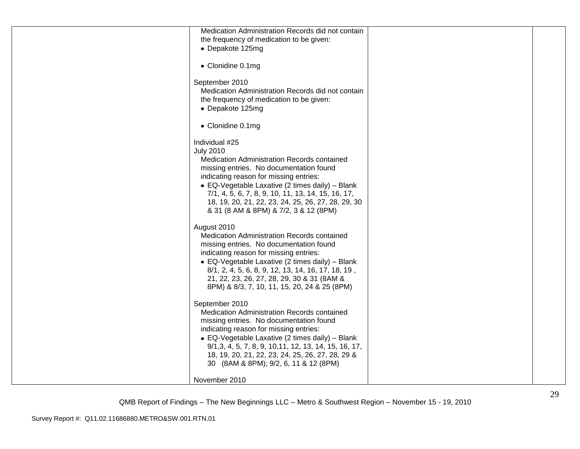| Medication Administration Records did not contain             |  |
|---------------------------------------------------------------|--|
| the frequency of medication to be given:                      |  |
| • Depakote 125mg                                              |  |
|                                                               |  |
| • Clonidine 0.1mg                                             |  |
|                                                               |  |
| September 2010                                                |  |
| Medication Administration Records did not contain             |  |
| the frequency of medication to be given:                      |  |
| • Depakote 125mg                                              |  |
|                                                               |  |
| • Clonidine 0.1mg                                             |  |
|                                                               |  |
| Individual #25                                                |  |
| <b>July 2010</b>                                              |  |
| Medication Administration Records contained                   |  |
| missing entries. No documentation found                       |  |
| indicating reason for missing entries:                        |  |
| • EQ-Vegetable Laxative (2 times daily) - Blank               |  |
| 7/1, 4, 5, 6, 7, 8, 9, 10, 11, 13, 14, 15, 16, 17,            |  |
| 18, 19, 20, 21, 22, 23, 24, 25, 26, 27, 28, 29, 30            |  |
| & 31 (8 AM & 8PM) & 7/2, 3 & 12 (8PM)                         |  |
|                                                               |  |
| August 2010                                                   |  |
| Medication Administration Records contained                   |  |
| missing entries. No documentation found                       |  |
| indicating reason for missing entries:                        |  |
|                                                               |  |
| • EQ-Vegetable Laxative (2 times daily) - Blank               |  |
| 8/1, 2, 4, 5, 6, 8, 9, 12, 13, 14, 16, 17, 18, 19,            |  |
| 21, 22, 23, 26, 27, 28, 29, 30 & 31 (8AM &                    |  |
| 8PM) & 8/3, 7, 10, 11, 15, 20, 24 & 25 (8PM)                  |  |
|                                                               |  |
| September 2010<br>Medication Administration Records contained |  |
|                                                               |  |
| missing entries. No documentation found                       |  |
| indicating reason for missing entries:                        |  |
| • EQ-Vegetable Laxative (2 times daily) - Blank               |  |
| 9/1, 3, 4, 5, 7, 8, 9, 10, 11, 12, 13, 14, 15, 16, 17,        |  |
| 18, 19, 20, 21, 22, 23, 24, 25, 26, 27, 28, 29 &              |  |
| 30 (8AM & 8PM); 9/2, 6, 11 & 12 (8PM)                         |  |
|                                                               |  |
| November 2010                                                 |  |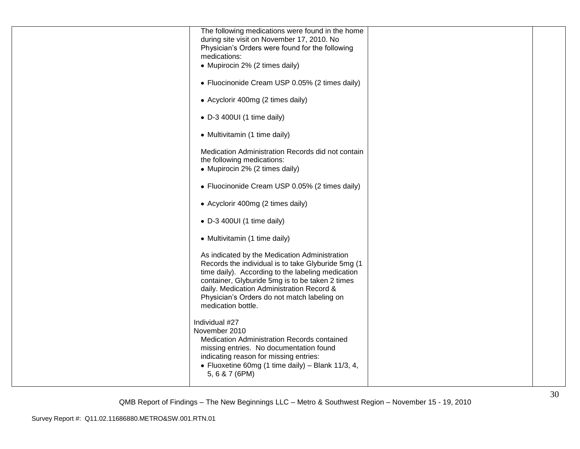| The following medications were found in the home   |  |
|----------------------------------------------------|--|
| during site visit on November 17, 2010. No         |  |
| Physician's Orders were found for the following    |  |
| medications:                                       |  |
| • Mupirocin 2% (2 times daily)                     |  |
|                                                    |  |
| • Fluocinonide Cream USP 0.05% (2 times daily)     |  |
|                                                    |  |
|                                                    |  |
| • Acyclorir 400mg (2 times daily)                  |  |
|                                                    |  |
| • D-3 400UI (1 time daily)                         |  |
|                                                    |  |
| • Multivitamin (1 time daily)                      |  |
|                                                    |  |
| Medication Administration Records did not contain  |  |
| the following medications:                         |  |
| • Mupirocin 2% (2 times daily)                     |  |
|                                                    |  |
| • Fluocinonide Cream USP 0.05% (2 times daily)     |  |
|                                                    |  |
| • Acyclorir 400mg (2 times daily)                  |  |
|                                                    |  |
| $\bullet$ D-3 400UI (1 time daily)                 |  |
|                                                    |  |
| • Multivitamin (1 time daily)                      |  |
|                                                    |  |
| As indicated by the Medication Administration      |  |
|                                                    |  |
| Records the individual is to take Glyburide 5mg (1 |  |
| time daily). According to the labeling medication  |  |
| container, Glyburide 5mg is to be taken 2 times    |  |
| daily. Medication Administration Record &          |  |
| Physician's Orders do not match labeling on        |  |
| medication bottle.                                 |  |
|                                                    |  |
| Individual #27                                     |  |
| November 2010                                      |  |
| Medication Administration Records contained        |  |
| missing entries. No documentation found            |  |
| indicating reason for missing entries:             |  |
| • Fluoxetine 60mg (1 time daily) - Blank 11/3, 4,  |  |
| 5, 6 & 7 (6PM)                                     |  |
|                                                    |  |
|                                                    |  |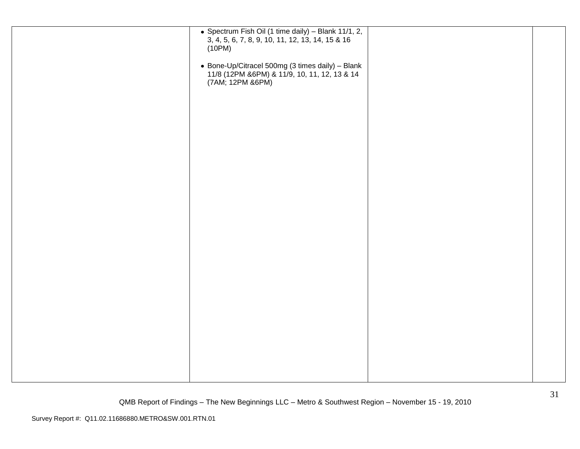| • Spectrum Fish Oil (1 time daily) - Blank 11/1, 2,<br>3, 4, 5, 6, 7, 8, 9, 10, 11, 12, 13, 14, 15 & 16<br>(10PM)<br>• Bone-Up/Citracel 500mg (3 times daily) - Blank<br>11/8 (12PM & 6PM) & 11/9, 10, 11, 12, 13 & 14<br>(7AM; 12PM &6PM) |  |
|--------------------------------------------------------------------------------------------------------------------------------------------------------------------------------------------------------------------------------------------|--|
|                                                                                                                                                                                                                                            |  |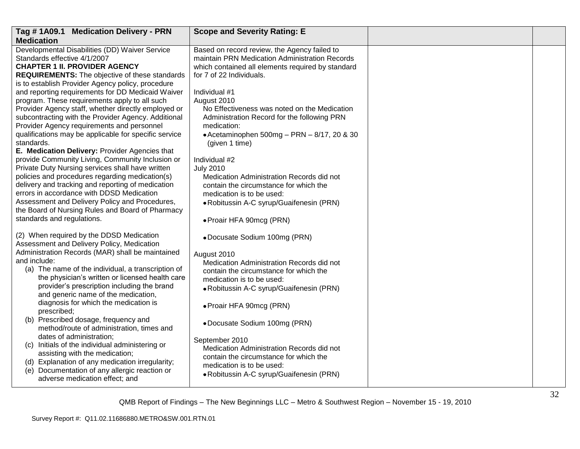| Tag #1A09.1 Medication Delivery - PRN                                                                                                                                                                                                                                                                                                                                                                                                                                                                  | <b>Scope and Severity Rating: E</b>                                                                                                                                                                                                                                       |  |
|--------------------------------------------------------------------------------------------------------------------------------------------------------------------------------------------------------------------------------------------------------------------------------------------------------------------------------------------------------------------------------------------------------------------------------------------------------------------------------------------------------|---------------------------------------------------------------------------------------------------------------------------------------------------------------------------------------------------------------------------------------------------------------------------|--|
| <b>Medication</b>                                                                                                                                                                                                                                                                                                                                                                                                                                                                                      |                                                                                                                                                                                                                                                                           |  |
| Developmental Disabilities (DD) Waiver Service<br>Standards effective 4/1/2007<br><b>CHAPTER 1 II. PROVIDER AGENCY</b><br><b>REQUIREMENTS:</b> The objective of these standards<br>is to establish Provider Agency policy, procedure                                                                                                                                                                                                                                                                   | Based on record review, the Agency failed to<br>maintain PRN Medication Administration Records<br>which contained all elements required by standard<br>for 7 of 22 Individuals.                                                                                           |  |
| and reporting requirements for DD Medicaid Waiver<br>program. These requirements apply to all such<br>Provider Agency staff, whether directly employed or<br>subcontracting with the Provider Agency. Additional<br>Provider Agency requirements and personnel<br>qualifications may be applicable for specific service<br>standards.<br>E. Medication Delivery: Provider Agencies that                                                                                                                | Individual #1<br>August 2010<br>No Effectiveness was noted on the Medication<br>Administration Record for the following PRN<br>medication:<br>$\bullet$ Acetaminophen 500mg - PRN - 8/17, 20 & 30<br>(given 1 time)                                                       |  |
| provide Community Living, Community Inclusion or<br>Private Duty Nursing services shall have written<br>policies and procedures regarding medication(s)<br>delivery and tracking and reporting of medication<br>errors in accordance with DDSD Medication<br>Assessment and Delivery Policy and Procedures,<br>the Board of Nursing Rules and Board of Pharmacy<br>standards and regulations.                                                                                                          | Individual #2<br><b>July 2010</b><br>Medication Administration Records did not<br>contain the circumstance for which the<br>medication is to be used:<br>• Robitussin A-C syrup/Guaifenesin (PRN)<br>• Proair HFA 90mcg (PRN)                                             |  |
| (2) When required by the DDSD Medication<br>Assessment and Delivery Policy, Medication<br>Administration Records (MAR) shall be maintained<br>and include:<br>(a) The name of the individual, a transcription of<br>the physician's written or licensed health care<br>provider's prescription including the brand<br>and generic name of the medication,<br>diagnosis for which the medication is<br>prescribed;<br>(b) Prescribed dosage, frequency and<br>method/route of administration, times and | · Docusate Sodium 100mg (PRN)<br>August 2010<br>Medication Administration Records did not<br>contain the circumstance for which the<br>medication is to be used:<br>• Robitussin A-C syrup/Guaifenesin (PRN)<br>• Proair HFA 90mcg (PRN)<br>• Docusate Sodium 100mg (PRN) |  |
| dates of administration;<br>(c) Initials of the individual administering or<br>assisting with the medication;<br>(d) Explanation of any medication irregularity;<br>(e) Documentation of any allergic reaction or<br>adverse medication effect; and                                                                                                                                                                                                                                                    | September 2010<br>Medication Administration Records did not<br>contain the circumstance for which the<br>medication is to be used:<br>• Robitussin A-C syrup/Guaifenesin (PRN)                                                                                            |  |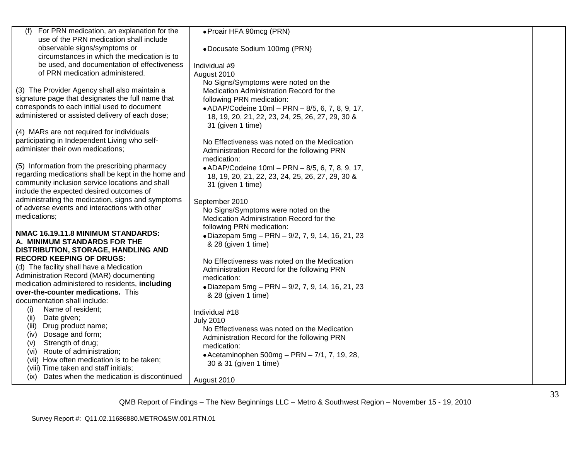| For PRN medication, an explanation for the<br>(f)   | · Proair HFA 90mcg (PRN)                         |  |
|-----------------------------------------------------|--------------------------------------------------|--|
| use of the PRN medication shall include             |                                                  |  |
| observable signs/symptoms or                        | • Docusate Sodium 100mg (PRN)                    |  |
| circumstances in which the medication is to         |                                                  |  |
| be used, and documentation of effectiveness         | Individual #9                                    |  |
| of PRN medication administered.                     | August 2010                                      |  |
|                                                     | No Signs/Symptoms were noted on the              |  |
| (3) The Provider Agency shall also maintain a       | Medication Administration Record for the         |  |
| signature page that designates the full name that   | following PRN medication:                        |  |
| corresponds to each initial used to document        | • ADAP/Codeine 10ml - PRN - 8/5, 6, 7, 8, 9, 17, |  |
| administered or assisted delivery of each dose;     | 18, 19, 20, 21, 22, 23, 24, 25, 26, 27, 29, 30 & |  |
|                                                     | 31 (given 1 time)                                |  |
| (4) MARs are not required for individuals           |                                                  |  |
| participating in Independent Living who self-       | No Effectiveness was noted on the Medication     |  |
| administer their own medications;                   | Administration Record for the following PRN      |  |
|                                                     | medication:                                      |  |
| (5) Information from the prescribing pharmacy       | • ADAP/Codeine 10ml - PRN - 8/5, 6, 7, 8, 9, 17, |  |
| regarding medications shall be kept in the home and | 18, 19, 20, 21, 22, 23, 24, 25, 26, 27, 29, 30 & |  |
| community inclusion service locations and shall     | 31 (given 1 time)                                |  |
| include the expected desired outcomes of            |                                                  |  |
| administrating the medication, signs and symptoms   | September 2010                                   |  |
| of adverse events and interactions with other       | No Signs/Symptoms were noted on the              |  |
| medications;                                        | Medication Administration Record for the         |  |
|                                                     | following PRN medication:                        |  |
| NMAC 16.19.11.8 MINIMUM STANDARDS:                  | · Diazepam 5mg - PRN - 9/2, 7, 9, 14, 16, 21, 23 |  |
| A. MINIMUM STANDARDS FOR THE                        | & 28 (given 1 time)                              |  |
| DISTRIBUTION, STORAGE, HANDLING AND                 |                                                  |  |
| <b>RECORD KEEPING OF DRUGS:</b>                     | No Effectiveness was noted on the Medication     |  |
| (d) The facility shall have a Medication            | Administration Record for the following PRN      |  |
| Administration Record (MAR) documenting             | medication:                                      |  |
| medication administered to residents, including     | · Diazepam 5mg - PRN - 9/2, 7, 9, 14, 16, 21, 23 |  |
| over-the-counter medications. This                  | & 28 (given 1 time)                              |  |
| documentation shall include:                        |                                                  |  |
| (i)<br>Name of resident;                            | Individual #18                                   |  |
| Date given;<br>(ii)                                 | <b>July 2010</b>                                 |  |
| (iii)<br>Drug product name;                         | No Effectiveness was noted on the Medication     |  |
| Dosage and form;<br>(iv)                            | Administration Record for the following PRN      |  |
| Strength of drug;<br>(v)                            | medication:                                      |  |
| Route of administration;<br>(vi)                    |                                                  |  |
| (vii) How often medication is to be taken;          | • Acetaminophen $500mg - PRN - 7/1$ , 7, 19, 28, |  |
| (viii) Time taken and staff initials;               | 30 & 31 (given 1 time)                           |  |
| (ix) Dates when the medication is discontinued      | August 2010                                      |  |
|                                                     |                                                  |  |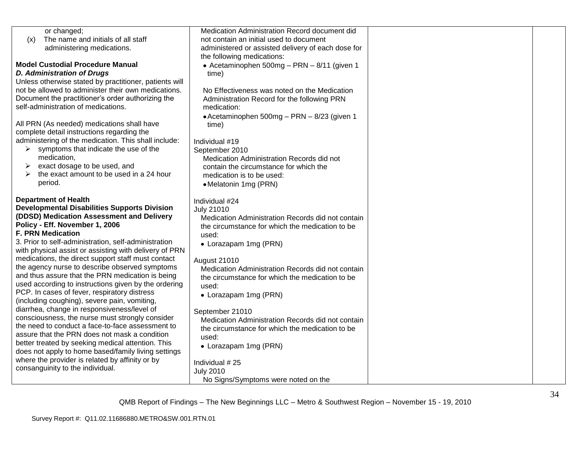| or changed;                                                                                          | Medication Administration Record document did                                                        |  |
|------------------------------------------------------------------------------------------------------|------------------------------------------------------------------------------------------------------|--|
| The name and initials of all staff<br>(x)                                                            | not contain an initial used to document                                                              |  |
| administering medications.                                                                           | administered or assisted delivery of each dose for                                                   |  |
| <b>Model Custodial Procedure Manual</b>                                                              | the following medications:<br>• Acetaminophen 500mg - PRN - 8/11 (given 1                            |  |
| <b>D. Administration of Drugs</b>                                                                    | time)                                                                                                |  |
| Unless otherwise stated by practitioner, patients will                                               |                                                                                                      |  |
| not be allowed to administer their own medications.                                                  | No Effectiveness was noted on the Medication                                                         |  |
| Document the practitioner's order authorizing the                                                    | Administration Record for the following PRN                                                          |  |
| self-administration of medications.                                                                  | medication:                                                                                          |  |
|                                                                                                      | • Acetaminophen 500mg - PRN - 8/23 (given 1                                                          |  |
| All PRN (As needed) medications shall have                                                           | time)                                                                                                |  |
| complete detail instructions regarding the                                                           |                                                                                                      |  |
| administering of the medication. This shall include:                                                 | Individual #19                                                                                       |  |
| symptoms that indicate the use of the<br>➤                                                           | September 2010                                                                                       |  |
| medication,                                                                                          | Medication Administration Records did not                                                            |  |
| exact dosage to be used, and<br>➤<br>the exact amount to be used in a 24 hour                        | contain the circumstance for which the                                                               |  |
| period.                                                                                              | medication is to be used:                                                                            |  |
|                                                                                                      | • Melatonin 1mg (PRN)                                                                                |  |
| <b>Department of Health</b>                                                                          | Individual #24                                                                                       |  |
| <b>Developmental Disabilities Supports Division</b>                                                  | <b>July 21010</b>                                                                                    |  |
| (DDSD) Medication Assessment and Delivery                                                            | Medication Administration Records did not contain                                                    |  |
| Policy - Eff. November 1, 2006                                                                       | the circumstance for which the medication to be                                                      |  |
| <b>F. PRN Medication</b>                                                                             | used:                                                                                                |  |
| 3. Prior to self-administration, self-administration                                                 | • Lorazapam 1mg (PRN)                                                                                |  |
| with physical assist or assisting with delivery of PRN                                               |                                                                                                      |  |
| medications, the direct support staff must contact                                                   | <b>August 21010</b>                                                                                  |  |
| the agency nurse to describe observed symptoms                                                       | Medication Administration Records did not contain                                                    |  |
| and thus assure that the PRN medication is being                                                     | the circumstance for which the medication to be                                                      |  |
| used according to instructions given by the ordering<br>PCP. In cases of fever, respiratory distress | used:                                                                                                |  |
| (including coughing), severe pain, vomiting,                                                         | • Lorazapam 1mg (PRN)                                                                                |  |
| diarrhea, change in responsiveness/level of                                                          |                                                                                                      |  |
| consciousness, the nurse must strongly consider                                                      | September 21010                                                                                      |  |
| the need to conduct a face-to-face assessment to                                                     | Medication Administration Records did not contain<br>the circumstance for which the medication to be |  |
| assure that the PRN does not mask a condition                                                        | used:                                                                                                |  |
| better treated by seeking medical attention. This                                                    | • Lorazapam 1mg (PRN)                                                                                |  |
| does not apply to home based/family living settings                                                  |                                                                                                      |  |
| where the provider is related by affinity or by                                                      | Individual #25                                                                                       |  |
| consanguinity to the individual.                                                                     | <b>July 2010</b>                                                                                     |  |
|                                                                                                      | No Signs/Symptoms were noted on the                                                                  |  |
|                                                                                                      |                                                                                                      |  |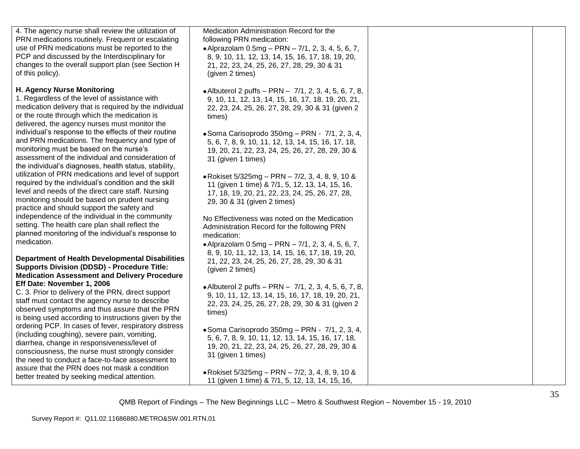| 4. The agency nurse shall review the utilization of                                                   | Medication Administration Record for the               |  |
|-------------------------------------------------------------------------------------------------------|--------------------------------------------------------|--|
| PRN medications routinely. Frequent or escalating                                                     | following PRN medication:                              |  |
| use of PRN medications must be reported to the                                                        | • Alprazolam $0.5mg - PRN - 7/1$ , 2, 3, 4, 5, 6, 7,   |  |
| PCP and discussed by the Interdisciplinary for                                                        | 8, 9, 10, 11, 12, 13, 14, 15, 16, 17, 18, 19, 20,      |  |
| changes to the overall support plan (see Section H                                                    | 21, 22, 23, 24, 25, 26, 27, 28, 29, 30 & 31            |  |
| of this policy).                                                                                      | (given 2 times)                                        |  |
|                                                                                                       |                                                        |  |
| <b>H. Agency Nurse Monitoring</b>                                                                     | • Albuterol 2 puffs - PRN - 7/1, 2, 3, 4, 5, 6, 7, 8,  |  |
| 1. Regardless of the level of assistance with                                                         | 9, 10, 11, 12, 13, 14, 15, 16, 17, 18, 19, 20, 21,     |  |
| medication delivery that is required by the individual                                                | 22, 23, 24, 25, 26, 27, 28, 29, 30 & 31 (given 2       |  |
| or the route through which the medication is                                                          | times)                                                 |  |
| delivered, the agency nurses must monitor the                                                         |                                                        |  |
| individual's response to the effects of their routine                                                 | $\bullet$ Soma Carisoprodo 350mg - PRN - 7/1, 2, 3, 4, |  |
| and PRN medications. The frequency and type of                                                        | 5, 6, 7, 8, 9, 10, 11, 12, 13, 14, 15, 16, 17, 18,     |  |
| monitoring must be based on the nurse's                                                               | 19, 20, 21, 22, 23, 24, 25, 26, 27, 28, 29, 30 &       |  |
| assessment of the individual and consideration of                                                     | 31 (given 1 times)                                     |  |
| the individual's diagnoses, health status, stability,                                                 |                                                        |  |
| utilization of PRN medications and level of support                                                   | ● Rokiset 5/325mg – PRN – 7/2, 3, 4, 8, 9, 10 &        |  |
| required by the individual's condition and the skill                                                  |                                                        |  |
| level and needs of the direct care staff. Nursing                                                     | 11 (given 1 time) & 7/1, 5, 12, 13, 14, 15, 16,        |  |
| monitoring should be based on prudent nursing                                                         | 17, 18, 19, 20, 21, 22, 23, 24, 25, 26, 27, 28,        |  |
| practice and should support the safety and                                                            | 29, 30 & 31 (given 2 times)                            |  |
| independence of the individual in the community                                                       |                                                        |  |
| setting. The health care plan shall reflect the                                                       | No Effectiveness was noted on the Medication           |  |
| planned monitoring of the individual's response to                                                    | Administration Record for the following PRN            |  |
| medication.                                                                                           | medication:                                            |  |
|                                                                                                       | • Alprazolam 0.5mg - PRN - 7/1, 2, 3, 4, 5, 6, 7,      |  |
| <b>Department of Health Developmental Disabilities</b>                                                | 8, 9, 10, 11, 12, 13, 14, 15, 16, 17, 18, 19, 20,      |  |
| <b>Supports Division (DDSD) - Procedure Title:</b>                                                    | 21, 22, 23, 24, 25, 26, 27, 28, 29, 30 & 31            |  |
| <b>Medication Assessment and Delivery Procedure</b>                                                   | (given 2 times)                                        |  |
| Eff Date: November 1, 2006                                                                            |                                                        |  |
| C. 3. Prior to delivery of the PRN, direct support                                                    | • Albuterol 2 puffs - PRN - 7/1, 2, 3, 4, 5, 6, 7, 8,  |  |
| staff must contact the agency nurse to describe                                                       | 9, 10, 11, 12, 13, 14, 15, 16, 17, 18, 19, 20, 21,     |  |
| observed symptoms and thus assure that the PRN                                                        | 22, 23, 24, 25, 26, 27, 28, 29, 30 & 31 (given 2       |  |
|                                                                                                       | times)                                                 |  |
| is being used according to instructions given by the                                                  |                                                        |  |
| ordering PCP. In cases of fever, respiratory distress<br>(including coughing), severe pain, vomiting, | $\bullet$ Soma Carisoprodo 350mg – PRN - 7/1, 2, 3, 4, |  |
| diarrhea, change in responsiveness/level of                                                           | 5, 6, 7, 8, 9, 10, 11, 12, 13, 14, 15, 16, 17, 18,     |  |
|                                                                                                       | 19, 20, 21, 22, 23, 24, 25, 26, 27, 28, 29, 30 &       |  |
| consciousness, the nurse must strongly consider<br>the need to conduct a face-to-face assessment to   | 31 (given 1 times)                                     |  |
| assure that the PRN does not mask a condition                                                         |                                                        |  |
| better treated by seeking medical attention.                                                          | • Rokiset $5/325mg - PRN - 7/2$ , 3, 4, 8, 9, 10 &     |  |
|                                                                                                       | 11 (given 1 time) & 7/1, 5, 12, 13, 14, 15, 16,        |  |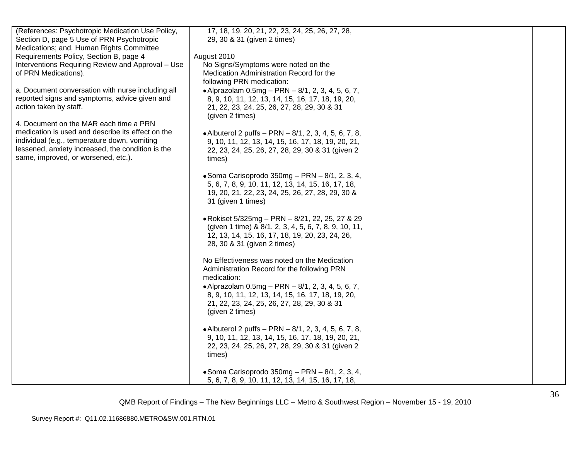| (References: Psychotropic Medication Use Policy,  | 17, 18, 19, 20, 21, 22, 23, 24, 25, 26, 27, 28,        |  |
|---------------------------------------------------|--------------------------------------------------------|--|
| Section D, page 5 Use of PRN Psychotropic         | 29, 30 & 31 (given 2 times)                            |  |
| Medications; and, Human Rights Committee          |                                                        |  |
| Requirements Policy, Section B, page 4            | August 2010                                            |  |
| Interventions Requiring Review and Approval - Use | No Signs/Symptoms were noted on the                    |  |
| of PRN Medications).                              | Medication Administration Record for the               |  |
|                                                   | following PRN medication:                              |  |
| a. Document conversation with nurse including all | • Alprazolam $0.5mg - PRN - 8/1, 2, 3, 4, 5, 6, 7,$    |  |
| reported signs and symptoms, advice given and     | 8, 9, 10, 11, 12, 13, 14, 15, 16, 17, 18, 19, 20,      |  |
| action taken by staff.                            | 21, 22, 23, 24, 25, 26, 27, 28, 29, 30 & 31            |  |
|                                                   | (given 2 times)                                        |  |
| 4. Document on the MAR each time a PRN            |                                                        |  |
| medication is used and describe its effect on the |                                                        |  |
| individual (e.g., temperature down, vomiting      | • Albuterol 2 puffs - PRN - 8/1, 2, 3, 4, 5, 6, 7, 8,  |  |
| lessened, anxiety increased, the condition is the | 9, 10, 11, 12, 13, 14, 15, 16, 17, 18, 19, 20, 21,     |  |
| same, improved, or worsened, etc.).               | 22, 23, 24, 25, 26, 27, 28, 29, 30 & 31 (given 2       |  |
|                                                   | times)                                                 |  |
|                                                   |                                                        |  |
|                                                   | • Soma Carisoprodo 350mg - PRN - 8/1, 2, 3, 4,         |  |
|                                                   | 5, 6, 7, 8, 9, 10, 11, 12, 13, 14, 15, 16, 17, 18,     |  |
|                                                   | 19, 20, 21, 22, 23, 24, 25, 26, 27, 28, 29, 30 &       |  |
|                                                   | 31 (given 1 times)                                     |  |
|                                                   |                                                        |  |
|                                                   | • Rokiset 5/325mg - PRN - 8/21, 22, 25, 27 & 29        |  |
|                                                   | (given 1 time) & 8/1, 2, 3, 4, 5, 6, 7, 8, 9, 10, 11,  |  |
|                                                   | 12, 13, 14, 15, 16, 17, 18, 19, 20, 23, 24, 26,        |  |
|                                                   | 28, 30 & 31 (given 2 times)                            |  |
|                                                   |                                                        |  |
|                                                   | No Effectiveness was noted on the Medication           |  |
|                                                   | Administration Record for the following PRN            |  |
|                                                   | medication:                                            |  |
|                                                   | • Alprazolam $0.5mg - PRN - 8/1, 2, 3, 4, 5, 6, 7,$    |  |
|                                                   | 8, 9, 10, 11, 12, 13, 14, 15, 16, 17, 18, 19, 20,      |  |
|                                                   | 21, 22, 23, 24, 25, 26, 27, 28, 29, 30 & 31            |  |
|                                                   | (given 2 times)                                        |  |
|                                                   |                                                        |  |
|                                                   | • Albuterol 2 puffs - PRN - 8/1, 2, 3, 4, 5, 6, 7, 8,  |  |
|                                                   | 9, 10, 11, 12, 13, 14, 15, 16, 17, 18, 19, 20, 21,     |  |
|                                                   | 22, 23, 24, 25, 26, 27, 28, 29, 30 & 31 (given 2       |  |
|                                                   | times)                                                 |  |
|                                                   |                                                        |  |
|                                                   | $\bullet$ Soma Carisoprodo 350mg – PRN – 8/1, 2, 3, 4, |  |
|                                                   | 5, 6, 7, 8, 9, 10, 11, 12, 13, 14, 15, 16, 17, 18,     |  |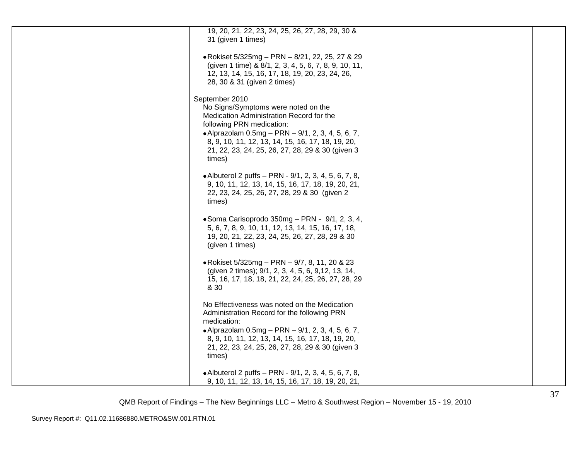| 19, 20, 21, 22, 23, 24, 25, 26, 27, 28, 29, 30 &<br>31 (given 1 times)                                                                                                                                                                                                                                   |  |
|----------------------------------------------------------------------------------------------------------------------------------------------------------------------------------------------------------------------------------------------------------------------------------------------------------|--|
| • Rokiset 5/325mg - PRN - 8/21, 22, 25, 27 & 29<br>(given 1 time) & 8/1, 2, 3, 4, 5, 6, 7, 8, 9, 10, 11,<br>12, 13, 14, 15, 16, 17, 18, 19, 20, 23, 24, 26,<br>28, 30 & 31 (given 2 times)                                                                                                               |  |
| September 2010<br>No Signs/Symptoms were noted on the<br>Medication Administration Record for the<br>following PRN medication:<br>• Alprazolam $0.5mg - PRN - 9/1, 2, 3, 4, 5, 6, 7,$<br>8, 9, 10, 11, 12, 13, 14, 15, 16, 17, 18, 19, 20,<br>21, 22, 23, 24, 25, 26, 27, 28, 29 & 30 (given 3<br>times) |  |
| • Albuterol 2 puffs – PRN - 9/1, 2, 3, 4, 5, 6, 7, 8,<br>9, 10, 11, 12, 13, 14, 15, 16, 17, 18, 19, 20, 21,<br>22, 23, 24, 25, 26, 27, 28, 29 & 30 (given 2)<br>times)                                                                                                                                   |  |
| $\bullet$ Soma Carisoprodo 350mg – PRN - 9/1, 2, 3, 4,<br>5, 6, 7, 8, 9, 10, 11, 12, 13, 14, 15, 16, 17, 18,<br>19, 20, 21, 22, 23, 24, 25, 26, 27, 28, 29 & 30<br>(given 1 times)                                                                                                                       |  |
| • Rokiset 5/325mg - PRN - 9/7, 8, 11, 20 & 23<br>(given 2 times); 9/1, 2, 3, 4, 5, 6, 9, 12, 13, 14,<br>15, 16, 17, 18, 18, 21, 22, 24, 25, 26, 27, 28, 29<br>& 30                                                                                                                                       |  |
| No Effectiveness was noted on the Medication<br>Administration Record for the following PRN<br>medication:<br>• Alprazolam $0.5mg - PRN - 9/1, 2, 3, 4, 5, 6, 7,$<br>8, 9, 10, 11, 12, 13, 14, 15, 16, 17, 18, 19, 20,<br>21, 22, 23, 24, 25, 26, 27, 28, 29 & 30 (given 3<br>times)                     |  |
| • Albuterol 2 puffs - PRN - 9/1, 2, 3, 4, 5, 6, 7, 8,<br>9, 10, 11, 12, 13, 14, 15, 16, 17, 18, 19, 20, 21,                                                                                                                                                                                              |  |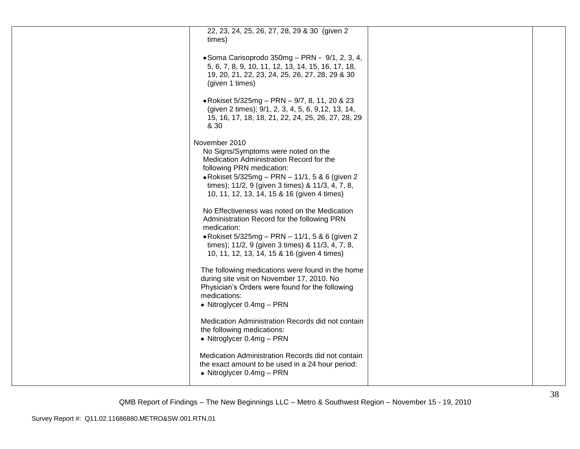| 22, 23, 24, 25, 26, 27, 28, 29 & 30 (given 2<br>times)<br>• Soma Carisoprodo 350mg - PRN - 9/1, 2, 3, 4,<br>5, 6, 7, 8, 9, 10, 11, 12, 13, 14, 15, 16, 17, 18,<br>19, 20, 21, 22, 23, 24, 25, 26, 27, 28, 29 & 30<br>(given 1 times)<br>• Rokiset 5/325mg - PRN - 9/7, 8, 11, 20 & 23<br>(given 2 times); 9/1, 2, 3, 4, 5, 6, 9, 12, 13, 14,<br>15, 16, 17, 18, 18, 21, 22, 24, 25, 26, 27, 28, 29<br>& 30<br>November 2010<br>No Signs/Symptoms were noted on the<br>Medication Administration Record for the<br>following PRN medication:<br>• Rokiset 5/325mg - PRN - 11/1, 5 & 6 (given 2<br>times); 11/2, 9 (given 3 times) & 11/3, 4, 7, 8,<br>10, 11, 12, 13, 14, 15 & 16 (given 4 times)<br>No Effectiveness was noted on the Medication<br>Administration Record for the following PRN<br>medication:<br>• Rokiset $5/325mg - PRN - 11/1$ , 5 & 6 (given 2)<br>times); 11/2, 9 (given 3 times) & 11/3, 4, 7, 8,<br>10, 11, 12, 13, 14, 15 & 16 (given 4 times)<br>The following medications were found in the home<br>during site visit on November 17, 2010. No<br>Physician's Orders were found for the following<br>medications:<br>• Nitroglycer $0.4mg - PRN$<br>Medication Administration Records did not contain<br>the following medications:<br>• Nitroglycer $0.4mg - PRN$<br>Medication Administration Records did not contain<br>the exact amount to be used in a 24 hour period:<br>• Nitroglycer $0.4mg - PRN$ |  |  |
|---------------------------------------------------------------------------------------------------------------------------------------------------------------------------------------------------------------------------------------------------------------------------------------------------------------------------------------------------------------------------------------------------------------------------------------------------------------------------------------------------------------------------------------------------------------------------------------------------------------------------------------------------------------------------------------------------------------------------------------------------------------------------------------------------------------------------------------------------------------------------------------------------------------------------------------------------------------------------------------------------------------------------------------------------------------------------------------------------------------------------------------------------------------------------------------------------------------------------------------------------------------------------------------------------------------------------------------------------------------------------------------------------------------------------------------|--|--|
|                                                                                                                                                                                                                                                                                                                                                                                                                                                                                                                                                                                                                                                                                                                                                                                                                                                                                                                                                                                                                                                                                                                                                                                                                                                                                                                                                                                                                                       |  |  |
|                                                                                                                                                                                                                                                                                                                                                                                                                                                                                                                                                                                                                                                                                                                                                                                                                                                                                                                                                                                                                                                                                                                                                                                                                                                                                                                                                                                                                                       |  |  |
|                                                                                                                                                                                                                                                                                                                                                                                                                                                                                                                                                                                                                                                                                                                                                                                                                                                                                                                                                                                                                                                                                                                                                                                                                                                                                                                                                                                                                                       |  |  |
|                                                                                                                                                                                                                                                                                                                                                                                                                                                                                                                                                                                                                                                                                                                                                                                                                                                                                                                                                                                                                                                                                                                                                                                                                                                                                                                                                                                                                                       |  |  |
|                                                                                                                                                                                                                                                                                                                                                                                                                                                                                                                                                                                                                                                                                                                                                                                                                                                                                                                                                                                                                                                                                                                                                                                                                                                                                                                                                                                                                                       |  |  |
|                                                                                                                                                                                                                                                                                                                                                                                                                                                                                                                                                                                                                                                                                                                                                                                                                                                                                                                                                                                                                                                                                                                                                                                                                                                                                                                                                                                                                                       |  |  |
|                                                                                                                                                                                                                                                                                                                                                                                                                                                                                                                                                                                                                                                                                                                                                                                                                                                                                                                                                                                                                                                                                                                                                                                                                                                                                                                                                                                                                                       |  |  |
|                                                                                                                                                                                                                                                                                                                                                                                                                                                                                                                                                                                                                                                                                                                                                                                                                                                                                                                                                                                                                                                                                                                                                                                                                                                                                                                                                                                                                                       |  |  |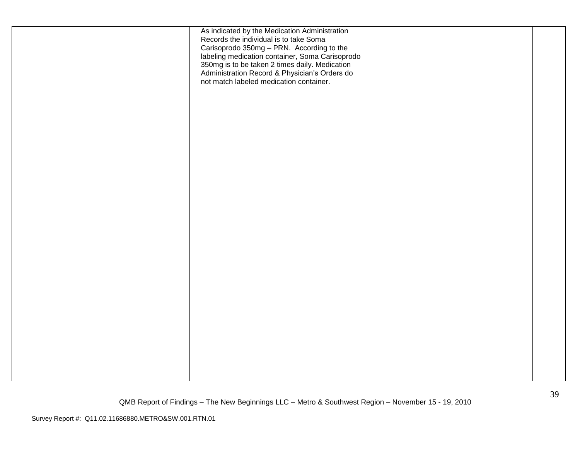| As indicated by the Medication Administration<br>Records the individual is to take Soma<br>Carisoprodo 350mg - PRN. According to the<br>labeling medication container, Soma Carisoprodo<br>350mg is to be taken 2 times daily. Medication<br>Administration Record & Physician's Orders do<br>not match labeled medication container. |  |
|---------------------------------------------------------------------------------------------------------------------------------------------------------------------------------------------------------------------------------------------------------------------------------------------------------------------------------------|--|
|                                                                                                                                                                                                                                                                                                                                       |  |
|                                                                                                                                                                                                                                                                                                                                       |  |
|                                                                                                                                                                                                                                                                                                                                       |  |
|                                                                                                                                                                                                                                                                                                                                       |  |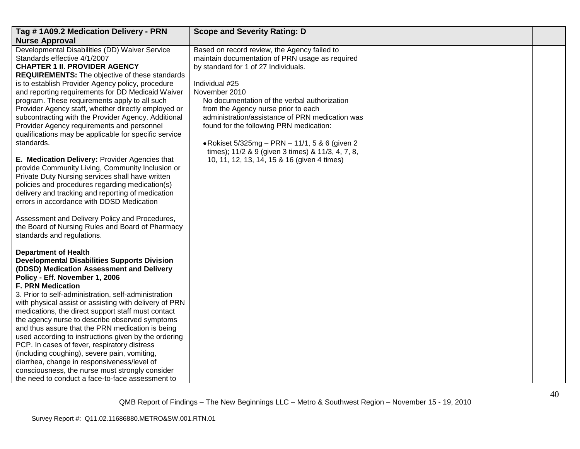| Tag #1A09.2 Medication Delivery - PRN                                                          | <b>Scope and Severity Rating: D</b>                |  |
|------------------------------------------------------------------------------------------------|----------------------------------------------------|--|
| <b>Nurse Approval</b>                                                                          |                                                    |  |
| Developmental Disabilities (DD) Waiver Service                                                 | Based on record review, the Agency failed to       |  |
| Standards effective 4/1/2007                                                                   | maintain documentation of PRN usage as required    |  |
| <b>CHAPTER 1 II. PROVIDER AGENCY</b>                                                           | by standard for 1 of 27 Individuals.               |  |
| REQUIREMENTS: The objective of these standards                                                 |                                                    |  |
| is to establish Provider Agency policy, procedure                                              | Individual #25                                     |  |
| and reporting requirements for DD Medicaid Waiver                                              | November 2010                                      |  |
| program. These requirements apply to all such                                                  | No documentation of the verbal authorization       |  |
| Provider Agency staff, whether directly employed or                                            | from the Agency nurse prior to each                |  |
| subcontracting with the Provider Agency. Additional                                            | administration/assistance of PRN medication was    |  |
| Provider Agency requirements and personnel                                                     | found for the following PRN medication:            |  |
| qualifications may be applicable for specific service                                          |                                                    |  |
| standards.                                                                                     | • Rokiset $5/325mg - PRN - 11/1$ , 5 & 6 (given 2) |  |
|                                                                                                | times); 11/2 & 9 (given 3 times) & 11/3, 4, 7, 8,  |  |
| E. Medication Delivery: Provider Agencies that                                                 | 10, 11, 12, 13, 14, 15 & 16 (given 4 times)        |  |
| provide Community Living, Community Inclusion or                                               |                                                    |  |
| Private Duty Nursing services shall have written                                               |                                                    |  |
| policies and procedures regarding medication(s)                                                |                                                    |  |
| delivery and tracking and reporting of medication<br>errors in accordance with DDSD Medication |                                                    |  |
|                                                                                                |                                                    |  |
| Assessment and Delivery Policy and Procedures,                                                 |                                                    |  |
| the Board of Nursing Rules and Board of Pharmacy                                               |                                                    |  |
| standards and regulations.                                                                     |                                                    |  |
|                                                                                                |                                                    |  |
| <b>Department of Health</b>                                                                    |                                                    |  |
| <b>Developmental Disabilities Supports Division</b>                                            |                                                    |  |
| (DDSD) Medication Assessment and Delivery                                                      |                                                    |  |
| Policy - Eff. November 1, 2006                                                                 |                                                    |  |
| <b>F. PRN Medication</b>                                                                       |                                                    |  |
| 3. Prior to self-administration, self-administration                                           |                                                    |  |
| with physical assist or assisting with delivery of PRN                                         |                                                    |  |
| medications, the direct support staff must contact                                             |                                                    |  |
| the agency nurse to describe observed symptoms                                                 |                                                    |  |
| and thus assure that the PRN medication is being                                               |                                                    |  |
| used according to instructions given by the ordering                                           |                                                    |  |
| PCP. In cases of fever, respiratory distress                                                   |                                                    |  |
| (including coughing), severe pain, vomiting,                                                   |                                                    |  |
| diarrhea, change in responsiveness/level of                                                    |                                                    |  |
| consciousness, the nurse must strongly consider                                                |                                                    |  |
| the need to conduct a face-to-face assessment to                                               |                                                    |  |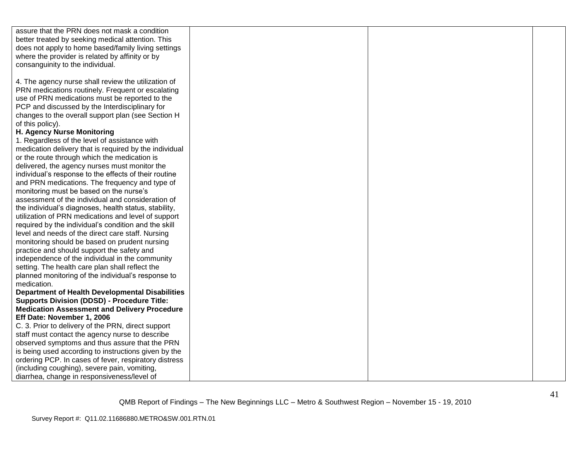| assure that the PRN does not mask a condition          |  |  |
|--------------------------------------------------------|--|--|
| better treated by seeking medical attention. This      |  |  |
| does not apply to home based/family living settings    |  |  |
| where the provider is related by affinity or by        |  |  |
| consanguinity to the individual.                       |  |  |
|                                                        |  |  |
| 4. The agency nurse shall review the utilization of    |  |  |
| PRN medications routinely. Frequent or escalating      |  |  |
| use of PRN medications must be reported to the         |  |  |
| PCP and discussed by the Interdisciplinary for         |  |  |
| changes to the overall support plan (see Section H     |  |  |
| of this policy).                                       |  |  |
| H. Agency Nurse Monitoring                             |  |  |
| 1. Regardless of the level of assistance with          |  |  |
| medication delivery that is required by the individual |  |  |
| or the route through which the medication is           |  |  |
| delivered, the agency nurses must monitor the          |  |  |
| individual's response to the effects of their routine  |  |  |
| and PRN medications. The frequency and type of         |  |  |
| monitoring must be based on the nurse's                |  |  |
| assessment of the individual and consideration of      |  |  |
| the individual's diagnoses, health status, stability,  |  |  |
| utilization of PRN medications and level of support    |  |  |
| required by the individual's condition and the skill   |  |  |
| level and needs of the direct care staff. Nursing      |  |  |
| monitoring should be based on prudent nursing          |  |  |
| practice and should support the safety and             |  |  |
| independence of the individual in the community        |  |  |
| setting. The health care plan shall reflect the        |  |  |
| planned monitoring of the individual's response to     |  |  |
| medication.                                            |  |  |
| <b>Department of Health Developmental Disabilities</b> |  |  |
| <b>Supports Division (DDSD) - Procedure Title:</b>     |  |  |
| <b>Medication Assessment and Delivery Procedure</b>    |  |  |
| Eff Date: November 1, 2006                             |  |  |
| C. 3. Prior to delivery of the PRN, direct support     |  |  |
| staff must contact the agency nurse to describe        |  |  |
| observed symptoms and thus assure that the PRN         |  |  |
| is being used according to instructions given by the   |  |  |
| ordering PCP. In cases of fever, respiratory distress  |  |  |
| (including coughing), severe pain, vomiting,           |  |  |
| diarrhea, change in responsiveness/level of            |  |  |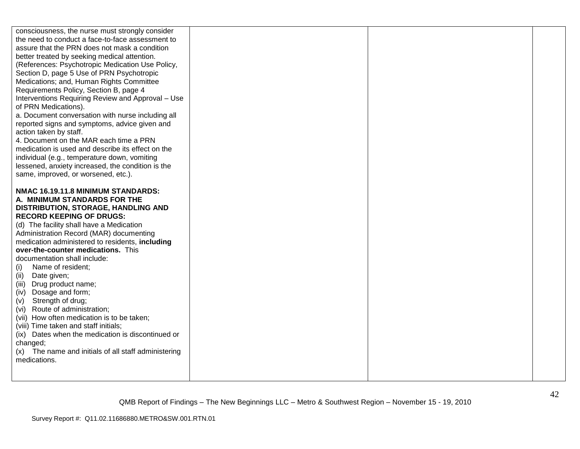| consciousness, the nurse must strongly consider<br>the need to conduct a face-to-face assessment to<br>assure that the PRN does not mask a condition<br>better treated by seeking medical attention.<br>(References: Psychotropic Medication Use Policy,<br>Section D, page 5 Use of PRN Psychotropic<br>Medications; and, Human Rights Committee<br>Requirements Policy, Section B, page 4<br>Interventions Requiring Review and Approval - Use<br>of PRN Medications).<br>a. Document conversation with nurse including all<br>reported signs and symptoms, advice given and<br>action taken by staff.<br>4. Document on the MAR each time a PRN<br>medication is used and describe its effect on the<br>individual (e.g., temperature down, vomiting<br>lessened, anxiety increased, the condition is the<br>same, improved, or worsened, etc.).<br>NMAC 16.19.11.8 MINIMUM STANDARDS:<br>A. MINIMUM STANDARDS FOR THE<br>DISTRIBUTION, STORAGE, HANDLING AND<br><b>RECORD KEEPING OF DRUGS:</b><br>(d) The facility shall have a Medication<br>Administration Record (MAR) documenting<br>medication administered to residents, including<br>over-the-counter medications. This<br>documentation shall include:<br>Name of resident;<br>(i)<br>(ii) Date given;<br>(iii) Drug product name;<br>(iv) Dosage and form;<br>Strength of drug;<br>(v)<br>(vi) Route of administration;<br>(vii) How often medication is to be taken;<br>(viii) Time taken and staff initials;<br>(ix) Dates when the medication is discontinued or |  |  |
|-----------------------------------------------------------------------------------------------------------------------------------------------------------------------------------------------------------------------------------------------------------------------------------------------------------------------------------------------------------------------------------------------------------------------------------------------------------------------------------------------------------------------------------------------------------------------------------------------------------------------------------------------------------------------------------------------------------------------------------------------------------------------------------------------------------------------------------------------------------------------------------------------------------------------------------------------------------------------------------------------------------------------------------------------------------------------------------------------------------------------------------------------------------------------------------------------------------------------------------------------------------------------------------------------------------------------------------------------------------------------------------------------------------------------------------------------------------------------------------------------------------------------------------|--|--|
|                                                                                                                                                                                                                                                                                                                                                                                                                                                                                                                                                                                                                                                                                                                                                                                                                                                                                                                                                                                                                                                                                                                                                                                                                                                                                                                                                                                                                                                                                                                                   |  |  |
| changed;<br>(x) The name and initials of all staff administering<br>medications.                                                                                                                                                                                                                                                                                                                                                                                                                                                                                                                                                                                                                                                                                                                                                                                                                                                                                                                                                                                                                                                                                                                                                                                                                                                                                                                                                                                                                                                  |  |  |
|                                                                                                                                                                                                                                                                                                                                                                                                                                                                                                                                                                                                                                                                                                                                                                                                                                                                                                                                                                                                                                                                                                                                                                                                                                                                                                                                                                                                                                                                                                                                   |  |  |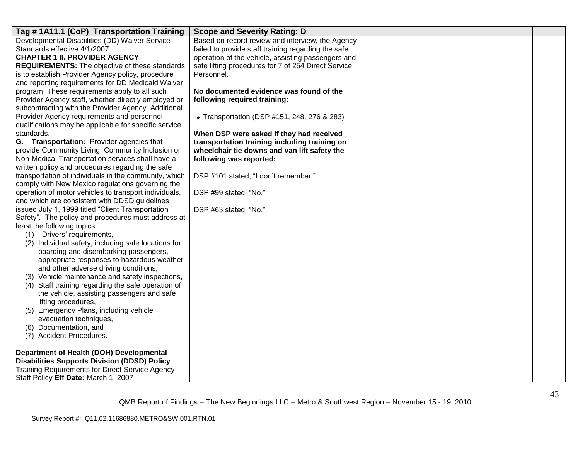| Tag #1A11.1 (CoP) Transportation Training                                                       | <b>Scope and Severity Rating: D</b>                 |  |
|-------------------------------------------------------------------------------------------------|-----------------------------------------------------|--|
| Developmental Disabilities (DD) Waiver Service                                                  | Based on record review and interview, the Agency    |  |
| Standards effective 4/1/2007                                                                    | failed to provide staff training regarding the safe |  |
| <b>CHAPTER 1 II. PROVIDER AGENCY</b>                                                            | operation of the vehicle, assisting passengers and  |  |
| <b>REQUIREMENTS:</b> The objective of these standards                                           | safe lifting procedures for 7 of 254 Direct Service |  |
| is to establish Provider Agency policy, procedure                                               | Personnel.                                          |  |
| and reporting requirements for DD Medicaid Waiver                                               |                                                     |  |
| program. These requirements apply to all such                                                   | No documented evidence was found of the             |  |
| Provider Agency staff, whether directly employed or                                             | following required training:                        |  |
| subcontracting with the Provider Agency. Additional                                             |                                                     |  |
| Provider Agency requirements and personnel                                                      | • Transportation (DSP #151, 248, 276 & 283)         |  |
| qualifications may be applicable for specific service                                           |                                                     |  |
| standards.                                                                                      | When DSP were asked if they had received            |  |
| G. Transportation: Provider agencies that                                                       | transportation training including training on       |  |
| provide Community Living, Community Inclusion or                                                | wheelchair tie downs and van lift safety the        |  |
| Non-Medical Transportation services shall have a                                                | following was reported:                             |  |
| written policy and procedures regarding the safe                                                |                                                     |  |
| transportation of individuals in the community, which                                           | DSP #101 stated, "I don't remember."                |  |
| comply with New Mexico regulations governing the                                                |                                                     |  |
| operation of motor vehicles to transport individuals,                                           | DSP #99 stated, "No."                               |  |
| and which are consistent with DDSD guidelines                                                   |                                                     |  |
| issued July 1, 1999 titled "Client Transportation                                               | DSP #63 stated, "No."                               |  |
| Safety". The policy and procedures must address at                                              |                                                     |  |
| least the following topics:                                                                     |                                                     |  |
| Drivers' requirements,<br>(1)                                                                   |                                                     |  |
| (2) Individual safety, including safe locations for                                             |                                                     |  |
| boarding and disembarking passengers,                                                           |                                                     |  |
| appropriate responses to hazardous weather                                                      |                                                     |  |
| and other adverse driving conditions,                                                           |                                                     |  |
| (3) Vehicle maintenance and safety inspections,                                                 |                                                     |  |
| (4) Staff training regarding the safe operation of                                              |                                                     |  |
| the vehicle, assisting passengers and safe                                                      |                                                     |  |
| lifting procedures,                                                                             |                                                     |  |
| (5) Emergency Plans, including vehicle                                                          |                                                     |  |
| evacuation techniques,                                                                          |                                                     |  |
| (6) Documentation, and                                                                          |                                                     |  |
| (7) Accident Procedures.                                                                        |                                                     |  |
|                                                                                                 |                                                     |  |
| Department of Health (DOH) Developmental<br><b>Disabilities Supports Division (DDSD) Policy</b> |                                                     |  |
|                                                                                                 |                                                     |  |
| <b>Training Requirements for Direct Service Agency</b>                                          |                                                     |  |
| Staff Policy Eff Date: March 1, 2007                                                            |                                                     |  |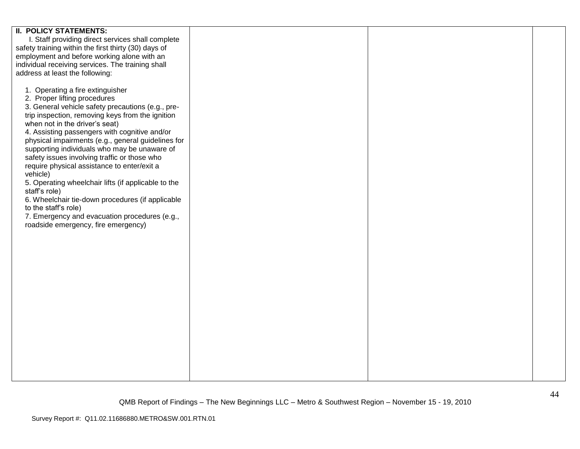| <b>II. POLICY STATEMENTS:</b>                        |  |  |
|------------------------------------------------------|--|--|
| I. Staff providing direct services shall complete    |  |  |
|                                                      |  |  |
| safety training within the first thirty (30) days of |  |  |
| employment and before working alone with an          |  |  |
| individual receiving services. The training shall    |  |  |
|                                                      |  |  |
| address at least the following:                      |  |  |
|                                                      |  |  |
|                                                      |  |  |
| 1. Operating a fire extinguisher                     |  |  |
| 2. Proper lifting procedures                         |  |  |
|                                                      |  |  |
| 3. General vehicle safety precautions (e.g., pre-    |  |  |
| trip inspection, removing keys from the ignition     |  |  |
| when not in the driver's seat)                       |  |  |
|                                                      |  |  |
| 4. Assisting passengers with cognitive and/or        |  |  |
| physical impairments (e.g., general guidelines for   |  |  |
| supporting individuals who may be unaware of         |  |  |
|                                                      |  |  |
| safety issues involving traffic or those who         |  |  |
| require physical assistance to enter/exit a          |  |  |
| vehicle)                                             |  |  |
|                                                      |  |  |
| 5. Operating wheelchair lifts (if applicable to the  |  |  |
| staff's role)                                        |  |  |
| 6. Wheelchair tie-down procedures (if applicable     |  |  |
|                                                      |  |  |
| to the staff's role)                                 |  |  |
| 7. Emergency and evacuation procedures (e.g.,        |  |  |
| roadside emergency, fire emergency)                  |  |  |
|                                                      |  |  |
|                                                      |  |  |
|                                                      |  |  |
|                                                      |  |  |
|                                                      |  |  |
|                                                      |  |  |
|                                                      |  |  |
|                                                      |  |  |
|                                                      |  |  |
|                                                      |  |  |
|                                                      |  |  |
|                                                      |  |  |
|                                                      |  |  |
|                                                      |  |  |
|                                                      |  |  |
|                                                      |  |  |
|                                                      |  |  |
|                                                      |  |  |
|                                                      |  |  |
|                                                      |  |  |
|                                                      |  |  |
|                                                      |  |  |
|                                                      |  |  |
|                                                      |  |  |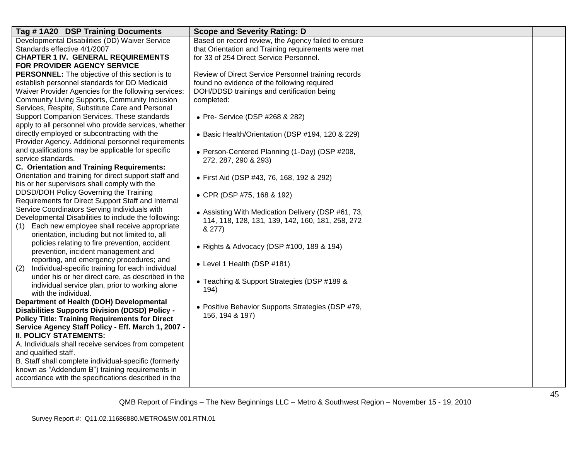| Tag #1A20 DSP Training Documents                                                                     | <b>Scope and Severity Rating: D</b>                 |  |
|------------------------------------------------------------------------------------------------------|-----------------------------------------------------|--|
| Developmental Disabilities (DD) Waiver Service                                                       | Based on record review, the Agency failed to ensure |  |
| Standards effective 4/1/2007                                                                         | that Orientation and Training requirements were met |  |
| <b>CHAPTER 1 IV. GENERAL REQUIREMENTS</b>                                                            | for 33 of 254 Direct Service Personnel.             |  |
| FOR PROVIDER AGENCY SERVICE                                                                          |                                                     |  |
| <b>PERSONNEL:</b> The objective of this section is to                                                | Review of Direct Service Personnel training records |  |
| establish personnel standards for DD Medicaid                                                        | found no evidence of the following required         |  |
| Waiver Provider Agencies for the following services:                                                 | DOH/DDSD trainings and certification being          |  |
| <b>Community Living Supports, Community Inclusion</b>                                                | completed:                                          |  |
| Services, Respite, Substitute Care and Personal                                                      |                                                     |  |
| Support Companion Services. These standards                                                          | • Pre- Service (DSP #268 & 282)                     |  |
| apply to all personnel who provide services, whether                                                 |                                                     |  |
| directly employed or subcontracting with the                                                         | • Basic Health/Orientation (DSP #194, 120 & 229)    |  |
| Provider Agency. Additional personnel requirements                                                   |                                                     |  |
| and qualifications may be applicable for specific                                                    | • Person-Centered Planning (1-Day) (DSP #208,       |  |
| service standards.                                                                                   | 272, 287, 290 & 293)                                |  |
| <b>C. Orientation and Training Requirements:</b>                                                     |                                                     |  |
| Orientation and training for direct support staff and                                                | • First Aid (DSP #43, 76, 168, 192 & 292)           |  |
| his or her supervisors shall comply with the                                                         |                                                     |  |
| DDSD/DOH Policy Governing the Training                                                               | • CPR (DSP #75, 168 & 192)                          |  |
| Requirements for Direct Support Staff and Internal                                                   |                                                     |  |
| Service Coordinators Serving Individuals with                                                        | • Assisting With Medication Delivery (DSP #61, 73,  |  |
| Developmental Disabilities to include the following:                                                 | 114, 118, 128, 131, 139, 142, 160, 181, 258, 272    |  |
| Each new employee shall receive appropriate<br>(1)<br>orientation, including but not limited to, all | & 277)                                              |  |
|                                                                                                      |                                                     |  |
| policies relating to fire prevention, accident                                                       | • Rights & Advocacy (DSP #100, 189 & 194)           |  |
| prevention, incident management and<br>reporting, and emergency procedures; and                      |                                                     |  |
| Individual-specific training for each individual                                                     | • Level 1 Health (DSP #181)                         |  |
| (2)<br>under his or her direct care, as described in the                                             |                                                     |  |
|                                                                                                      | • Teaching & Support Strategies (DSP #189 &         |  |
| individual service plan, prior to working alone<br>with the individual.                              | 194)                                                |  |
| Department of Health (DOH) Developmental                                                             |                                                     |  |
| <b>Disabilities Supports Division (DDSD) Policy -</b>                                                | • Positive Behavior Supports Strategies (DSP #79,   |  |
| <b>Policy Title: Training Requirements for Direct</b>                                                | 156, 194 & 197)                                     |  |
| Service Agency Staff Policy - Eff. March 1, 2007 -                                                   |                                                     |  |
| <b>II. POLICY STATEMENTS:</b>                                                                        |                                                     |  |
| A. Individuals shall receive services from competent                                                 |                                                     |  |
| and qualified staff.                                                                                 |                                                     |  |
| B. Staff shall complete individual-specific (formerly                                                |                                                     |  |
| known as "Addendum B") training requirements in                                                      |                                                     |  |
| accordance with the specifications described in the                                                  |                                                     |  |
|                                                                                                      |                                                     |  |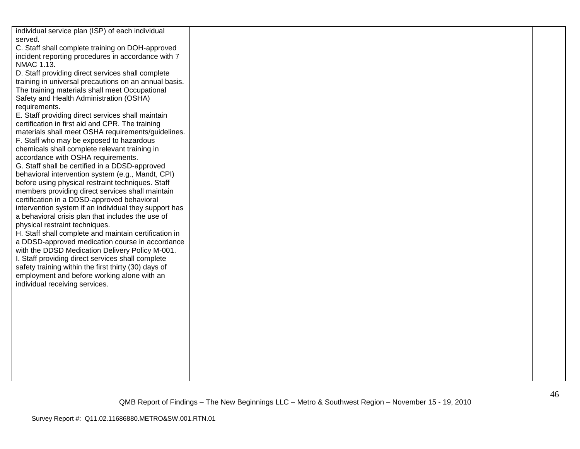| individual service plan (ISP) of each individual      |  |  |
|-------------------------------------------------------|--|--|
| served.                                               |  |  |
| C. Staff shall complete training on DOH-approved      |  |  |
| incident reporting procedures in accordance with 7    |  |  |
| NMAC 1.13.                                            |  |  |
| D. Staff providing direct services shall complete     |  |  |
| training in universal precautions on an annual basis. |  |  |
| The training materials shall meet Occupational        |  |  |
| Safety and Health Administration (OSHA)               |  |  |
|                                                       |  |  |
| requirements.                                         |  |  |
| E. Staff providing direct services shall maintain     |  |  |
| certification in first aid and CPR. The training      |  |  |
| materials shall meet OSHA requirements/guidelines.    |  |  |
| F. Staff who may be exposed to hazardous              |  |  |
| chemicals shall complete relevant training in         |  |  |
| accordance with OSHA requirements.                    |  |  |
| G. Staff shall be certified in a DDSD-approved        |  |  |
| behavioral intervention system (e.g., Mandt, CPI)     |  |  |
| before using physical restraint techniques. Staff     |  |  |
| members providing direct services shall maintain      |  |  |
| certification in a DDSD-approved behavioral           |  |  |
| intervention system if an individual they support has |  |  |
| a behavioral crisis plan that includes the use of     |  |  |
| physical restraint techniques.                        |  |  |
| H. Staff shall complete and maintain certification in |  |  |
| a DDSD-approved medication course in accordance       |  |  |
| with the DDSD Medication Delivery Policy M-001.       |  |  |
| I. Staff providing direct services shall complete     |  |  |
| safety training within the first thirty (30) days of  |  |  |
| employment and before working alone with an           |  |  |
| individual receiving services.                        |  |  |
|                                                       |  |  |
|                                                       |  |  |
|                                                       |  |  |
|                                                       |  |  |
|                                                       |  |  |
|                                                       |  |  |
|                                                       |  |  |
|                                                       |  |  |
|                                                       |  |  |
|                                                       |  |  |
|                                                       |  |  |
|                                                       |  |  |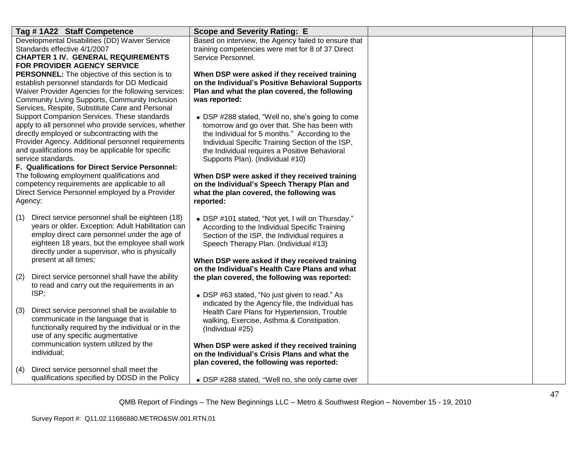| Tag #1A22 Staff Competence                                                                     | <b>Scope and Severity Rating: E</b>                                                                |  |
|------------------------------------------------------------------------------------------------|----------------------------------------------------------------------------------------------------|--|
| Developmental Disabilities (DD) Waiver Service                                                 | Based on interview, the Agency failed to ensure that                                               |  |
| Standards effective 4/1/2007<br><b>CHAPTER 1 IV. GENERAL REQUIREMENTS</b>                      | training competencies were met for 8 of 37 Direct<br>Service Personnel.                            |  |
| FOR PROVIDER AGENCY SERVICE                                                                    |                                                                                                    |  |
| PERSONNEL: The objective of this section is to                                                 | When DSP were asked if they received training                                                      |  |
| establish personnel standards for DD Medicaid                                                  | on the Individual's Positive Behavioral Supports                                                   |  |
| Waiver Provider Agencies for the following services:                                           | Plan and what the plan covered, the following                                                      |  |
| Community Living Supports, Community Inclusion                                                 | was reported:                                                                                      |  |
| Services, Respite, Substitute Care and Personal<br>Support Companion Services. These standards | • DSP #288 stated, "Well no, she's going to come                                                   |  |
| apply to all personnel who provide services, whether                                           | tomorrow and go over that. She has been with                                                       |  |
| directly employed or subcontracting with the                                                   | the Individual for 5 months." According to the                                                     |  |
| Provider Agency. Additional personnel requirements                                             | Individual Specific Training Section of the ISP,                                                   |  |
| and qualifications may be applicable for specific                                              | the Individual requires a Positive Behavioral                                                      |  |
| service standards.                                                                             | Supports Plan). (Individual #10)                                                                   |  |
| F. Qualifications for Direct Service Personnel:<br>The following employment qualifications and | When DSP were asked if they received training                                                      |  |
| competency requirements are applicable to all                                                  | on the Individual's Speech Therapy Plan and                                                        |  |
| Direct Service Personnel employed by a Provider                                                | what the plan covered, the following was                                                           |  |
| Agency:                                                                                        | reported:                                                                                          |  |
| Direct service personnel shall be eighteen (18)<br>(1)                                         |                                                                                                    |  |
| years or older. Exception: Adult Habilitation can                                              | • DSP #101 stated, "Not yet, I will on Thursday."<br>According to the Individual Specific Training |  |
| employ direct care personnel under the age of                                                  | Section of the ISP, the Individual requires a                                                      |  |
| eighteen 18 years, but the employee shall work                                                 | Speech Therapy Plan. (Individual #13)                                                              |  |
| directly under a supervisor, who is physically                                                 |                                                                                                    |  |
| present at all times;                                                                          | When DSP were asked if they received training                                                      |  |
| Direct service personnel shall have the ability<br>(2)                                         | on the Individual's Health Care Plans and what<br>the plan covered, the following was reported:    |  |
| to read and carry out the requirements in an                                                   |                                                                                                    |  |
| ISP;                                                                                           | • DSP #63 stated, "No just given to read." As                                                      |  |
|                                                                                                | indicated by the Agency file, the Individual has                                                   |  |
| Direct service personnel shall be available to<br>(3)                                          | Health Care Plans for Hypertension, Trouble                                                        |  |
| communicate in the language that is                                                            | walking, Exercise, Asthma & Constipation.                                                          |  |
| functionally required by the individual or in the<br>use of any specific augmentative          | (Individual #25)                                                                                   |  |
| communication system utilized by the                                                           | When DSP were asked if they received training                                                      |  |
| individual;                                                                                    | on the Individual's Crisis Plans and what the                                                      |  |
|                                                                                                | plan covered, the following was reported:                                                          |  |
| Direct service personnel shall meet the<br>(4)                                                 |                                                                                                    |  |
| qualifications specified by DDSD in the Policy                                                 | • DSP #288 stated, "Well no, she only came over                                                    |  |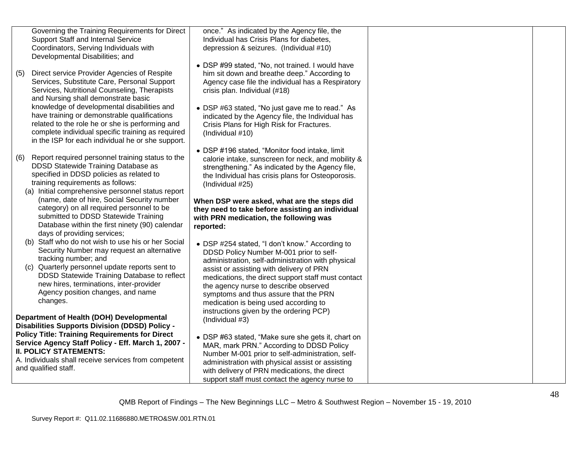|     | Governing the Training Requirements for Direct<br><b>Support Staff and Internal Service</b><br>Coordinators, Serving Individuals with<br>Developmental Disabilities; and                                                                                             | once." As indicated by the Agency file, the<br>Individual has Crisis Plans for diabetes,<br>depression & seizures. (Individual #10)                                                                                                                                                                      |  |
|-----|----------------------------------------------------------------------------------------------------------------------------------------------------------------------------------------------------------------------------------------------------------------------|----------------------------------------------------------------------------------------------------------------------------------------------------------------------------------------------------------------------------------------------------------------------------------------------------------|--|
| (5) | Direct service Provider Agencies of Respite<br>Services, Substitute Care, Personal Support<br>Services, Nutritional Counseling, Therapists<br>and Nursing shall demonstrate basic                                                                                    | • DSP #99 stated, "No, not trained. I would have<br>him sit down and breathe deep." According to<br>Agency case file the individual has a Respiratory<br>crisis plan. Individual (#18)                                                                                                                   |  |
|     | knowledge of developmental disabilities and<br>have training or demonstrable qualifications<br>related to the role he or she is performing and<br>complete individual specific training as required<br>in the ISP for each individual he or she support.             | • DSP #63 stated, "No just gave me to read." As<br>indicated by the Agency file, the Individual has<br>Crisis Plans for High Risk for Fractures.<br>(Individual #10)                                                                                                                                     |  |
| (6) | Report required personnel training status to the<br>DDSD Statewide Training Database as<br>specified in DDSD policies as related to<br>training requirements as follows:<br>(a) Initial comprehensive personnel status report                                        | • DSP #196 stated, "Monitor food intake, limit<br>calorie intake, sunscreen for neck, and mobility &<br>strengthening." As indicated by the Agency file,<br>the Individual has crisis plans for Osteoporosis.<br>(Individual #25)                                                                        |  |
|     | (name, date of hire, Social Security number<br>category) on all required personnel to be<br>submitted to DDSD Statewide Training<br>Database within the first ninety (90) calendar<br>days of providing services;                                                    | When DSP were asked, what are the steps did<br>they need to take before assisting an individual<br>with PRN medication, the following was<br>reported:                                                                                                                                                   |  |
|     | (b) Staff who do not wish to use his or her Social<br>Security Number may request an alternative<br>tracking number; and<br>(c) Quarterly personnel update reports sent to<br>DDSD Statewide Training Database to reflect<br>new hires, terminations, inter-provider | • DSP #254 stated, "I don't know." According to<br>DDSD Policy Number M-001 prior to self-<br>administration, self-administration with physical<br>assist or assisting with delivery of PRN<br>medications, the direct support staff must contact<br>the agency nurse to describe observed               |  |
|     | Agency position changes, and name<br>changes.<br>Department of Health (DOH) Developmental<br><b>Disabilities Supports Division (DDSD) Policy -</b>                                                                                                                   | symptoms and thus assure that the PRN<br>medication is being used according to<br>instructions given by the ordering PCP)<br>(Individual #3)                                                                                                                                                             |  |
|     | <b>Policy Title: Training Requirements for Direct</b><br>Service Agency Staff Policy - Eff. March 1, 2007 -<br><b>II. POLICY STATEMENTS:</b><br>A. Individuals shall receive services from competent<br>and qualified staff.                                         | • DSP #63 stated, "Make sure she gets it, chart on<br>MAR, mark PRN." According to DDSD Policy<br>Number M-001 prior to self-administration, self-<br>administration with physical assist or assisting<br>with delivery of PRN medications, the direct<br>support staff must contact the agency nurse to |  |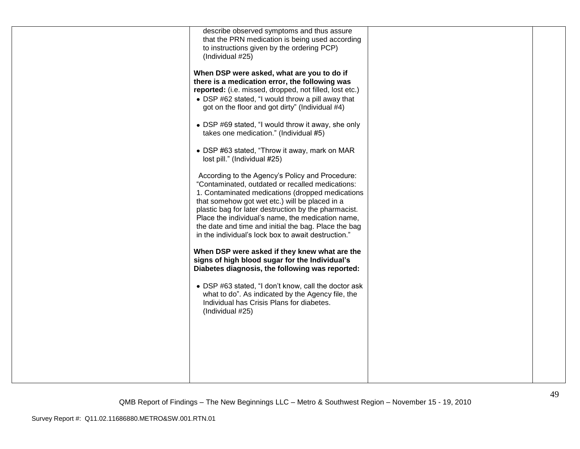| describe observed symptoms and thus assure<br>that the PRN medication is being used according<br>to instructions given by the ordering PCP)<br>(Individual #25)<br>When DSP were asked, what are you to do if<br>there is a medication error, the following was<br>reported: (i.e. missed, dropped, not filled, lost etc.)<br>• DSP #62 stated, "I would throw a pill away that<br>got on the floor and got dirty" (Individual #4)<br>• DSP #69 stated, "I would throw it away, she only<br>takes one medication." (Individual #5)<br>• DSP #63 stated, "Throw it away, mark on MAR<br>lost pill." (Individual #25)<br>According to the Agency's Policy and Procedure:<br>"Contaminated, outdated or recalled medications:<br>1. Contaminated medications (dropped medications<br>that somehow got wet etc.) will be placed in a<br>plastic bag for later destruction by the pharmacist.<br>Place the individual's name, the medication name,<br>the date and time and initial the bag. Place the bag<br>in the individual's lock box to await destruction." |  |
|--------------------------------------------------------------------------------------------------------------------------------------------------------------------------------------------------------------------------------------------------------------------------------------------------------------------------------------------------------------------------------------------------------------------------------------------------------------------------------------------------------------------------------------------------------------------------------------------------------------------------------------------------------------------------------------------------------------------------------------------------------------------------------------------------------------------------------------------------------------------------------------------------------------------------------------------------------------------------------------------------------------------------------------------------------------|--|
| When DSP were asked if they knew what are the<br>signs of high blood sugar for the Individual's<br>Diabetes diagnosis, the following was reported:<br>• DSP #63 stated, "I don't know, call the doctor ask<br>what to do". As indicated by the Agency file, the<br>Individual has Crisis Plans for diabetes.<br>(Individual #25)                                                                                                                                                                                                                                                                                                                                                                                                                                                                                                                                                                                                                                                                                                                             |  |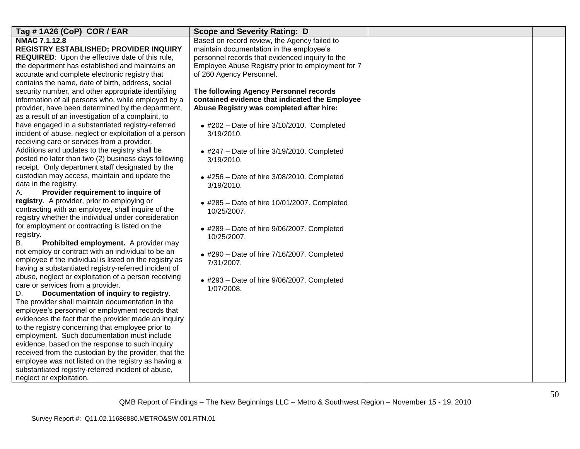| Tag #1A26 (CoP) COR / EAR                                                                              | <b>Scope and Severity Rating: D</b>                       |  |
|--------------------------------------------------------------------------------------------------------|-----------------------------------------------------------|--|
| NMAC 7.1.12.8                                                                                          | Based on record review, the Agency failed to              |  |
| REGISTRY ESTABLISHED; PROVIDER INQUIRY                                                                 | maintain documentation in the employee's                  |  |
| REQUIRED: Upon the effective date of this rule,                                                        | personnel records that evidenced inquiry to the           |  |
| the department has established and maintains an                                                        | Employee Abuse Registry prior to employment for 7         |  |
| accurate and complete electronic registry that                                                         | of 260 Agency Personnel.                                  |  |
| contains the name, date of birth, address, social                                                      |                                                           |  |
| security number, and other appropriate identifying                                                     | The following Agency Personnel records                    |  |
| information of all persons who, while employed by a                                                    | contained evidence that indicated the Employee            |  |
| provider, have been determined by the department,                                                      | Abuse Registry was completed after hire:                  |  |
| as a result of an investigation of a complaint, to                                                     |                                                           |  |
| have engaged in a substantiated registry-referred                                                      | $\bullet$ #202 - Date of hire 3/10/2010. Completed        |  |
| incident of abuse, neglect or exploitation of a person                                                 | 3/19/2010.                                                |  |
| receiving care or services from a provider.                                                            |                                                           |  |
| Additions and updates to the registry shall be<br>posted no later than two (2) business days following | $\bullet$ #247 - Date of hire 3/19/2010. Completed        |  |
| receipt. Only department staff designated by the                                                       | 3/19/2010.                                                |  |
| custodian may access, maintain and update the                                                          |                                                           |  |
| data in the registry.                                                                                  | $\bullet$ #256 - Date of hire 3/08/2010. Completed        |  |
| Provider requirement to inquire of<br>А.                                                               | 3/19/2010.                                                |  |
| registry. A provider, prior to employing or                                                            |                                                           |  |
| contracting with an employee, shall inquire of the                                                     | $\bullet$ #285 - Date of hire 10/01/2007. Completed       |  |
| registry whether the individual under consideration                                                    | 10/25/2007.                                               |  |
| for employment or contracting is listed on the                                                         |                                                           |  |
| registry.                                                                                              | • #289 - Date of hire 9/06/2007. Completed<br>10/25/2007. |  |
| В.<br>Prohibited employment. A provider may                                                            |                                                           |  |
| not employ or contract with an individual to be an                                                     | $*$ #290 - Date of hire 7/16/2007. Completed              |  |
| employee if the individual is listed on the registry as                                                | 7/31/2007.                                                |  |
| having a substantiated registry-referred incident of                                                   |                                                           |  |
| abuse, neglect or exploitation of a person receiving                                                   | $\bullet$ #293 - Date of hire 9/06/2007. Completed        |  |
| care or services from a provider.                                                                      | 1/07/2008.                                                |  |
| Documentation of inquiry to registry.<br>D.                                                            |                                                           |  |
| The provider shall maintain documentation in the                                                       |                                                           |  |
| employee's personnel or employment records that                                                        |                                                           |  |
| evidences the fact that the provider made an inquiry                                                   |                                                           |  |
| to the registry concerning that employee prior to                                                      |                                                           |  |
| employment. Such documentation must include                                                            |                                                           |  |
| evidence, based on the response to such inquiry                                                        |                                                           |  |
| received from the custodian by the provider, that the                                                  |                                                           |  |
| employee was not listed on the registry as having a                                                    |                                                           |  |
| substantiated registry-referred incident of abuse,                                                     |                                                           |  |
| neglect or exploitation.                                                                               |                                                           |  |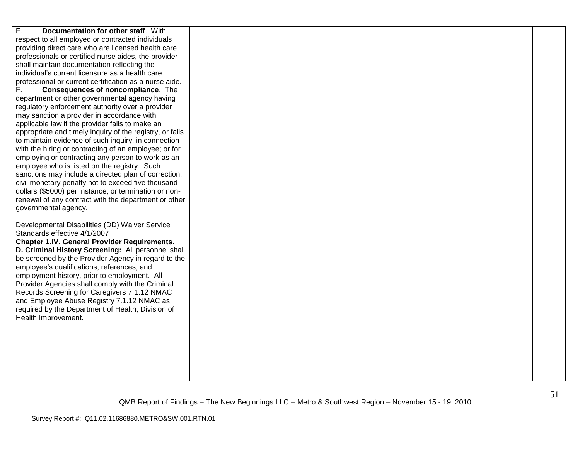| E.<br>Documentation for other staff. With                |  |  |
|----------------------------------------------------------|--|--|
| respect to all employed or contracted individuals        |  |  |
| providing direct care who are licensed health care       |  |  |
| professionals or certified nurse aides, the provider     |  |  |
| shall maintain documentation reflecting the              |  |  |
| individual's current licensure as a health care          |  |  |
| professional or current certification as a nurse aide.   |  |  |
| F.<br>Consequences of noncompliance. The                 |  |  |
| department or other governmental agency having           |  |  |
| regulatory enforcement authority over a provider         |  |  |
| may sanction a provider in accordance with               |  |  |
| applicable law if the provider fails to make an          |  |  |
| appropriate and timely inquiry of the registry, or fails |  |  |
| to maintain evidence of such inquiry, in connection      |  |  |
| with the hiring or contracting of an employee; or for    |  |  |
| employing or contracting any person to work as an        |  |  |
| employee who is listed on the registry. Such             |  |  |
| sanctions may include a directed plan of correction,     |  |  |
| civil monetary penalty not to exceed five thousand       |  |  |
| dollars (\$5000) per instance, or termination or non-    |  |  |
| renewal of any contract with the department or other     |  |  |
| governmental agency.                                     |  |  |
| Developmental Disabilities (DD) Waiver Service           |  |  |
| Standards effective 4/1/2007                             |  |  |
| <b>Chapter 1.IV. General Provider Requirements.</b>      |  |  |
| D. Criminal History Screening: All personnel shall       |  |  |
| be screened by the Provider Agency in regard to the      |  |  |
| employee's qualifications, references, and               |  |  |
| employment history, prior to employment. All             |  |  |
| Provider Agencies shall comply with the Criminal         |  |  |
| Records Screening for Caregivers 7.1.12 NMAC             |  |  |
| and Employee Abuse Registry 7.1.12 NMAC as               |  |  |
| required by the Department of Health, Division of        |  |  |
| Health Improvement.                                      |  |  |
|                                                          |  |  |
|                                                          |  |  |
|                                                          |  |  |
|                                                          |  |  |
|                                                          |  |  |
|                                                          |  |  |
|                                                          |  |  |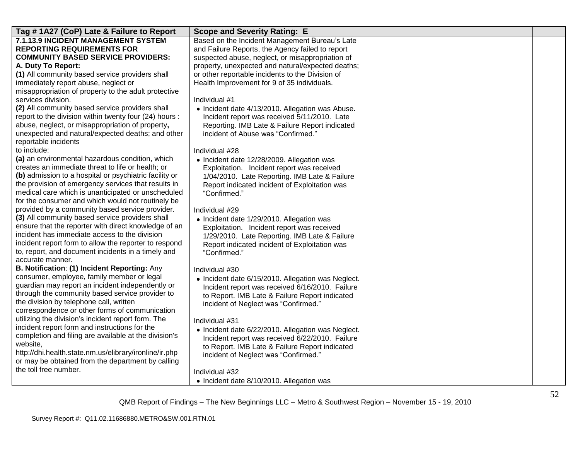| Tag # 1A27 (CoP) Late & Failure to Report              | <b>Scope and Severity Rating: E</b>                |  |
|--------------------------------------------------------|----------------------------------------------------|--|
| 7.1.13.9 INCIDENT MANAGEMENT SYSTEM                    | Based on the Incident Management Bureau's Late     |  |
| <b>REPORTING REQUIREMENTS FOR</b>                      | and Failure Reports, the Agency failed to report   |  |
| <b>COMMUNITY BASED SERVICE PROVIDERS:</b>              | suspected abuse, neglect, or misappropriation of   |  |
| A. Duty To Report:                                     | property, unexpected and natural/expected deaths;  |  |
| (1) All community based service providers shall        | or other reportable incidents to the Division of   |  |
| immediately report abuse, neglect or                   | Health Improvement for 9 of 35 individuals.        |  |
| misappropriation of property to the adult protective   |                                                    |  |
| services division.                                     | Individual #1                                      |  |
| (2) All community based service providers shall        | • Incident date 4/13/2010. Allegation was Abuse.   |  |
| report to the division within twenty four (24) hours : | Incident report was received 5/11/2010. Late       |  |
| abuse, neglect, or misappropriation of property,       | Reporting. IMB Late & Failure Report indicated     |  |
| unexpected and natural/expected deaths; and other      | incident of Abuse was "Confirmed."                 |  |
| reportable incidents                                   |                                                    |  |
| to include:                                            | Individual #28                                     |  |
| (a) an environmental hazardous condition, which        | • Incident date 12/28/2009. Allegation was         |  |
| creates an immediate threat to life or health; or      | Exploitation. Incident report was received         |  |
| (b) admission to a hospital or psychiatric facility or | 1/04/2010. Late Reporting. IMB Late & Failure      |  |
| the provision of emergency services that results in    | Report indicated incident of Exploitation was      |  |
| medical care which is unanticipated or unscheduled     | "Confirmed."                                       |  |
| for the consumer and which would not routinely be      |                                                    |  |
| provided by a community based service provider.        | Individual #29                                     |  |
| (3) All community based service providers shall        | • Incident date 1/29/2010. Allegation was          |  |
| ensure that the reporter with direct knowledge of an   | Exploitation. Incident report was received         |  |
| incident has immediate access to the division          | 1/29/2010. Late Reporting. IMB Late & Failure      |  |
| incident report form to allow the reporter to respond  | Report indicated incident of Exploitation was      |  |
| to, report, and document incidents in a timely and     | "Confirmed."                                       |  |
| accurate manner.                                       |                                                    |  |
| B. Notification: (1) Incident Reporting: Any           | Individual #30                                     |  |
| consumer, employee, family member or legal             | • Incident date 6/15/2010. Allegation was Neglect. |  |
| guardian may report an incident independently or       | Incident report was received 6/16/2010. Failure    |  |
| through the community based service provider to        | to Report. IMB Late & Failure Report indicated     |  |
| the division by telephone call, written                | incident of Neglect was "Confirmed."               |  |
| correspondence or other forms of communication         |                                                    |  |
| utilizing the division's incident report form. The     | Individual #31                                     |  |
| incident report form and instructions for the          | • Incident date 6/22/2010. Allegation was Neglect. |  |
| completion and filing are available at the division's  | Incident report was received 6/22/2010. Failure    |  |
| website,                                               | to Report. IMB Late & Failure Report indicated     |  |
| http://dhi.health.state.nm.us/elibrary/ironline/ir.php | incident of Neglect was "Confirmed."               |  |
| or may be obtained from the department by calling      |                                                    |  |
| the toll free number.                                  | Individual #32                                     |  |
|                                                        | • Incident date 8/10/2010. Allegation was          |  |
|                                                        |                                                    |  |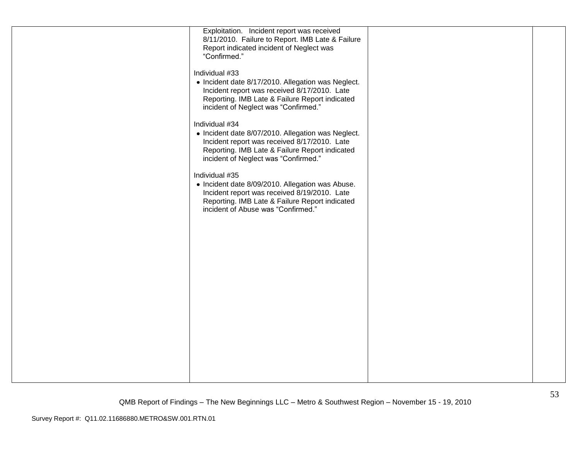| Exploitation. Incident report was received         |  |
|----------------------------------------------------|--|
| 8/11/2010. Failure to Report. IMB Late & Failure   |  |
| Report indicated incident of Neglect was           |  |
| "Confirmed."                                       |  |
| Individual #33                                     |  |
| • Incident date 8/17/2010. Allegation was Neglect. |  |
| Incident report was received 8/17/2010. Late       |  |
| Reporting. IMB Late & Failure Report indicated     |  |
| incident of Neglect was "Confirmed."               |  |
| Individual #34                                     |  |
| • Incident date 8/07/2010. Allegation was Neglect. |  |
| Incident report was received 8/17/2010. Late       |  |
| Reporting. IMB Late & Failure Report indicated     |  |
| incident of Neglect was "Confirmed."               |  |
| Individual #35                                     |  |
| • Incident date 8/09/2010. Allegation was Abuse.   |  |
| Incident report was received 8/19/2010. Late       |  |
| Reporting. IMB Late & Failure Report indicated     |  |
| incident of Abuse was "Confirmed."                 |  |
|                                                    |  |
|                                                    |  |
|                                                    |  |
|                                                    |  |
|                                                    |  |
|                                                    |  |
|                                                    |  |
|                                                    |  |
|                                                    |  |
|                                                    |  |
|                                                    |  |
|                                                    |  |
|                                                    |  |
|                                                    |  |
|                                                    |  |
|                                                    |  |
|                                                    |  |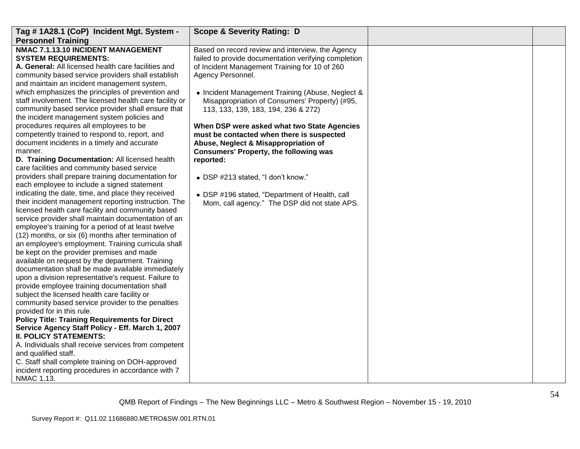| Tag # 1A28.1 (CoP) Incident Mgt. System -                                                                                                                                                                                                                                                                                                                                                                                                                                                                                                                                                                                                                                                                                                                                                                                                                                                                                                                                                                                                                                                                                                                                                                                                                                                                                                                                                                                                                                                                                                                                                                                                                                                                                                                                                 | <b>Scope &amp; Severity Rating: D</b>                                                                                                                                                                                                                                                                                                                                                                                                                                                                                                                                                                                                                                  |  |
|-------------------------------------------------------------------------------------------------------------------------------------------------------------------------------------------------------------------------------------------------------------------------------------------------------------------------------------------------------------------------------------------------------------------------------------------------------------------------------------------------------------------------------------------------------------------------------------------------------------------------------------------------------------------------------------------------------------------------------------------------------------------------------------------------------------------------------------------------------------------------------------------------------------------------------------------------------------------------------------------------------------------------------------------------------------------------------------------------------------------------------------------------------------------------------------------------------------------------------------------------------------------------------------------------------------------------------------------------------------------------------------------------------------------------------------------------------------------------------------------------------------------------------------------------------------------------------------------------------------------------------------------------------------------------------------------------------------------------------------------------------------------------------------------|------------------------------------------------------------------------------------------------------------------------------------------------------------------------------------------------------------------------------------------------------------------------------------------------------------------------------------------------------------------------------------------------------------------------------------------------------------------------------------------------------------------------------------------------------------------------------------------------------------------------------------------------------------------------|--|
|                                                                                                                                                                                                                                                                                                                                                                                                                                                                                                                                                                                                                                                                                                                                                                                                                                                                                                                                                                                                                                                                                                                                                                                                                                                                                                                                                                                                                                                                                                                                                                                                                                                                                                                                                                                           |                                                                                                                                                                                                                                                                                                                                                                                                                                                                                                                                                                                                                                                                        |  |
| <b>Personnel Training</b><br>NMAC 7.1.13.10 INCIDENT MANAGEMENT<br><b>SYSTEM REQUIREMENTS:</b><br>A. General: All licensed health care facilities and<br>community based service providers shall establish<br>and maintain an incident management system,<br>which emphasizes the principles of prevention and<br>staff involvement. The licensed health care facility or<br>community based service provider shall ensure that<br>the incident management system policies and<br>procedures requires all employees to be<br>competently trained to respond to, report, and<br>document incidents in a timely and accurate<br>manner.<br>D. Training Documentation: All licensed health<br>care facilities and community based service<br>providers shall prepare training documentation for<br>each employee to include a signed statement<br>indicating the date, time, and place they received<br>their incident management reporting instruction. The<br>licensed health care facility and community based<br>service provider shall maintain documentation of an<br>employee's training for a period of at least twelve<br>(12) months, or six (6) months after termination of<br>an employee's employment. Training curricula shall<br>be kept on the provider premises and made<br>available on request by the department. Training<br>documentation shall be made available immediately<br>upon a division representative's request. Failure to<br>provide employee training documentation shall<br>subject the licensed health care facility or<br>community based service provider to the penalties<br>provided for in this rule.<br><b>Policy Title: Training Requirements for Direct</b><br>Service Agency Staff Policy - Eff. March 1, 2007<br><b>II. POLICY STATEMENTS:</b> | Based on record review and interview, the Agency<br>failed to provide documentation verifying completion<br>of Incident Management Training for 10 of 260<br>Agency Personnel.<br>• Incident Management Training (Abuse, Neglect &<br>Misappropriation of Consumers' Property) (#95,<br>113, 133, 139, 183, 194, 236 & 272)<br>When DSP were asked what two State Agencies<br>must be contacted when there is suspected<br>Abuse, Neglect & Misappropriation of<br><b>Consumers' Property, the following was</b><br>reported:<br>• DSP #213 stated, "I don't know."<br>• DSP #196 stated, "Department of Health, call<br>Mom, call agency." The DSP did not state APS. |  |
| A. Individuals shall receive services from competent<br>and qualified staff.<br>C. Staff shall complete training on DOH-approved                                                                                                                                                                                                                                                                                                                                                                                                                                                                                                                                                                                                                                                                                                                                                                                                                                                                                                                                                                                                                                                                                                                                                                                                                                                                                                                                                                                                                                                                                                                                                                                                                                                          |                                                                                                                                                                                                                                                                                                                                                                                                                                                                                                                                                                                                                                                                        |  |
| incident reporting procedures in accordance with 7<br>NMAC 1.13.                                                                                                                                                                                                                                                                                                                                                                                                                                                                                                                                                                                                                                                                                                                                                                                                                                                                                                                                                                                                                                                                                                                                                                                                                                                                                                                                                                                                                                                                                                                                                                                                                                                                                                                          |                                                                                                                                                                                                                                                                                                                                                                                                                                                                                                                                                                                                                                                                        |  |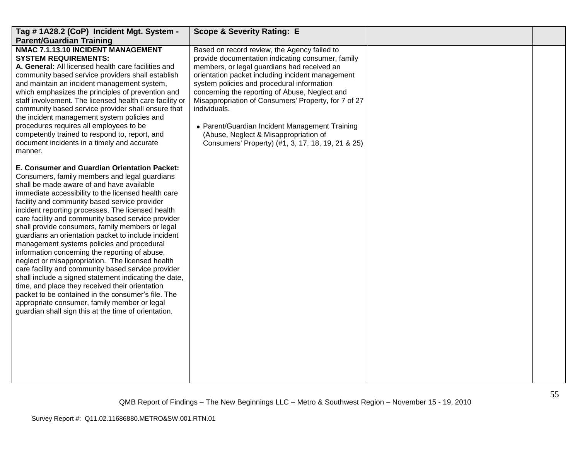| Tag #1A28.2 (CoP) Incident Mgt. System -<br><b>Parent/Guardian Training</b>                                                                                                                                                                                                                                                                                                                                                                                                                                                                                                                                                                                                                                                                                                                                                                                                                                                                                  | <b>Scope &amp; Severity Rating: E</b>                                                                                                                                                                                                                                                                                                                                                                                                                                                                                        |  |
|--------------------------------------------------------------------------------------------------------------------------------------------------------------------------------------------------------------------------------------------------------------------------------------------------------------------------------------------------------------------------------------------------------------------------------------------------------------------------------------------------------------------------------------------------------------------------------------------------------------------------------------------------------------------------------------------------------------------------------------------------------------------------------------------------------------------------------------------------------------------------------------------------------------------------------------------------------------|------------------------------------------------------------------------------------------------------------------------------------------------------------------------------------------------------------------------------------------------------------------------------------------------------------------------------------------------------------------------------------------------------------------------------------------------------------------------------------------------------------------------------|--|
| NMAC 7.1.13.10 INCIDENT MANAGEMENT<br><b>SYSTEM REQUIREMENTS:</b><br>A. General: All licensed health care facilities and<br>community based service providers shall establish<br>and maintain an incident management system,<br>which emphasizes the principles of prevention and<br>staff involvement. The licensed health care facility or<br>community based service provider shall ensure that<br>the incident management system policies and<br>procedures requires all employees to be<br>competently trained to respond to, report, and<br>document incidents in a timely and accurate<br>manner.                                                                                                                                                                                                                                                                                                                                                     | Based on record review, the Agency failed to<br>provide documentation indicating consumer, family<br>members, or legal guardians had received an<br>orientation packet including incident management<br>system policies and procedural information<br>concerning the reporting of Abuse, Neglect and<br>Misappropriation of Consumers' Property, for 7 of 27<br>individuals.<br>• Parent/Guardian Incident Management Training<br>(Abuse, Neglect & Misappropriation of<br>Consumers' Property) (#1, 3, 17, 18, 19, 21 & 25) |  |
| E. Consumer and Guardian Orientation Packet:<br>Consumers, family members and legal guardians<br>shall be made aware of and have available<br>immediate accessibility to the licensed health care<br>facility and community based service provider<br>incident reporting processes. The licensed health<br>care facility and community based service provider<br>shall provide consumers, family members or legal<br>guardians an orientation packet to include incident<br>management systems policies and procedural<br>information concerning the reporting of abuse,<br>neglect or misappropriation. The licensed health<br>care facility and community based service provider<br>shall include a signed statement indicating the date,<br>time, and place they received their orientation<br>packet to be contained in the consumer's file. The<br>appropriate consumer, family member or legal<br>guardian shall sign this at the time of orientation. |                                                                                                                                                                                                                                                                                                                                                                                                                                                                                                                              |  |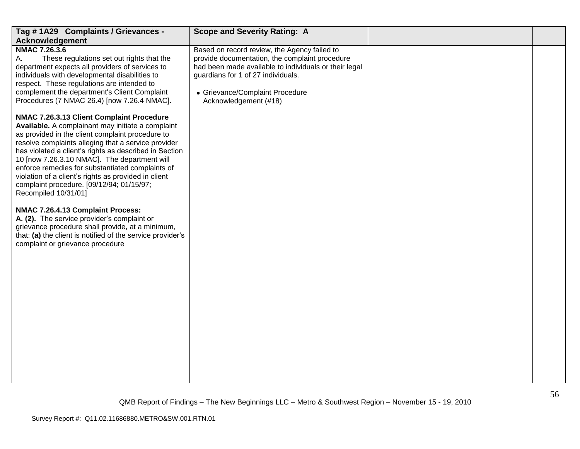| Tag #1A29 Complaints / Grievances -                                                                                                                                                                                                                                                                                                                                                                                                                                                                  | <b>Scope and Severity Rating: A</b>                                                                                                                                                                                                                       |    |
|------------------------------------------------------------------------------------------------------------------------------------------------------------------------------------------------------------------------------------------------------------------------------------------------------------------------------------------------------------------------------------------------------------------------------------------------------------------------------------------------------|-----------------------------------------------------------------------------------------------------------------------------------------------------------------------------------------------------------------------------------------------------------|----|
| <b>Acknowledgement</b>                                                                                                                                                                                                                                                                                                                                                                                                                                                                               |                                                                                                                                                                                                                                                           |    |
| <b>NMAC 7.26.3.6</b><br>А.<br>These regulations set out rights that the<br>department expects all providers of services to<br>individuals with developmental disabilities to<br>respect. These regulations are intended to<br>complement the department's Client Complaint<br>Procedures (7 NMAC 26.4) [now 7.26.4 NMAC].                                                                                                                                                                            | Based on record review, the Agency failed to<br>provide documentation, the complaint procedure<br>had been made available to individuals or their legal<br>guardians for 1 of 27 individuals.<br>• Grievance/Complaint Procedure<br>Acknowledgement (#18) |    |
| NMAC 7.26.3.13 Client Complaint Procedure<br>Available. A complainant may initiate a complaint<br>as provided in the client complaint procedure to<br>resolve complaints alleging that a service provider<br>has violated a client's rights as described in Section<br>10 [now 7.26.3.10 NMAC]. The department will<br>enforce remedies for substantiated complaints of<br>violation of a client's rights as provided in client<br>complaint procedure. [09/12/94; 01/15/97;<br>Recompiled 10/31/01] |                                                                                                                                                                                                                                                           |    |
| NMAC 7.26.4.13 Complaint Process:<br>A. (2). The service provider's complaint or<br>grievance procedure shall provide, at a minimum,<br>that: (a) the client is notified of the service provider's<br>complaint or grievance procedure                                                                                                                                                                                                                                                               |                                                                                                                                                                                                                                                           |    |
|                                                                                                                                                                                                                                                                                                                                                                                                                                                                                                      |                                                                                                                                                                                                                                                           | 56 |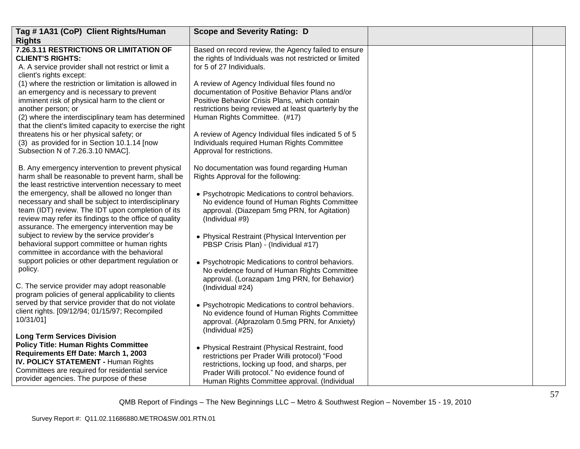| Tag #1A31 (CoP) Client Rights/Human                                                                                                                                                                                                                                                                                                                                                                                                                                                                                                                                                                                                                    | <b>Scope and Severity Rating: D</b>                                                                                                                                                                                                                                                                                                                                                                                                                 |  |
|--------------------------------------------------------------------------------------------------------------------------------------------------------------------------------------------------------------------------------------------------------------------------------------------------------------------------------------------------------------------------------------------------------------------------------------------------------------------------------------------------------------------------------------------------------------------------------------------------------------------------------------------------------|-----------------------------------------------------------------------------------------------------------------------------------------------------------------------------------------------------------------------------------------------------------------------------------------------------------------------------------------------------------------------------------------------------------------------------------------------------|--|
| <b>Rights</b>                                                                                                                                                                                                                                                                                                                                                                                                                                                                                                                                                                                                                                          |                                                                                                                                                                                                                                                                                                                                                                                                                                                     |  |
| 7.26.3.11 RESTRICTIONS OR LIMITATION OF<br><b>CLIENT'S RIGHTS:</b><br>A. A service provider shall not restrict or limit a<br>client's rights except:                                                                                                                                                                                                                                                                                                                                                                                                                                                                                                   | Based on record review, the Agency failed to ensure<br>the rights of Individuals was not restricted or limited<br>for 5 of 27 Individuals.                                                                                                                                                                                                                                                                                                          |  |
| (1) where the restriction or limitation is allowed in<br>an emergency and is necessary to prevent<br>imminent risk of physical harm to the client or<br>another person; or<br>(2) where the interdisciplinary team has determined<br>that the client's limited capacity to exercise the right<br>threatens his or her physical safety; or<br>(3) as provided for in Section 10.1.14 [now<br>Subsection N of 7.26.3.10 NMAC].                                                                                                                                                                                                                           | A review of Agency Individual files found no<br>documentation of Positive Behavior Plans and/or<br>Positive Behavior Crisis Plans, which contain<br>restrictions being reviewed at least quarterly by the<br>Human Rights Committee. (#17)<br>A review of Agency Individual files indicated 5 of 5<br>Individuals required Human Rights Committee<br>Approval for restrictions.                                                                     |  |
| B. Any emergency intervention to prevent physical<br>harm shall be reasonable to prevent harm, shall be<br>the least restrictive intervention necessary to meet<br>the emergency, shall be allowed no longer than<br>necessary and shall be subject to interdisciplinary<br>team (IDT) review. The IDT upon completion of its<br>review may refer its findings to the office of quality<br>assurance. The emergency intervention may be<br>subject to review by the service provider's<br>behavioral support committee or human rights<br>committee in accordance with the behavioral<br>support policies or other department regulation or<br>policy. | No documentation was found regarding Human<br>Rights Approval for the following:<br>• Psychotropic Medications to control behaviors.<br>No evidence found of Human Rights Committee<br>approval. (Diazepam 5mg PRN, for Agitation)<br>(Individual #9)<br>• Physical Restraint (Physical Intervention per<br>PBSP Crisis Plan) - (Individual #17)<br>• Psychotropic Medications to control behaviors.<br>No evidence found of Human Rights Committee |  |
| C. The service provider may adopt reasonable<br>program policies of general applicability to clients<br>served by that service provider that do not violate<br>client rights. [09/12/94; 01/15/97; Recompiled<br>10/31/01]                                                                                                                                                                                                                                                                                                                                                                                                                             | approval. (Lorazapam 1mg PRN, for Behavior)<br>(Individual #24)<br>• Psychotropic Medications to control behaviors.<br>No evidence found of Human Rights Committee<br>approval. (Alprazolam 0.5mg PRN, for Anxiety)<br>(Individual #25)                                                                                                                                                                                                             |  |
| <b>Long Term Services Division</b><br><b>Policy Title: Human Rights Committee</b><br>Requirements Eff Date: March 1, 2003<br>IV. POLICY STATEMENT - Human Rights<br>Committees are required for residential service<br>provider agencies. The purpose of these                                                                                                                                                                                                                                                                                                                                                                                         | • Physical Restraint (Physical Restraint, food<br>restrictions per Prader Willi protocol) "Food<br>restrictions, locking up food, and sharps, per<br>Prader Willi protocol." No evidence found of<br>Human Rights Committee approval. (Individual                                                                                                                                                                                                   |  |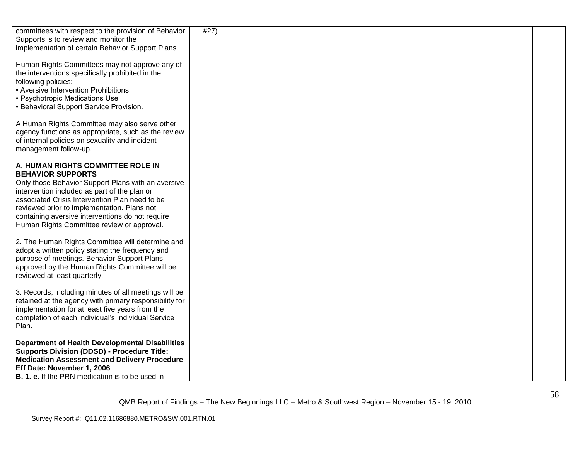| committees with respect to the provision of Behavior<br>Supports is to review and monitor the<br>implementation of certain Behavior Support Plans.                                                                                                                                                                                                                     | #27) |  |
|------------------------------------------------------------------------------------------------------------------------------------------------------------------------------------------------------------------------------------------------------------------------------------------------------------------------------------------------------------------------|------|--|
| Human Rights Committees may not approve any of<br>the interventions specifically prohibited in the<br>following policies:<br>• Aversive Intervention Prohibitions<br>• Psychotropic Medications Use<br>• Behavioral Support Service Provision.                                                                                                                         |      |  |
| A Human Rights Committee may also serve other<br>agency functions as appropriate, such as the review<br>of internal policies on sexuality and incident<br>management follow-up.                                                                                                                                                                                        |      |  |
| A. HUMAN RIGHTS COMMITTEE ROLE IN<br><b>BEHAVIOR SUPPORTS</b><br>Only those Behavior Support Plans with an aversive<br>intervention included as part of the plan or<br>associated Crisis Intervention Plan need to be<br>reviewed prior to implementation. Plans not<br>containing aversive interventions do not require<br>Human Rights Committee review or approval. |      |  |
| 2. The Human Rights Committee will determine and<br>adopt a written policy stating the frequency and<br>purpose of meetings. Behavior Support Plans<br>approved by the Human Rights Committee will be<br>reviewed at least quarterly.                                                                                                                                  |      |  |
| 3. Records, including minutes of all meetings will be<br>retained at the agency with primary responsibility for<br>implementation for at least five years from the<br>completion of each individual's Individual Service<br>Plan.                                                                                                                                      |      |  |
| <b>Department of Health Developmental Disabilities</b><br><b>Supports Division (DDSD) - Procedure Title:</b><br><b>Medication Assessment and Delivery Procedure</b><br>Eff Date: November 1, 2006<br><b>B. 1. e.</b> If the PRN medication is to be used in                                                                                                            |      |  |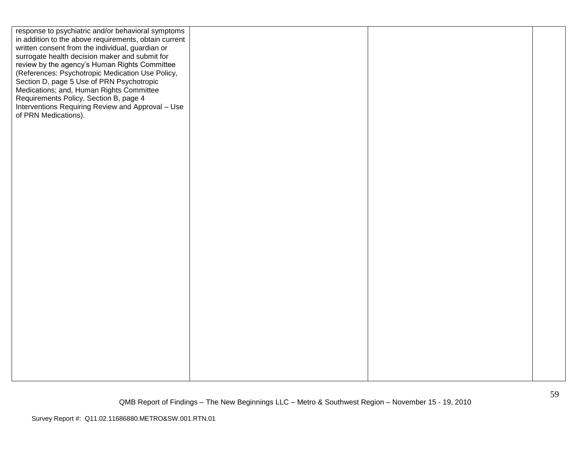| response to psychiatric and/or behavioral symptoms    |  |  |
|-------------------------------------------------------|--|--|
| in addition to the above requirements, obtain current |  |  |
| written consent from the individual, guardian or      |  |  |
| surrogate health decision maker and submit for        |  |  |
| review by the agency's Human Rights Committee         |  |  |
| (References: Psychotropic Medication Use Policy,      |  |  |
| Section D, page 5 Use of PRN Psychotropic             |  |  |
| Medications; and, Human Rights Committee              |  |  |
| Requirements Policy, Section B, page 4                |  |  |
| Interventions Requiring Review and Approval - Use     |  |  |
| of PRN Medications).                                  |  |  |
|                                                       |  |  |
|                                                       |  |  |
|                                                       |  |  |
|                                                       |  |  |
|                                                       |  |  |
|                                                       |  |  |
|                                                       |  |  |
|                                                       |  |  |
|                                                       |  |  |
|                                                       |  |  |
|                                                       |  |  |
|                                                       |  |  |
|                                                       |  |  |
|                                                       |  |  |
|                                                       |  |  |
|                                                       |  |  |
|                                                       |  |  |
|                                                       |  |  |
|                                                       |  |  |
|                                                       |  |  |
|                                                       |  |  |
|                                                       |  |  |
|                                                       |  |  |
|                                                       |  |  |
|                                                       |  |  |
|                                                       |  |  |
|                                                       |  |  |
|                                                       |  |  |
|                                                       |  |  |
|                                                       |  |  |
|                                                       |  |  |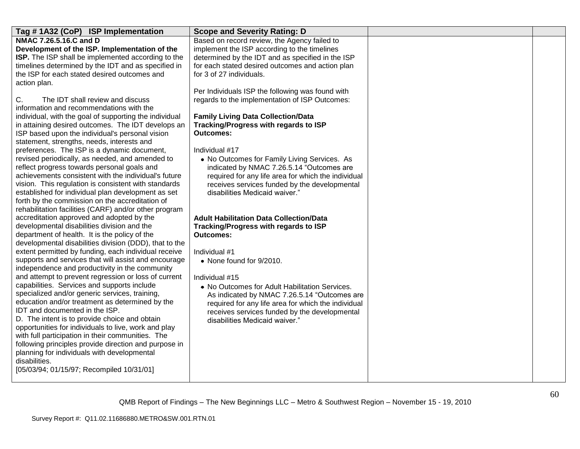| Tag #1A32 (CoP) ISP Implementation                                                                    | <b>Scope and Severity Rating: D</b>                       |  |
|-------------------------------------------------------------------------------------------------------|-----------------------------------------------------------|--|
| NMAC 7.26.5.16.C and D                                                                                | Based on record review, the Agency failed to              |  |
| Development of the ISP. Implementation of the                                                         | implement the ISP according to the timelines              |  |
| ISP. The ISP shall be implemented according to the                                                    | determined by the IDT and as specified in the ISP         |  |
| timelines determined by the IDT and as specified in                                                   | for each stated desired outcomes and action plan          |  |
| the ISP for each stated desired outcomes and                                                          | for 3 of 27 individuals.                                  |  |
| action plan.                                                                                          |                                                           |  |
|                                                                                                       | Per Individuals ISP the following was found with          |  |
| The IDT shall review and discuss<br>C.                                                                | regards to the implementation of ISP Outcomes:            |  |
| information and recommendations with the                                                              |                                                           |  |
| individual, with the goal of supporting the individual                                                | <b>Family Living Data Collection/Data</b>                 |  |
| in attaining desired outcomes. The IDT develops an                                                    | Tracking/Progress with regards to ISP                     |  |
| ISP based upon the individual's personal vision                                                       | <b>Outcomes:</b>                                          |  |
| statement, strengths, needs, interests and                                                            |                                                           |  |
| preferences. The ISP is a dynamic document,                                                           | Individual #17                                            |  |
| revised periodically, as needed, and amended to                                                       | • No Outcomes for Family Living Services. As              |  |
| reflect progress towards personal goals and                                                           | indicated by NMAC 7.26.5.14 "Outcomes are                 |  |
| achievements consistent with the individual's future                                                  | required for any life area for which the individual       |  |
| vision. This regulation is consistent with standards                                                  | receives services funded by the developmental             |  |
| established for individual plan development as set<br>forth by the commission on the accreditation of | disabilities Medicaid waiver."                            |  |
| rehabilitation facilities (CARF) and/or other program                                                 |                                                           |  |
| accreditation approved and adopted by the                                                             |                                                           |  |
| developmental disabilities division and the                                                           | <b>Adult Habilitation Data Collection/Data</b>            |  |
| department of health. It is the policy of the                                                         | Tracking/Progress with regards to ISP<br><b>Outcomes:</b> |  |
| developmental disabilities division (DDD), that to the                                                |                                                           |  |
| extent permitted by funding, each individual receive                                                  | Individual #1                                             |  |
| supports and services that will assist and encourage                                                  | • None found for 9/2010.                                  |  |
| independence and productivity in the community                                                        |                                                           |  |
| and attempt to prevent regression or loss of current                                                  | Individual #15                                            |  |
| capabilities. Services and supports include                                                           | • No Outcomes for Adult Habilitation Services.            |  |
| specialized and/or generic services, training,                                                        | As indicated by NMAC 7.26.5.14 "Outcomes are              |  |
| education and/or treatment as determined by the                                                       | required for any life area for which the individual       |  |
| IDT and documented in the ISP.                                                                        | receives services funded by the developmental             |  |
| D. The intent is to provide choice and obtain                                                         | disabilities Medicaid waiver."                            |  |
| opportunities for individuals to live, work and play                                                  |                                                           |  |
| with full participation in their communities. The                                                     |                                                           |  |
| following principles provide direction and purpose in                                                 |                                                           |  |
| planning for individuals with developmental                                                           |                                                           |  |
| disabilities.                                                                                         |                                                           |  |
| [05/03/94; 01/15/97; Recompiled 10/31/01]                                                             |                                                           |  |
|                                                                                                       |                                                           |  |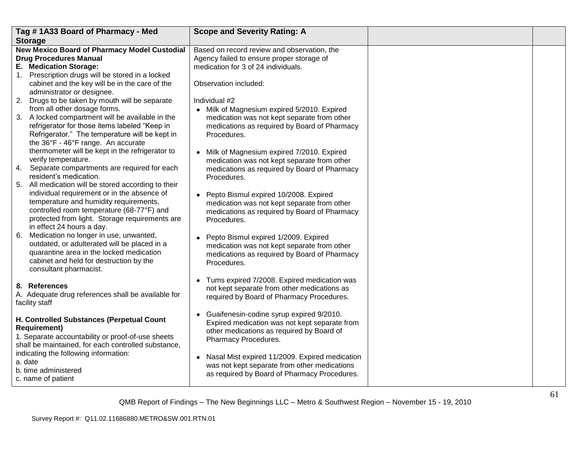| Tag #1A33 Board of Pharmacy - Med                                                                                                                                                                                                                                                                                                                                                                                                                                                                                                           | <b>Scope and Severity Rating: A</b>                                                                                                                                                                                                                                                                                                                                          |  |
|---------------------------------------------------------------------------------------------------------------------------------------------------------------------------------------------------------------------------------------------------------------------------------------------------------------------------------------------------------------------------------------------------------------------------------------------------------------------------------------------------------------------------------------------|------------------------------------------------------------------------------------------------------------------------------------------------------------------------------------------------------------------------------------------------------------------------------------------------------------------------------------------------------------------------------|--|
| <b>Storage</b>                                                                                                                                                                                                                                                                                                                                                                                                                                                                                                                              |                                                                                                                                                                                                                                                                                                                                                                              |  |
| New Mexico Board of Pharmacy Model Custodial<br><b>Drug Procedures Manual</b><br>E. Medication Storage:<br>1. Prescription drugs will be stored in a locked<br>cabinet and the key will be in the care of the<br>administrator or designee.                                                                                                                                                                                                                                                                                                 | Based on record review and observation, the<br>Agency failed to ensure proper storage of<br>medication for 3 of 24 individuals.<br>Observation included:                                                                                                                                                                                                                     |  |
| 2. Drugs to be taken by mouth will be separate<br>from all other dosage forms.<br>3. A locked compartment will be available in the<br>refrigerator for those items labeled "Keep in<br>Refrigerator." The temperature will be kept in<br>the 36°F - 46°F range. An accurate<br>thermometer will be kept in the refrigerator to<br>verify temperature.                                                                                                                                                                                       | Individual #2<br>• Milk of Magnesium expired 5/2010. Expired<br>medication was not kept separate from other<br>medications as required by Board of Pharmacy<br>Procedures.<br>• Milk of Magnesium expired 7/2010. Expired<br>medication was not kept separate from other                                                                                                     |  |
| 4. Separate compartments are required for each<br>resident's medication.<br>5. All medication will be stored according to their<br>individual requirement or in the absence of<br>temperature and humidity requirements,<br>controlled room temperature (68-77°F) and<br>protected from light. Storage requirements are<br>in effect 24 hours a day.<br>6.<br>Medication no longer in use, unwanted,<br>outdated, or adulterated will be placed in a<br>quarantine area in the locked medication<br>cabinet and held for destruction by the | medications as required by Board of Pharmacy<br>Procedures.<br>• Pepto Bismul expired 10/2008. Expired<br>medication was not kept separate from other<br>medications as required by Board of Pharmacy<br>Procedures.<br>• Pepto Bismul expired 1/2009. Expired<br>medication was not kept separate from other<br>medications as required by Board of Pharmacy<br>Procedures. |  |
| consultant pharmacist.<br>8. References<br>A. Adequate drug references shall be available for<br>facility staff                                                                                                                                                                                                                                                                                                                                                                                                                             | • Tums expired 7/2008. Expired medication was<br>not kept separate from other medications as<br>required by Board of Pharmacy Procedures.                                                                                                                                                                                                                                    |  |
| H. Controlled Substances (Perpetual Count<br><b>Requirement)</b><br>1. Separate accountability or proof-of-use sheets<br>shall be maintained, for each controlled substance,<br>indicating the following information:<br>a. date<br>b. time administered<br>c. name of patient                                                                                                                                                                                                                                                              | • Guaifenesin-codine syrup expired 9/2010.<br>Expired medication was not kept separate from<br>other medications as required by Board of<br>Pharmacy Procedures.<br>• Nasal Mist expired 11/2009. Expired medication<br>was not kept separate from other medications<br>as required by Board of Pharmacy Procedures.                                                         |  |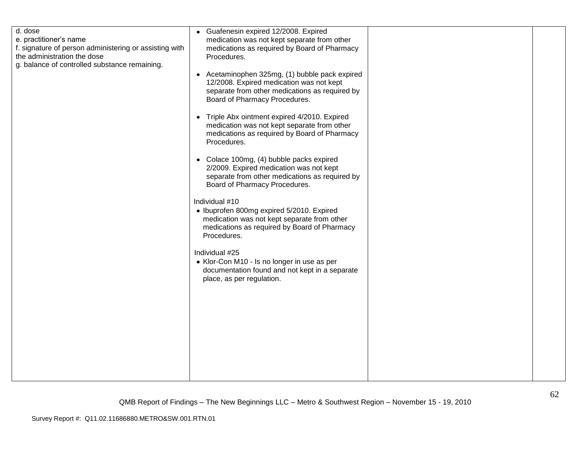| e. practitioner's name<br>f. signature of person administering or assisting with<br>the administration the dose<br>g. balance of controlled substance remaining. | medication was not kept separate from other<br>medications as required by Board of Pharmacy<br>Procedures.<br>• Acetaminophen 325mg, (1) bubble pack expired<br>12/2008. Expired medication was not kept<br>separate from other medications as required by<br>Board of Pharmacy Procedures.<br>• Triple Abx ointment expired 4/2010. Expired<br>medication was not kept separate from other<br>medications as required by Board of Pharmacy<br>Procedures.<br>• Colace 100mg, (4) bubble packs expired<br>2/2009. Expired medication was not kept<br>separate from other medications as required by<br>Board of Pharmacy Procedures.<br>Individual #10<br>• Ibuprofen 800mg expired 5/2010. Expired<br>medication was not kept separate from other<br>medications as required by Board of Pharmacy<br>Procedures.<br>Individual #25<br>• Klor-Con M10 - Is no longer in use as per<br>documentation found and not kept in a separate<br>place, as per regulation. |  |  |
|------------------------------------------------------------------------------------------------------------------------------------------------------------------|-------------------------------------------------------------------------------------------------------------------------------------------------------------------------------------------------------------------------------------------------------------------------------------------------------------------------------------------------------------------------------------------------------------------------------------------------------------------------------------------------------------------------------------------------------------------------------------------------------------------------------------------------------------------------------------------------------------------------------------------------------------------------------------------------------------------------------------------------------------------------------------------------------------------------------------------------------------------|--|--|
|------------------------------------------------------------------------------------------------------------------------------------------------------------------|-------------------------------------------------------------------------------------------------------------------------------------------------------------------------------------------------------------------------------------------------------------------------------------------------------------------------------------------------------------------------------------------------------------------------------------------------------------------------------------------------------------------------------------------------------------------------------------------------------------------------------------------------------------------------------------------------------------------------------------------------------------------------------------------------------------------------------------------------------------------------------------------------------------------------------------------------------------------|--|--|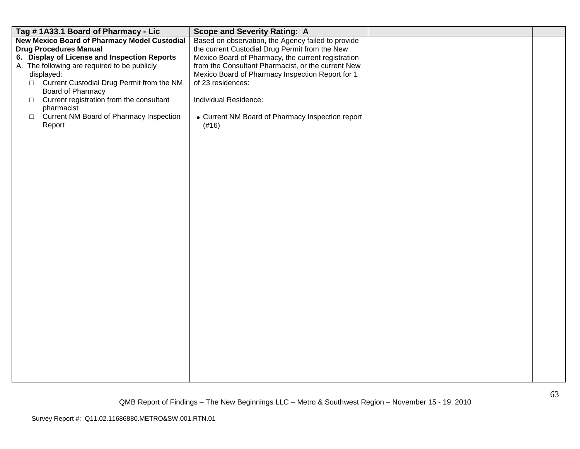| Based on observation, the Agency failed to provide<br>the current Custodial Drug Permit from the New<br>Mexico Board of Pharmacy, the current registration<br>from the Consultant Pharmacist, or the current New<br>Mexico Board of Pharmacy Inspection Report for 1<br>displayed:<br>□ Current Custodial Drug Permit from the NM<br>of 23 residences:<br>Board of Pharmacy<br>Current registration from the consultant<br>Individual Residence:<br>$\Box$ | Tag #1A33.1 Board of Pharmacy - Lic                                                                                                                                                                | <b>Scope and Severity Rating: A</b> |  |
|------------------------------------------------------------------------------------------------------------------------------------------------------------------------------------------------------------------------------------------------------------------------------------------------------------------------------------------------------------------------------------------------------------------------------------------------------------|----------------------------------------------------------------------------------------------------------------------------------------------------------------------------------------------------|-------------------------------------|--|
| <b>Current NM Board of Pharmacy Inspection</b><br>• Current NM Board of Pharmacy Inspection report<br>$\Box$<br>Report<br>(#16)                                                                                                                                                                                                                                                                                                                            | <b>New Mexico Board of Pharmacy Model Custodial</b><br><b>Drug Procedures Manual</b><br>6. Display of License and Inspection Reports<br>A. The following are required to be publicly<br>pharmacist |                                     |  |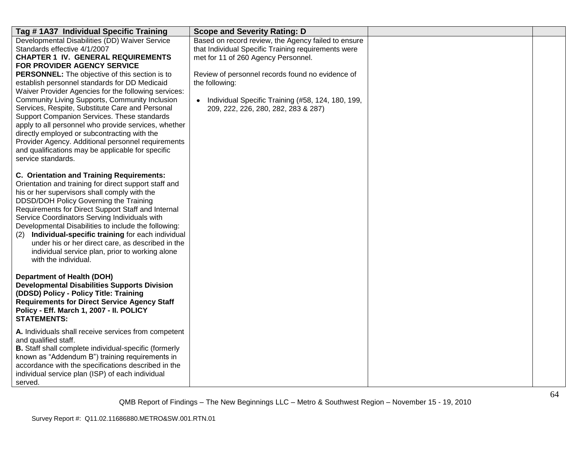| Tag #1A37 Individual Specific Training                                                                                                                                                                                                                                                                                                                                                                                                                                                                                                                                                                                                                                                                             | <b>Scope and Severity Rating: D</b>                                                                                                                                                                                                                                                                                 |  |
|--------------------------------------------------------------------------------------------------------------------------------------------------------------------------------------------------------------------------------------------------------------------------------------------------------------------------------------------------------------------------------------------------------------------------------------------------------------------------------------------------------------------------------------------------------------------------------------------------------------------------------------------------------------------------------------------------------------------|---------------------------------------------------------------------------------------------------------------------------------------------------------------------------------------------------------------------------------------------------------------------------------------------------------------------|--|
| Developmental Disabilities (DD) Waiver Service<br>Standards effective 4/1/2007<br><b>CHAPTER 1 IV. GENERAL REQUIREMENTS</b><br>FOR PROVIDER AGENCY SERVICE<br>PERSONNEL: The objective of this section is to<br>establish personnel standards for DD Medicaid<br>Waiver Provider Agencies for the following services:<br>Community Living Supports, Community Inclusion<br>Services, Respite, Substitute Care and Personal<br>Support Companion Services. These standards<br>apply to all personnel who provide services, whether<br>directly employed or subcontracting with the<br>Provider Agency. Additional personnel requirements<br>and qualifications may be applicable for specific<br>service standards. | Based on record review, the Agency failed to ensure<br>that Individual Specific Training requirements were<br>met for 11 of 260 Agency Personnel.<br>Review of personnel records found no evidence of<br>the following:<br>Individual Specific Training (#58, 124, 180, 199,<br>209, 222, 226, 280, 282, 283 & 287) |  |
| <b>C. Orientation and Training Requirements:</b><br>Orientation and training for direct support staff and<br>his or her supervisors shall comply with the<br>DDSD/DOH Policy Governing the Training<br>Requirements for Direct Support Staff and Internal<br>Service Coordinators Serving Individuals with<br>Developmental Disabilities to include the following:<br>Individual-specific training for each individual<br>(2)<br>under his or her direct care, as described in the<br>individual service plan, prior to working alone<br>with the individual.                                                                                                                                                      |                                                                                                                                                                                                                                                                                                                     |  |
| <b>Department of Health (DOH)</b><br><b>Developmental Disabilities Supports Division</b><br>(DDSD) Policy - Policy Title: Training<br><b>Requirements for Direct Service Agency Staff</b><br>Policy - Eff. March 1, 2007 - II. POLICY<br><b>STATEMENTS:</b>                                                                                                                                                                                                                                                                                                                                                                                                                                                        |                                                                                                                                                                                                                                                                                                                     |  |
| A. Individuals shall receive services from competent<br>and qualified staff.<br>B. Staff shall complete individual-specific (formerly<br>known as "Addendum B") training requirements in<br>accordance with the specifications described in the<br>individual service plan (ISP) of each individual<br>served.                                                                                                                                                                                                                                                                                                                                                                                                     |                                                                                                                                                                                                                                                                                                                     |  |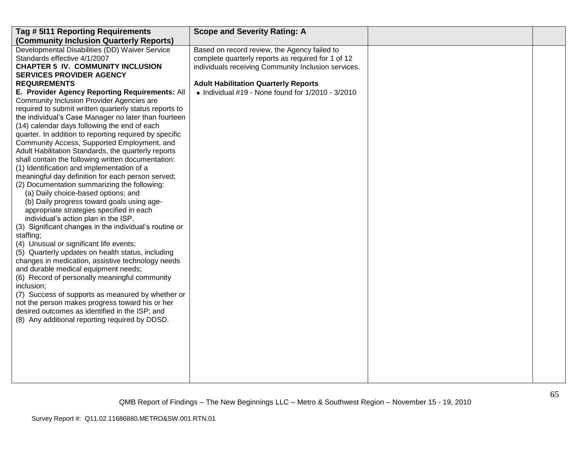| Tag # 5111 Reporting Requirements                      | <b>Scope and Severity Rating: A</b>                       |  |
|--------------------------------------------------------|-----------------------------------------------------------|--|
| (Community Inclusion Quarterly Reports)                |                                                           |  |
| Developmental Disabilities (DD) Waiver Service         | Based on record review, the Agency failed to              |  |
| Standards effective 4/1/2007                           | complete quarterly reports as required for 1 of 12        |  |
| <b>CHAPTER 5 IV. COMMUNITY INCLUSION</b>               | individuals receiving Community Inclusion services.       |  |
| <b>SERVICES PROVIDER AGENCY</b>                        |                                                           |  |
| <b>REQUIREMENTS</b>                                    | <b>Adult Habilitation Quarterly Reports</b>               |  |
| E. Provider Agency Reporting Requirements: All         | $\bullet$ Individual #19 - None found for 1/2010 - 3/2010 |  |
| Community Inclusion Provider Agencies are              |                                                           |  |
| required to submit written quarterly status reports to |                                                           |  |
| the individual's Case Manager no later than fourteen   |                                                           |  |
| (14) calendar days following the end of each           |                                                           |  |
| quarter. In addition to reporting required by specific |                                                           |  |
| Community Access, Supported Employment, and            |                                                           |  |
| Adult Habilitation Standards, the quarterly reports    |                                                           |  |
| shall contain the following written documentation:     |                                                           |  |
| (1) Identification and implementation of a             |                                                           |  |
| meaningful day definition for each person served;      |                                                           |  |
| (2) Documentation summarizing the following:           |                                                           |  |
| (a) Daily choice-based options; and                    |                                                           |  |
| (b) Daily progress toward goals using age-             |                                                           |  |
| appropriate strategies specified in each               |                                                           |  |
| individual's action plan in the ISP.                   |                                                           |  |
| (3) Significant changes in the individual's routine or |                                                           |  |
| staffing;                                              |                                                           |  |
| (4) Unusual or significant life events;                |                                                           |  |
| (5) Quarterly updates on health status, including      |                                                           |  |
| changes in medication, assistive technology needs      |                                                           |  |
| and durable medical equipment needs;                   |                                                           |  |
| (6) Record of personally meaningful community          |                                                           |  |
| inclusion;                                             |                                                           |  |
| (7) Success of supports as measured by whether or      |                                                           |  |
| not the person makes progress toward his or her        |                                                           |  |
| desired outcomes as identified in the ISP; and         |                                                           |  |
| (8) Any additional reporting required by DDSD.         |                                                           |  |
|                                                        |                                                           |  |
|                                                        |                                                           |  |
|                                                        |                                                           |  |
|                                                        |                                                           |  |
|                                                        |                                                           |  |
|                                                        |                                                           |  |
|                                                        |                                                           |  |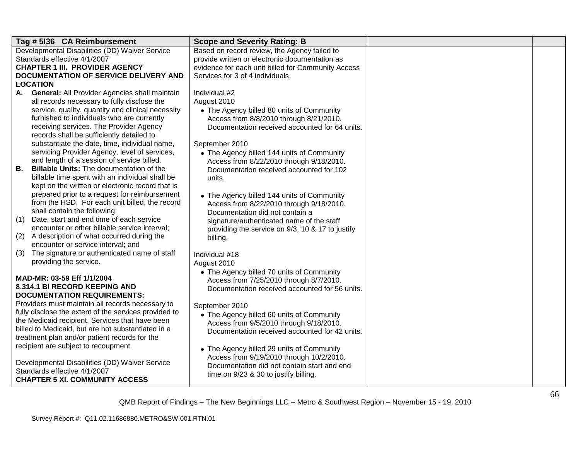|     | Tag # 5136 CA Reimbursement                                                            | <b>Scope and Severity Rating: B</b>                                                            |  |
|-----|----------------------------------------------------------------------------------------|------------------------------------------------------------------------------------------------|--|
|     | Developmental Disabilities (DD) Waiver Service<br>Standards effective 4/1/2007         | Based on record review, the Agency failed to<br>provide written or electronic documentation as |  |
|     | <b>CHAPTER 1 III. PROVIDER AGENCY</b>                                                  | evidence for each unit billed for Community Access                                             |  |
|     | DOCUMENTATION OF SERVICE DELIVERY AND                                                  | Services for 3 of 4 individuals.                                                               |  |
|     | <b>LOCATION</b>                                                                        |                                                                                                |  |
| А.  | General: All Provider Agencies shall maintain                                          | Individual #2                                                                                  |  |
|     | all records necessary to fully disclose the                                            | August 2010                                                                                    |  |
|     | service, quality, quantity and clinical necessity                                      | • The Agency billed 80 units of Community                                                      |  |
|     | furnished to individuals who are currently                                             | Access from 8/8/2010 through 8/21/2010.                                                        |  |
|     | receiving services. The Provider Agency<br>records shall be sufficiently detailed to   | Documentation received accounted for 64 units.                                                 |  |
|     | substantiate the date, time, individual name,                                          | September 2010                                                                                 |  |
|     | servicing Provider Agency, level of services,                                          | • The Agency billed 144 units of Community                                                     |  |
|     | and length of a session of service billed.                                             | Access from 8/22/2010 through 9/18/2010.                                                       |  |
| В.  | <b>Billable Units: The documentation of the</b>                                        | Documentation received accounted for 102                                                       |  |
|     | billable time spent with an individual shall be                                        | units.                                                                                         |  |
|     | kept on the written or electronic record that is                                       |                                                                                                |  |
|     | prepared prior to a request for reimbursement                                          | • The Agency billed 144 units of Community                                                     |  |
|     | from the HSD. For each unit billed, the record<br>shall contain the following:         | Access from 8/22/2010 through 9/18/2010.                                                       |  |
| (1) | Date, start and end time of each service                                               | Documentation did not contain a                                                                |  |
|     | encounter or other billable service interval;                                          | signature/authenticated name of the staff                                                      |  |
| (2) | A description of what occurred during the                                              | providing the service on 9/3, 10 & 17 to justify<br>billing.                                   |  |
|     | encounter or service interval; and                                                     |                                                                                                |  |
| (3) | The signature or authenticated name of staff                                           | Individual #18                                                                                 |  |
|     | providing the service.                                                                 | August 2010                                                                                    |  |
|     |                                                                                        | • The Agency billed 70 units of Community                                                      |  |
|     | MAD-MR: 03-59 Eff 1/1/2004                                                             | Access from 7/25/2010 through 8/7/2010.                                                        |  |
|     | 8.314.1 BI RECORD KEEPING AND                                                          | Documentation received accounted for 56 units.                                                 |  |
|     | <b>DOCUMENTATION REQUIREMENTS:</b><br>Providers must maintain all records necessary to |                                                                                                |  |
|     | fully disclose the extent of the services provided to                                  | September 2010                                                                                 |  |
|     | the Medicaid recipient. Services that have been                                        | • The Agency billed 60 units of Community                                                      |  |
|     | billed to Medicaid, but are not substantiated in a                                     | Access from 9/5/2010 through 9/18/2010.<br>Documentation received accounted for 42 units.      |  |
|     | treatment plan and/or patient records for the                                          |                                                                                                |  |
|     | recipient are subject to recoupment.                                                   | • The Agency billed 29 units of Community                                                      |  |
|     |                                                                                        | Access from 9/19/2010 through 10/2/2010.                                                       |  |
|     | Developmental Disabilities (DD) Waiver Service                                         | Documentation did not contain start and end                                                    |  |
|     | Standards effective 4/1/2007                                                           | time on 9/23 & 30 to justify billing.                                                          |  |
|     | <b>CHAPTER 5 XI. COMMUNITY ACCESS</b>                                                  |                                                                                                |  |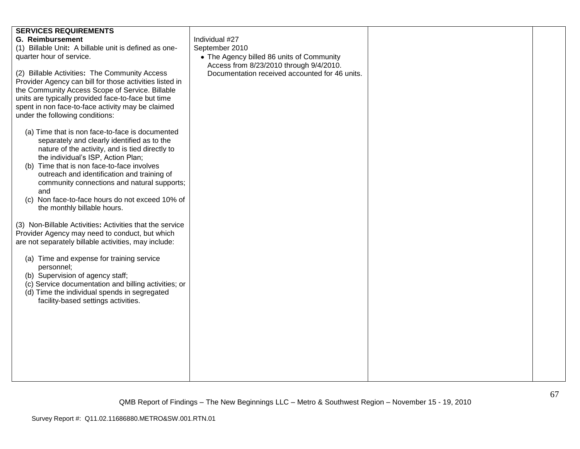| <b>SERVICES REQUIREMENTS</b><br><b>G. Reimbursement</b><br>Individual #27<br>(1) Billable Unit: A billable unit is defined as one-<br>September 2010<br>quarter hour of service.<br>• The Agency billed 86 units of Community<br>Access from 8/23/2010 through 9/4/2010.<br>(2) Billable Activities: The Community Access<br>Documentation received accounted for 46 units.<br>Provider Agency can bill for those activities listed in<br>the Community Access Scope of Service. Billable<br>units are typically provided face-to-face but time<br>spent in non face-to-face activity may be claimed<br>under the following conditions:<br>(a) Time that is non face-to-face is documented<br>separately and clearly identified as to the<br>nature of the activity, and is tied directly to<br>the individual's ISP, Action Plan;<br>Time that is non face-to-face involves<br>(b)<br>outreach and identification and training of |
|------------------------------------------------------------------------------------------------------------------------------------------------------------------------------------------------------------------------------------------------------------------------------------------------------------------------------------------------------------------------------------------------------------------------------------------------------------------------------------------------------------------------------------------------------------------------------------------------------------------------------------------------------------------------------------------------------------------------------------------------------------------------------------------------------------------------------------------------------------------------------------------------------------------------------------|
|                                                                                                                                                                                                                                                                                                                                                                                                                                                                                                                                                                                                                                                                                                                                                                                                                                                                                                                                    |
|                                                                                                                                                                                                                                                                                                                                                                                                                                                                                                                                                                                                                                                                                                                                                                                                                                                                                                                                    |
|                                                                                                                                                                                                                                                                                                                                                                                                                                                                                                                                                                                                                                                                                                                                                                                                                                                                                                                                    |
|                                                                                                                                                                                                                                                                                                                                                                                                                                                                                                                                                                                                                                                                                                                                                                                                                                                                                                                                    |
|                                                                                                                                                                                                                                                                                                                                                                                                                                                                                                                                                                                                                                                                                                                                                                                                                                                                                                                                    |
|                                                                                                                                                                                                                                                                                                                                                                                                                                                                                                                                                                                                                                                                                                                                                                                                                                                                                                                                    |
|                                                                                                                                                                                                                                                                                                                                                                                                                                                                                                                                                                                                                                                                                                                                                                                                                                                                                                                                    |
|                                                                                                                                                                                                                                                                                                                                                                                                                                                                                                                                                                                                                                                                                                                                                                                                                                                                                                                                    |
|                                                                                                                                                                                                                                                                                                                                                                                                                                                                                                                                                                                                                                                                                                                                                                                                                                                                                                                                    |
|                                                                                                                                                                                                                                                                                                                                                                                                                                                                                                                                                                                                                                                                                                                                                                                                                                                                                                                                    |
|                                                                                                                                                                                                                                                                                                                                                                                                                                                                                                                                                                                                                                                                                                                                                                                                                                                                                                                                    |
|                                                                                                                                                                                                                                                                                                                                                                                                                                                                                                                                                                                                                                                                                                                                                                                                                                                                                                                                    |
|                                                                                                                                                                                                                                                                                                                                                                                                                                                                                                                                                                                                                                                                                                                                                                                                                                                                                                                                    |
|                                                                                                                                                                                                                                                                                                                                                                                                                                                                                                                                                                                                                                                                                                                                                                                                                                                                                                                                    |
|                                                                                                                                                                                                                                                                                                                                                                                                                                                                                                                                                                                                                                                                                                                                                                                                                                                                                                                                    |
|                                                                                                                                                                                                                                                                                                                                                                                                                                                                                                                                                                                                                                                                                                                                                                                                                                                                                                                                    |
| community connections and natural supports;                                                                                                                                                                                                                                                                                                                                                                                                                                                                                                                                                                                                                                                                                                                                                                                                                                                                                        |
| and                                                                                                                                                                                                                                                                                                                                                                                                                                                                                                                                                                                                                                                                                                                                                                                                                                                                                                                                |
| (c) Non face-to-face hours do not exceed 10% of                                                                                                                                                                                                                                                                                                                                                                                                                                                                                                                                                                                                                                                                                                                                                                                                                                                                                    |
| the monthly billable hours.                                                                                                                                                                                                                                                                                                                                                                                                                                                                                                                                                                                                                                                                                                                                                                                                                                                                                                        |
| (3) Non-Billable Activities: Activities that the service                                                                                                                                                                                                                                                                                                                                                                                                                                                                                                                                                                                                                                                                                                                                                                                                                                                                           |
| Provider Agency may need to conduct, but which                                                                                                                                                                                                                                                                                                                                                                                                                                                                                                                                                                                                                                                                                                                                                                                                                                                                                     |
| are not separately billable activities, may include:                                                                                                                                                                                                                                                                                                                                                                                                                                                                                                                                                                                                                                                                                                                                                                                                                                                                               |
|                                                                                                                                                                                                                                                                                                                                                                                                                                                                                                                                                                                                                                                                                                                                                                                                                                                                                                                                    |
| (a) Time and expense for training service                                                                                                                                                                                                                                                                                                                                                                                                                                                                                                                                                                                                                                                                                                                                                                                                                                                                                          |
| personnel;                                                                                                                                                                                                                                                                                                                                                                                                                                                                                                                                                                                                                                                                                                                                                                                                                                                                                                                         |
| (b) Supervision of agency staff;<br>(c) Service documentation and billing activities; or                                                                                                                                                                                                                                                                                                                                                                                                                                                                                                                                                                                                                                                                                                                                                                                                                                           |
| (d) Time the individual spends in segregated                                                                                                                                                                                                                                                                                                                                                                                                                                                                                                                                                                                                                                                                                                                                                                                                                                                                                       |
| facility-based settings activities.                                                                                                                                                                                                                                                                                                                                                                                                                                                                                                                                                                                                                                                                                                                                                                                                                                                                                                |
|                                                                                                                                                                                                                                                                                                                                                                                                                                                                                                                                                                                                                                                                                                                                                                                                                                                                                                                                    |
|                                                                                                                                                                                                                                                                                                                                                                                                                                                                                                                                                                                                                                                                                                                                                                                                                                                                                                                                    |
|                                                                                                                                                                                                                                                                                                                                                                                                                                                                                                                                                                                                                                                                                                                                                                                                                                                                                                                                    |
|                                                                                                                                                                                                                                                                                                                                                                                                                                                                                                                                                                                                                                                                                                                                                                                                                                                                                                                                    |
|                                                                                                                                                                                                                                                                                                                                                                                                                                                                                                                                                                                                                                                                                                                                                                                                                                                                                                                                    |
|                                                                                                                                                                                                                                                                                                                                                                                                                                                                                                                                                                                                                                                                                                                                                                                                                                                                                                                                    |
|                                                                                                                                                                                                                                                                                                                                                                                                                                                                                                                                                                                                                                                                                                                                                                                                                                                                                                                                    |
|                                                                                                                                                                                                                                                                                                                                                                                                                                                                                                                                                                                                                                                                                                                                                                                                                                                                                                                                    |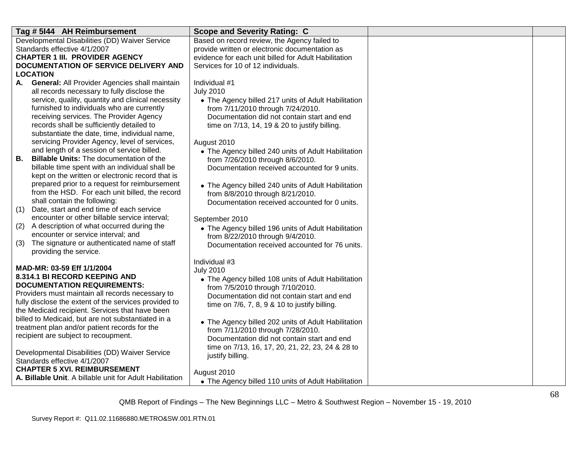| Tag # 5144 AH Reimbursement                                                                               | <b>Scope and Severity Rating: C</b>                                                                    |  |
|-----------------------------------------------------------------------------------------------------------|--------------------------------------------------------------------------------------------------------|--|
| Developmental Disabilities (DD) Waiver Service                                                            | Based on record review, the Agency failed to                                                           |  |
| Standards effective 4/1/2007<br><b>CHAPTER 1 III. PROVIDER AGENCY</b>                                     | provide written or electronic documentation as<br>evidence for each unit billed for Adult Habilitation |  |
| DOCUMENTATION OF SERVICE DELIVERY AND                                                                     | Services for 10 of 12 individuals.                                                                     |  |
| <b>LOCATION</b>                                                                                           |                                                                                                        |  |
| <b>General: All Provider Agencies shall maintain</b><br>А.                                                | Individual #1                                                                                          |  |
| all records necessary to fully disclose the                                                               | <b>July 2010</b>                                                                                       |  |
| service, quality, quantity and clinical necessity                                                         | • The Agency billed 217 units of Adult Habilitation                                                    |  |
| furnished to individuals who are currently                                                                | from 7/11/2010 through 7/24/2010.                                                                      |  |
| receiving services. The Provider Agency                                                                   | Documentation did not contain start and end                                                            |  |
| records shall be sufficiently detailed to                                                                 | time on 7/13, 14, 19 & 20 to justify billing.                                                          |  |
| substantiate the date, time, individual name,                                                             |                                                                                                        |  |
| servicing Provider Agency, level of services,<br>and length of a session of service billed.               | August 2010<br>• The Agency billed 240 units of Adult Habilitation                                     |  |
| <b>Billable Units:</b> The documentation of the<br>В.                                                     | from 7/26/2010 through 8/6/2010.                                                                       |  |
| billable time spent with an individual shall be                                                           | Documentation received accounted for 9 units.                                                          |  |
| kept on the written or electronic record that is                                                          |                                                                                                        |  |
| prepared prior to a request for reimbursement                                                             | • The Agency billed 240 units of Adult Habilitation                                                    |  |
| from the HSD. For each unit billed, the record                                                            | from 8/8/2010 through 8/21/2010.                                                                       |  |
| shall contain the following:                                                                              | Documentation received accounted for 0 units.                                                          |  |
| Date, start and end time of each service<br>(1)                                                           |                                                                                                        |  |
| encounter or other billable service interval;<br>(2)<br>A description of what occurred during the         | September 2010                                                                                         |  |
| encounter or service interval; and                                                                        | • The Agency billed 196 units of Adult Habilitation                                                    |  |
| The signature or authenticated name of staff<br>(3)                                                       | from 8/22/2010 through 9/4/2010.<br>Documentation received accounted for 76 units.                     |  |
| providing the service.                                                                                    |                                                                                                        |  |
|                                                                                                           | Individual #3                                                                                          |  |
| MAD-MR: 03-59 Eff 1/1/2004                                                                                | <b>July 2010</b>                                                                                       |  |
| 8.314.1 BI RECORD KEEPING AND                                                                             | • The Agency billed 108 units of Adult Habilitation                                                    |  |
| <b>DOCUMENTATION REQUIREMENTS:</b>                                                                        | from 7/5/2010 through 7/10/2010.                                                                       |  |
| Providers must maintain all records necessary to<br>fully disclose the extent of the services provided to | Documentation did not contain start and end                                                            |  |
| the Medicaid recipient. Services that have been                                                           | time on 7/6, 7, 8, 9 & 10 to justify billing.                                                          |  |
| billed to Medicaid, but are not substantiated in a                                                        | • The Agency billed 202 units of Adult Habilitation                                                    |  |
| treatment plan and/or patient records for the                                                             | from 7/11/2010 through 7/28/2010.                                                                      |  |
| recipient are subject to recoupment.                                                                      | Documentation did not contain start and end                                                            |  |
|                                                                                                           | time on 7/13, 16, 17, 20, 21, 22, 23, 24 & 28 to                                                       |  |
| Developmental Disabilities (DD) Waiver Service                                                            | justify billing.                                                                                       |  |
| Standards effective 4/1/2007<br><b>CHAPTER 5 XVI. REIMBURSEMENT</b>                                       |                                                                                                        |  |
| A. Billable Unit. A billable unit for Adult Habilitation                                                  | August 2010                                                                                            |  |
|                                                                                                           | • The Agency billed 110 units of Adult Habilitation                                                    |  |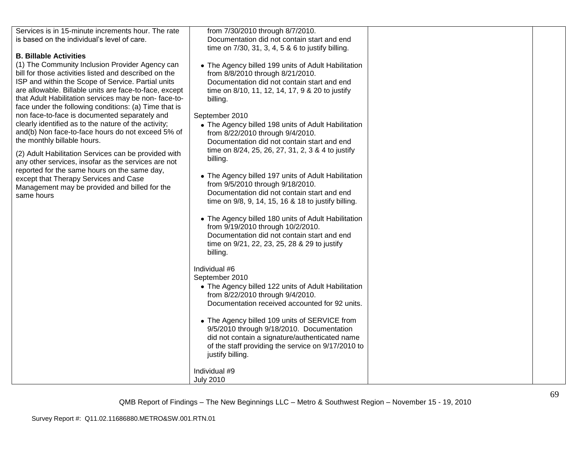| Services is in 15-minute increments hour. The rate<br>from 7/30/2010 through 8/7/2010.<br>is based on the individual's level of care.<br>Documentation did not contain start and end<br>time on 7/30, 31, 3, 4, 5 & 6 to justify billing.<br><b>B. Billable Activities</b><br>(1) The Community Inclusion Provider Agency can<br>• The Agency billed 199 units of Adult Habilitation<br>bill for those activities listed and described on the<br>from 8/8/2010 through 8/21/2010.<br>ISP and within the Scope of Service. Partial units<br>Documentation did not contain start and end<br>are allowable. Billable units are face-to-face, except<br>time on 8/10, 11, 12, 14, 17, 9 & 20 to justify<br>that Adult Habilitation services may be non-face-to-<br>billing.<br>face under the following conditions: (a) Time that is<br>non face-to-face is documented separately and<br>September 2010<br>clearly identified as to the nature of the activity;<br>• The Agency billed 198 units of Adult Habilitation<br>and(b) Non face-to-face hours do not exceed 5% of<br>from 8/22/2010 through 9/4/2010.<br>the monthly billable hours.<br>Documentation did not contain start and end<br>time on 8/24, 25, 26, 27, 31, 2, 3 & 4 to justify<br>(2) Adult Habilitation Services can be provided with<br>billing.<br>any other services, insofar as the services are not<br>reported for the same hours on the same day,<br>• The Agency billed 197 units of Adult Habilitation<br>except that Therapy Services and Case<br>from 9/5/2010 through 9/18/2010.<br>Management may be provided and billed for the<br>Documentation did not contain start and end<br>same hours<br>time on 9/8, 9, 14, 15, 16 & 18 to justify billing.<br>• The Agency billed 180 units of Adult Habilitation<br>from 9/19/2010 through 10/2/2010.<br>Documentation did not contain start and end<br>time on 9/21, 22, 23, 25, 28 & 29 to justify<br>billing.<br>Individual #6<br>September 2010<br>• The Agency billed 122 units of Adult Habilitation |
|-------------------------------------------------------------------------------------------------------------------------------------------------------------------------------------------------------------------------------------------------------------------------------------------------------------------------------------------------------------------------------------------------------------------------------------------------------------------------------------------------------------------------------------------------------------------------------------------------------------------------------------------------------------------------------------------------------------------------------------------------------------------------------------------------------------------------------------------------------------------------------------------------------------------------------------------------------------------------------------------------------------------------------------------------------------------------------------------------------------------------------------------------------------------------------------------------------------------------------------------------------------------------------------------------------------------------------------------------------------------------------------------------------------------------------------------------------------------------------------------------------------------------------------------------------------------------------------------------------------------------------------------------------------------------------------------------------------------------------------------------------------------------------------------------------------------------------------------------------------------------------------------------------------------------------------------------------------------------------------------------------------------------------------|
|                                                                                                                                                                                                                                                                                                                                                                                                                                                                                                                                                                                                                                                                                                                                                                                                                                                                                                                                                                                                                                                                                                                                                                                                                                                                                                                                                                                                                                                                                                                                                                                                                                                                                                                                                                                                                                                                                                                                                                                                                                     |
|                                                                                                                                                                                                                                                                                                                                                                                                                                                                                                                                                                                                                                                                                                                                                                                                                                                                                                                                                                                                                                                                                                                                                                                                                                                                                                                                                                                                                                                                                                                                                                                                                                                                                                                                                                                                                                                                                                                                                                                                                                     |
|                                                                                                                                                                                                                                                                                                                                                                                                                                                                                                                                                                                                                                                                                                                                                                                                                                                                                                                                                                                                                                                                                                                                                                                                                                                                                                                                                                                                                                                                                                                                                                                                                                                                                                                                                                                                                                                                                                                                                                                                                                     |
|                                                                                                                                                                                                                                                                                                                                                                                                                                                                                                                                                                                                                                                                                                                                                                                                                                                                                                                                                                                                                                                                                                                                                                                                                                                                                                                                                                                                                                                                                                                                                                                                                                                                                                                                                                                                                                                                                                                                                                                                                                     |
|                                                                                                                                                                                                                                                                                                                                                                                                                                                                                                                                                                                                                                                                                                                                                                                                                                                                                                                                                                                                                                                                                                                                                                                                                                                                                                                                                                                                                                                                                                                                                                                                                                                                                                                                                                                                                                                                                                                                                                                                                                     |
|                                                                                                                                                                                                                                                                                                                                                                                                                                                                                                                                                                                                                                                                                                                                                                                                                                                                                                                                                                                                                                                                                                                                                                                                                                                                                                                                                                                                                                                                                                                                                                                                                                                                                                                                                                                                                                                                                                                                                                                                                                     |
|                                                                                                                                                                                                                                                                                                                                                                                                                                                                                                                                                                                                                                                                                                                                                                                                                                                                                                                                                                                                                                                                                                                                                                                                                                                                                                                                                                                                                                                                                                                                                                                                                                                                                                                                                                                                                                                                                                                                                                                                                                     |
|                                                                                                                                                                                                                                                                                                                                                                                                                                                                                                                                                                                                                                                                                                                                                                                                                                                                                                                                                                                                                                                                                                                                                                                                                                                                                                                                                                                                                                                                                                                                                                                                                                                                                                                                                                                                                                                                                                                                                                                                                                     |
|                                                                                                                                                                                                                                                                                                                                                                                                                                                                                                                                                                                                                                                                                                                                                                                                                                                                                                                                                                                                                                                                                                                                                                                                                                                                                                                                                                                                                                                                                                                                                                                                                                                                                                                                                                                                                                                                                                                                                                                                                                     |
|                                                                                                                                                                                                                                                                                                                                                                                                                                                                                                                                                                                                                                                                                                                                                                                                                                                                                                                                                                                                                                                                                                                                                                                                                                                                                                                                                                                                                                                                                                                                                                                                                                                                                                                                                                                                                                                                                                                                                                                                                                     |
|                                                                                                                                                                                                                                                                                                                                                                                                                                                                                                                                                                                                                                                                                                                                                                                                                                                                                                                                                                                                                                                                                                                                                                                                                                                                                                                                                                                                                                                                                                                                                                                                                                                                                                                                                                                                                                                                                                                                                                                                                                     |
|                                                                                                                                                                                                                                                                                                                                                                                                                                                                                                                                                                                                                                                                                                                                                                                                                                                                                                                                                                                                                                                                                                                                                                                                                                                                                                                                                                                                                                                                                                                                                                                                                                                                                                                                                                                                                                                                                                                                                                                                                                     |
|                                                                                                                                                                                                                                                                                                                                                                                                                                                                                                                                                                                                                                                                                                                                                                                                                                                                                                                                                                                                                                                                                                                                                                                                                                                                                                                                                                                                                                                                                                                                                                                                                                                                                                                                                                                                                                                                                                                                                                                                                                     |
|                                                                                                                                                                                                                                                                                                                                                                                                                                                                                                                                                                                                                                                                                                                                                                                                                                                                                                                                                                                                                                                                                                                                                                                                                                                                                                                                                                                                                                                                                                                                                                                                                                                                                                                                                                                                                                                                                                                                                                                                                                     |
|                                                                                                                                                                                                                                                                                                                                                                                                                                                                                                                                                                                                                                                                                                                                                                                                                                                                                                                                                                                                                                                                                                                                                                                                                                                                                                                                                                                                                                                                                                                                                                                                                                                                                                                                                                                                                                                                                                                                                                                                                                     |
|                                                                                                                                                                                                                                                                                                                                                                                                                                                                                                                                                                                                                                                                                                                                                                                                                                                                                                                                                                                                                                                                                                                                                                                                                                                                                                                                                                                                                                                                                                                                                                                                                                                                                                                                                                                                                                                                                                                                                                                                                                     |
|                                                                                                                                                                                                                                                                                                                                                                                                                                                                                                                                                                                                                                                                                                                                                                                                                                                                                                                                                                                                                                                                                                                                                                                                                                                                                                                                                                                                                                                                                                                                                                                                                                                                                                                                                                                                                                                                                                                                                                                                                                     |
|                                                                                                                                                                                                                                                                                                                                                                                                                                                                                                                                                                                                                                                                                                                                                                                                                                                                                                                                                                                                                                                                                                                                                                                                                                                                                                                                                                                                                                                                                                                                                                                                                                                                                                                                                                                                                                                                                                                                                                                                                                     |
|                                                                                                                                                                                                                                                                                                                                                                                                                                                                                                                                                                                                                                                                                                                                                                                                                                                                                                                                                                                                                                                                                                                                                                                                                                                                                                                                                                                                                                                                                                                                                                                                                                                                                                                                                                                                                                                                                                                                                                                                                                     |
|                                                                                                                                                                                                                                                                                                                                                                                                                                                                                                                                                                                                                                                                                                                                                                                                                                                                                                                                                                                                                                                                                                                                                                                                                                                                                                                                                                                                                                                                                                                                                                                                                                                                                                                                                                                                                                                                                                                                                                                                                                     |
|                                                                                                                                                                                                                                                                                                                                                                                                                                                                                                                                                                                                                                                                                                                                                                                                                                                                                                                                                                                                                                                                                                                                                                                                                                                                                                                                                                                                                                                                                                                                                                                                                                                                                                                                                                                                                                                                                                                                                                                                                                     |
|                                                                                                                                                                                                                                                                                                                                                                                                                                                                                                                                                                                                                                                                                                                                                                                                                                                                                                                                                                                                                                                                                                                                                                                                                                                                                                                                                                                                                                                                                                                                                                                                                                                                                                                                                                                                                                                                                                                                                                                                                                     |
|                                                                                                                                                                                                                                                                                                                                                                                                                                                                                                                                                                                                                                                                                                                                                                                                                                                                                                                                                                                                                                                                                                                                                                                                                                                                                                                                                                                                                                                                                                                                                                                                                                                                                                                                                                                                                                                                                                                                                                                                                                     |
|                                                                                                                                                                                                                                                                                                                                                                                                                                                                                                                                                                                                                                                                                                                                                                                                                                                                                                                                                                                                                                                                                                                                                                                                                                                                                                                                                                                                                                                                                                                                                                                                                                                                                                                                                                                                                                                                                                                                                                                                                                     |
|                                                                                                                                                                                                                                                                                                                                                                                                                                                                                                                                                                                                                                                                                                                                                                                                                                                                                                                                                                                                                                                                                                                                                                                                                                                                                                                                                                                                                                                                                                                                                                                                                                                                                                                                                                                                                                                                                                                                                                                                                                     |
|                                                                                                                                                                                                                                                                                                                                                                                                                                                                                                                                                                                                                                                                                                                                                                                                                                                                                                                                                                                                                                                                                                                                                                                                                                                                                                                                                                                                                                                                                                                                                                                                                                                                                                                                                                                                                                                                                                                                                                                                                                     |
|                                                                                                                                                                                                                                                                                                                                                                                                                                                                                                                                                                                                                                                                                                                                                                                                                                                                                                                                                                                                                                                                                                                                                                                                                                                                                                                                                                                                                                                                                                                                                                                                                                                                                                                                                                                                                                                                                                                                                                                                                                     |
|                                                                                                                                                                                                                                                                                                                                                                                                                                                                                                                                                                                                                                                                                                                                                                                                                                                                                                                                                                                                                                                                                                                                                                                                                                                                                                                                                                                                                                                                                                                                                                                                                                                                                                                                                                                                                                                                                                                                                                                                                                     |
|                                                                                                                                                                                                                                                                                                                                                                                                                                                                                                                                                                                                                                                                                                                                                                                                                                                                                                                                                                                                                                                                                                                                                                                                                                                                                                                                                                                                                                                                                                                                                                                                                                                                                                                                                                                                                                                                                                                                                                                                                                     |
|                                                                                                                                                                                                                                                                                                                                                                                                                                                                                                                                                                                                                                                                                                                                                                                                                                                                                                                                                                                                                                                                                                                                                                                                                                                                                                                                                                                                                                                                                                                                                                                                                                                                                                                                                                                                                                                                                                                                                                                                                                     |
| from 8/22/2010 through 9/4/2010.                                                                                                                                                                                                                                                                                                                                                                                                                                                                                                                                                                                                                                                                                                                                                                                                                                                                                                                                                                                                                                                                                                                                                                                                                                                                                                                                                                                                                                                                                                                                                                                                                                                                                                                                                                                                                                                                                                                                                                                                    |
| Documentation received accounted for 92 units.                                                                                                                                                                                                                                                                                                                                                                                                                                                                                                                                                                                                                                                                                                                                                                                                                                                                                                                                                                                                                                                                                                                                                                                                                                                                                                                                                                                                                                                                                                                                                                                                                                                                                                                                                                                                                                                                                                                                                                                      |
|                                                                                                                                                                                                                                                                                                                                                                                                                                                                                                                                                                                                                                                                                                                                                                                                                                                                                                                                                                                                                                                                                                                                                                                                                                                                                                                                                                                                                                                                                                                                                                                                                                                                                                                                                                                                                                                                                                                                                                                                                                     |
| • The Agency billed 109 units of SERVICE from                                                                                                                                                                                                                                                                                                                                                                                                                                                                                                                                                                                                                                                                                                                                                                                                                                                                                                                                                                                                                                                                                                                                                                                                                                                                                                                                                                                                                                                                                                                                                                                                                                                                                                                                                                                                                                                                                                                                                                                       |
| 9/5/2010 through 9/18/2010. Documentation                                                                                                                                                                                                                                                                                                                                                                                                                                                                                                                                                                                                                                                                                                                                                                                                                                                                                                                                                                                                                                                                                                                                                                                                                                                                                                                                                                                                                                                                                                                                                                                                                                                                                                                                                                                                                                                                                                                                                                                           |
| did not contain a signature/authenticated name                                                                                                                                                                                                                                                                                                                                                                                                                                                                                                                                                                                                                                                                                                                                                                                                                                                                                                                                                                                                                                                                                                                                                                                                                                                                                                                                                                                                                                                                                                                                                                                                                                                                                                                                                                                                                                                                                                                                                                                      |
| of the staff providing the service on 9/17/2010 to                                                                                                                                                                                                                                                                                                                                                                                                                                                                                                                                                                                                                                                                                                                                                                                                                                                                                                                                                                                                                                                                                                                                                                                                                                                                                                                                                                                                                                                                                                                                                                                                                                                                                                                                                                                                                                                                                                                                                                                  |
| justify billing.                                                                                                                                                                                                                                                                                                                                                                                                                                                                                                                                                                                                                                                                                                                                                                                                                                                                                                                                                                                                                                                                                                                                                                                                                                                                                                                                                                                                                                                                                                                                                                                                                                                                                                                                                                                                                                                                                                                                                                                                                    |
|                                                                                                                                                                                                                                                                                                                                                                                                                                                                                                                                                                                                                                                                                                                                                                                                                                                                                                                                                                                                                                                                                                                                                                                                                                                                                                                                                                                                                                                                                                                                                                                                                                                                                                                                                                                                                                                                                                                                                                                                                                     |
| Individual #9                                                                                                                                                                                                                                                                                                                                                                                                                                                                                                                                                                                                                                                                                                                                                                                                                                                                                                                                                                                                                                                                                                                                                                                                                                                                                                                                                                                                                                                                                                                                                                                                                                                                                                                                                                                                                                                                                                                                                                                                                       |
| <b>July 2010</b>                                                                                                                                                                                                                                                                                                                                                                                                                                                                                                                                                                                                                                                                                                                                                                                                                                                                                                                                                                                                                                                                                                                                                                                                                                                                                                                                                                                                                                                                                                                                                                                                                                                                                                                                                                                                                                                                                                                                                                                                                    |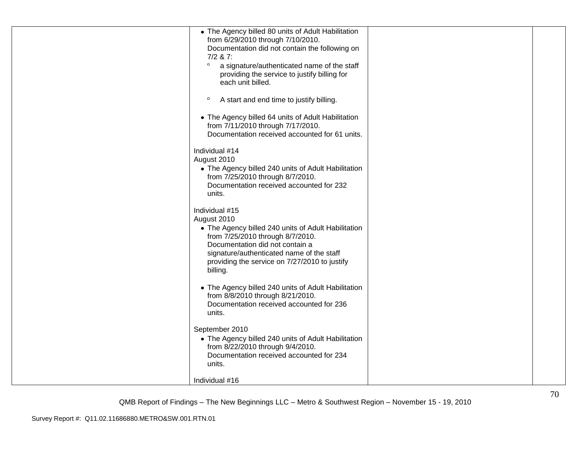| • The Agency billed 80 units of Adult Habilitation<br>from 6/29/2010 through 7/10/2010.<br>Documentation did not contain the following on<br>$7/2$ & 7:<br>$\circ$<br>a signature/authenticated name of the staff<br>providing the service to justify billing for<br>each unit billed. |  |
|----------------------------------------------------------------------------------------------------------------------------------------------------------------------------------------------------------------------------------------------------------------------------------------|--|
| $\circ$<br>A start and end time to justify billing.<br>• The Agency billed 64 units of Adult Habilitation<br>from 7/11/2010 through 7/17/2010.                                                                                                                                         |  |
| Documentation received accounted for 61 units.<br>Individual #14<br>August 2010<br>• The Agency billed 240 units of Adult Habilitation                                                                                                                                                 |  |
| from 7/25/2010 through 8/7/2010.<br>Documentation received accounted for 232<br>units.                                                                                                                                                                                                 |  |
| Individual #15<br>August 2010<br>• The Agency billed 240 units of Adult Habilitation<br>from 7/25/2010 through 8/7/2010.<br>Documentation did not contain a<br>signature/authenticated name of the staff<br>providing the service on 7/27/2010 to justify<br>billing.                  |  |
| • The Agency billed 240 units of Adult Habilitation<br>from 8/8/2010 through 8/21/2010.<br>Documentation received accounted for 236<br>units.                                                                                                                                          |  |
| September 2010<br>• The Agency billed 240 units of Adult Habilitation<br>from 8/22/2010 through 9/4/2010.<br>Documentation received accounted for 234<br>units.                                                                                                                        |  |
| Individual #16                                                                                                                                                                                                                                                                         |  |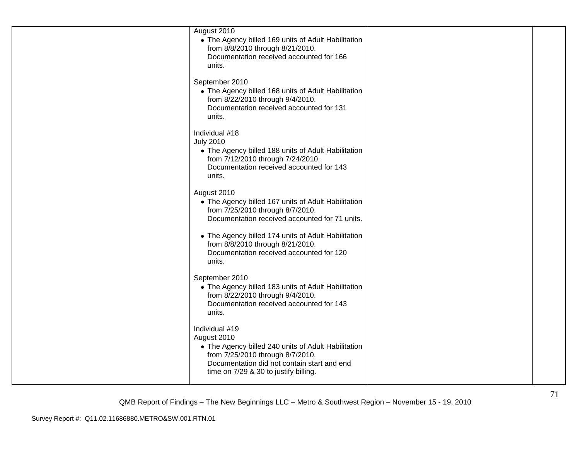| August 2010<br>• The Agency billed 169 units of Adult Habilitation<br>from 8/8/2010 through 8/21/2010.<br>Documentation received accounted for 166<br>units.                                                     |  |
|------------------------------------------------------------------------------------------------------------------------------------------------------------------------------------------------------------------|--|
| September 2010<br>• The Agency billed 168 units of Adult Habilitation<br>from 8/22/2010 through 9/4/2010.<br>Documentation received accounted for 131<br>units.                                                  |  |
| Individual #18<br><b>July 2010</b><br>• The Agency billed 188 units of Adult Habilitation<br>from 7/12/2010 through 7/24/2010.<br>Documentation received accounted for 143<br>units.                             |  |
| August 2010<br>• The Agency billed 167 units of Adult Habilitation<br>from 7/25/2010 through 8/7/2010.<br>Documentation received accounted for 71 units.                                                         |  |
| • The Agency billed 174 units of Adult Habilitation<br>from 8/8/2010 through 8/21/2010.<br>Documentation received accounted for 120<br>units.                                                                    |  |
| September 2010<br>• The Agency billed 183 units of Adult Habilitation<br>from 8/22/2010 through 9/4/2010.<br>Documentation received accounted for 143<br>units.                                                  |  |
| Individual #19<br>August 2010<br>• The Agency billed 240 units of Adult Habilitation<br>from 7/25/2010 through 8/7/2010.<br>Documentation did not contain start and end<br>time on 7/29 & 30 to justify billing. |  |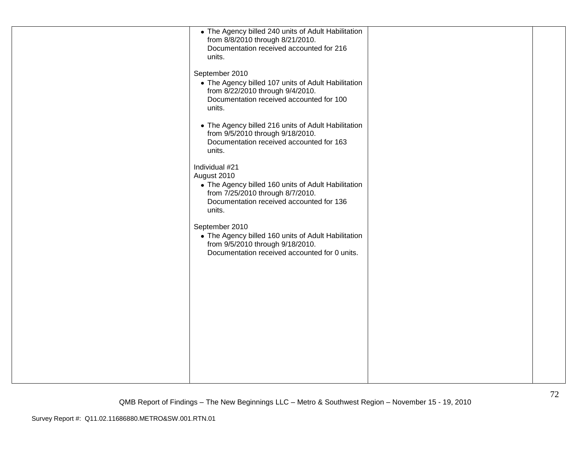| • The Agency billed 240 units of Adult Habilitation<br>from 8/8/2010 through 8/21/2010.<br>Documentation received accounted for 216<br>units.<br>September 2010<br>• The Agency billed 107 units of Adult Habilitation<br>from 8/22/2010 through 9/4/2010.<br>Documentation received accounted for 100<br>units.<br>• The Agency billed 216 units of Adult Habilitation<br>from 9/5/2010 through 9/18/2010.<br>Documentation received accounted for 163<br>units.<br>Individual #21<br>August 2010<br>• The Agency billed 160 units of Adult Habilitation<br>from 7/25/2010 through 8/7/2010.<br>Documentation received accounted for 136 |  |
|-------------------------------------------------------------------------------------------------------------------------------------------------------------------------------------------------------------------------------------------------------------------------------------------------------------------------------------------------------------------------------------------------------------------------------------------------------------------------------------------------------------------------------------------------------------------------------------------------------------------------------------------|--|
| units.<br>September 2010<br>• The Agency billed 160 units of Adult Habilitation<br>from 9/5/2010 through 9/18/2010.<br>Documentation received accounted for 0 units.                                                                                                                                                                                                                                                                                                                                                                                                                                                                      |  |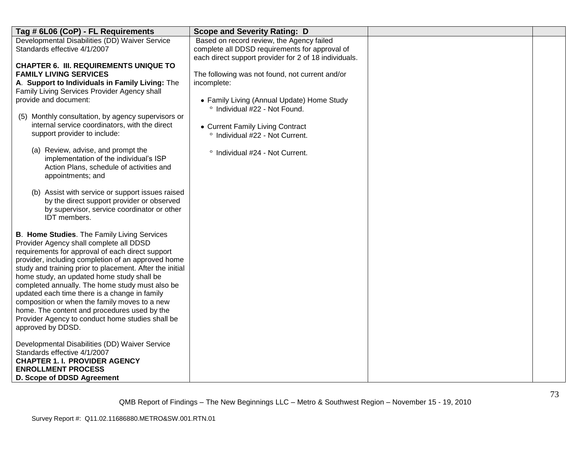| Tag # 6L06 (CoP) - FL Requirements                                                             | <b>Scope and Severity Rating: D</b>                   |  |
|------------------------------------------------------------------------------------------------|-------------------------------------------------------|--|
| Developmental Disabilities (DD) Waiver Service                                                 | Based on record review, the Agency failed             |  |
| Standards effective 4/1/2007                                                                   | complete all DDSD requirements for approval of        |  |
|                                                                                                | each direct support provider for 2 of 18 individuals. |  |
| <b>CHAPTER 6. III. REQUIREMENTS UNIQUE TO</b>                                                  |                                                       |  |
| <b>FAMILY LIVING SERVICES</b>                                                                  | The following was not found, not current and/or       |  |
| A. Support to Individuals in Family Living: The                                                | incomplete:                                           |  |
| Family Living Services Provider Agency shall                                                   |                                                       |  |
| provide and document:                                                                          | • Family Living (Annual Update) Home Study            |  |
|                                                                                                | ° Individual #22 - Not Found.                         |  |
| Monthly consultation, by agency supervisors or<br>(5)                                          |                                                       |  |
| internal service coordinators, with the direct                                                 | • Current Family Living Contract                      |  |
| support provider to include:                                                                   | ° Individual #22 - Not Current.                       |  |
|                                                                                                |                                                       |  |
| (a) Review, advise, and prompt the                                                             | ° Individual #24 - Not Current.                       |  |
| implementation of the individual's ISP                                                         |                                                       |  |
| Action Plans, schedule of activities and                                                       |                                                       |  |
| appointments; and                                                                              |                                                       |  |
|                                                                                                |                                                       |  |
| (b) Assist with service or support issues raised<br>by the direct support provider or observed |                                                       |  |
| by supervisor, service coordinator or other                                                    |                                                       |  |
| IDT members.                                                                                   |                                                       |  |
|                                                                                                |                                                       |  |
| <b>B. Home Studies.</b> The Family Living Services                                             |                                                       |  |
| Provider Agency shall complete all DDSD                                                        |                                                       |  |
| requirements for approval of each direct support                                               |                                                       |  |
| provider, including completion of an approved home                                             |                                                       |  |
| study and training prior to placement. After the initial                                       |                                                       |  |
| home study, an updated home study shall be                                                     |                                                       |  |
| completed annually. The home study must also be                                                |                                                       |  |
| updated each time there is a change in family                                                  |                                                       |  |
| composition or when the family moves to a new                                                  |                                                       |  |
| home. The content and procedures used by the                                                   |                                                       |  |
| Provider Agency to conduct home studies shall be                                               |                                                       |  |
| approved by DDSD.                                                                              |                                                       |  |
|                                                                                                |                                                       |  |
| Developmental Disabilities (DD) Waiver Service                                                 |                                                       |  |
| Standards effective 4/1/2007                                                                   |                                                       |  |
| <b>CHAPTER 1. I. PROVIDER AGENCY</b>                                                           |                                                       |  |
| <b>ENROLLMENT PROCESS</b>                                                                      |                                                       |  |
| D. Scope of DDSD Agreement                                                                     |                                                       |  |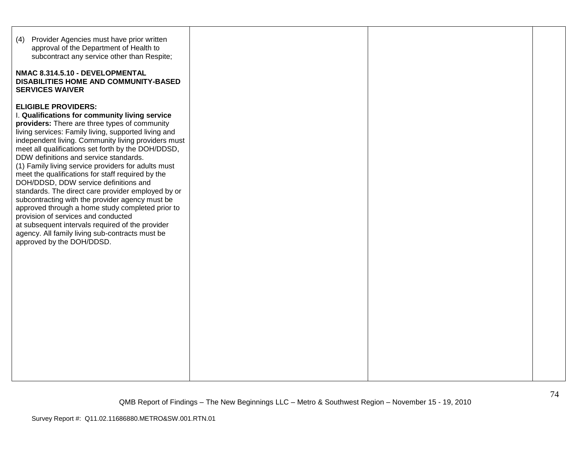| (4) Provider Agencies must have prior written<br>approval of the Department of Health to<br>subcontract any service other than Respite;<br>NMAC 8.314.5.10 - DEVELOPMENTAL<br>DISABILITIES HOME AND COMMUNITY-BASED<br><b>SERVICES WAIVER</b>                                                                                                                                                                                                                                                                                                                                                                                                                                                                                                                                                                                             |  |  |
|-------------------------------------------------------------------------------------------------------------------------------------------------------------------------------------------------------------------------------------------------------------------------------------------------------------------------------------------------------------------------------------------------------------------------------------------------------------------------------------------------------------------------------------------------------------------------------------------------------------------------------------------------------------------------------------------------------------------------------------------------------------------------------------------------------------------------------------------|--|--|
| <b>ELIGIBLE PROVIDERS:</b><br>I. Qualifications for community living service<br>providers: There are three types of community<br>living services: Family living, supported living and<br>independent living. Community living providers must<br>meet all qualifications set forth by the DOH/DDSD,<br>DDW definitions and service standards.<br>(1) Family living service providers for adults must<br>meet the qualifications for staff required by the<br>DOH/DDSD, DDW service definitions and<br>standards. The direct care provider employed by or<br>subcontracting with the provider agency must be<br>approved through a home study completed prior to<br>provision of services and conducted<br>at subsequent intervals required of the provider<br>agency. All family living sub-contracts must be<br>approved by the DOH/DDSD. |  |  |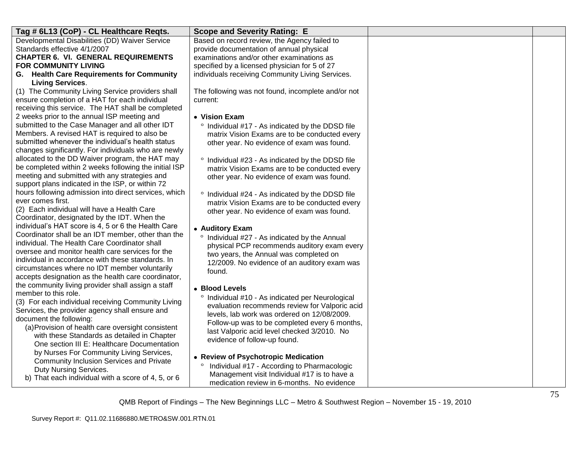| Tag # 6L13 (CoP) - CL Healthcare Reqts.                                                                 | <b>Scope and Severity Rating: E</b>                                                         |  |
|---------------------------------------------------------------------------------------------------------|---------------------------------------------------------------------------------------------|--|
| Developmental Disabilities (DD) Waiver Service                                                          | Based on record review, the Agency failed to                                                |  |
| Standards effective 4/1/2007                                                                            | provide documentation of annual physical                                                    |  |
| <b>CHAPTER 6. VI. GENERAL REQUIREMENTS</b>                                                              | examinations and/or other examinations as                                                   |  |
| <b>FOR COMMUNITY LIVING</b>                                                                             | specified by a licensed physician for 5 of 27                                               |  |
| G. Health Care Requirements for Community                                                               | individuals receiving Community Living Services.                                            |  |
| <b>Living Services.</b>                                                                                 |                                                                                             |  |
| (1) The Community Living Service providers shall                                                        | The following was not found, incomplete and/or not                                          |  |
| ensure completion of a HAT for each individual                                                          | current:                                                                                    |  |
| receiving this service. The HAT shall be completed                                                      |                                                                                             |  |
| 2 weeks prior to the annual ISP meeting and                                                             | • Vision Exam                                                                               |  |
| submitted to the Case Manager and all other IDT                                                         | Individual #17 - As indicated by the DDSD file                                              |  |
| Members. A revised HAT is required to also be                                                           | matrix Vision Exams are to be conducted every                                               |  |
| submitted whenever the individual's health status                                                       | other year. No evidence of exam was found.                                                  |  |
| changes significantly. For individuals who are newly<br>allocated to the DD Waiver program, the HAT may |                                                                                             |  |
| be completed within 2 weeks following the initial ISP                                                   | ° Individual #23 - As indicated by the DDSD file                                            |  |
| meeting and submitted with any strategies and                                                           | matrix Vision Exams are to be conducted every<br>other year. No evidence of exam was found. |  |
| support plans indicated in the ISP, or within 72                                                        |                                                                                             |  |
| hours following admission into direct services, which                                                   | ° Individual #24 - As indicated by the DDSD file                                            |  |
| ever comes first.                                                                                       | matrix Vision Exams are to be conducted every                                               |  |
| (2) Each individual will have a Health Care                                                             | other year. No evidence of exam was found.                                                  |  |
| Coordinator, designated by the IDT. When the                                                            |                                                                                             |  |
| individual's HAT score is 4, 5 or 6 the Health Care                                                     | • Auditory Exam                                                                             |  |
| Coordinator shall be an IDT member, other than the                                                      | ° Individual #27 - As indicated by the Annual                                               |  |
| individual. The Health Care Coordinator shall                                                           | physical PCP recommends auditory exam every                                                 |  |
| oversee and monitor health care services for the                                                        | two years, the Annual was completed on                                                      |  |
| individual in accordance with these standards. In                                                       | 12/2009. No evidence of an auditory exam was                                                |  |
| circumstances where no IDT member voluntarily                                                           | found.                                                                                      |  |
| accepts designation as the health care coordinator,                                                     |                                                                                             |  |
| the community living provider shall assign a staff                                                      | • Blood Levels                                                                              |  |
| member to this role.<br>(3) For each individual receiving Community Living                              | ° Individual #10 - As indicated per Neurological                                            |  |
| Services, the provider agency shall ensure and                                                          | evaluation recommends review for Valporic acid                                              |  |
| document the following:                                                                                 | levels, lab work was ordered on 12/08/2009.                                                 |  |
| (a) Provision of health care oversight consistent                                                       | Follow-up was to be completed every 6 months,                                               |  |
| with these Standards as detailed in Chapter                                                             | last Valporic acid level checked 3/2010. No                                                 |  |
| One section III E: Healthcare Documentation                                                             | evidence of follow-up found.                                                                |  |
| by Nurses For Community Living Services,                                                                |                                                                                             |  |
| <b>Community Inclusion Services and Private</b>                                                         | • Review of Psychotropic Medication                                                         |  |
| Duty Nursing Services.                                                                                  | Individual #17 - According to Pharmacologic                                                 |  |
| b) That each individual with a score of 4, 5, or 6                                                      | Management visit Individual #17 is to have a                                                |  |
|                                                                                                         | medication review in 6-months. No evidence                                                  |  |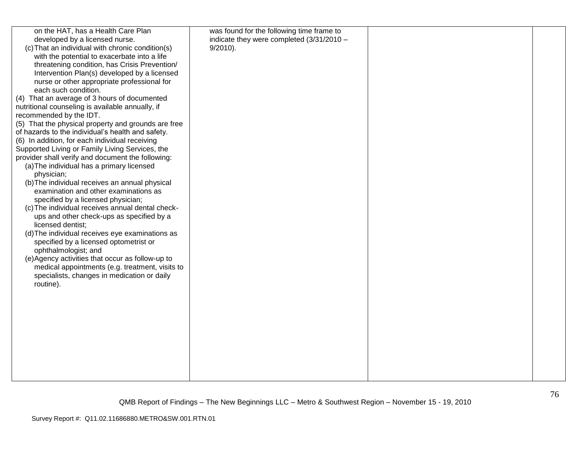| on the HAT, has a Health Care Plan                                                                                                                                                                                                                                                                                                                                                                                                                                                                                                                                                                                                                                                                                                                                                                                                                                                                                                                                                                                                                                                                                                                                                                                                                                                                                        | was found for the following time frame to                  |  |
|---------------------------------------------------------------------------------------------------------------------------------------------------------------------------------------------------------------------------------------------------------------------------------------------------------------------------------------------------------------------------------------------------------------------------------------------------------------------------------------------------------------------------------------------------------------------------------------------------------------------------------------------------------------------------------------------------------------------------------------------------------------------------------------------------------------------------------------------------------------------------------------------------------------------------------------------------------------------------------------------------------------------------------------------------------------------------------------------------------------------------------------------------------------------------------------------------------------------------------------------------------------------------------------------------------------------------|------------------------------------------------------------|--|
| developed by a licensed nurse.<br>(c) That an individual with chronic condition(s)<br>with the potential to exacerbate into a life<br>threatening condition, has Crisis Prevention/<br>Intervention Plan(s) developed by a licensed<br>nurse or other appropriate professional for<br>each such condition.<br>(4) That an average of 3 hours of documented<br>nutritional counseling is available annually, if<br>recommended by the IDT.<br>(5) That the physical property and grounds are free<br>of hazards to the individual's health and safety.<br>(6) In addition, for each individual receiving<br>Supported Living or Family Living Services, the<br>provider shall verify and document the following:<br>(a) The individual has a primary licensed<br>physician;<br>(b) The individual receives an annual physical<br>examination and other examinations as<br>specified by a licensed physician;<br>(c) The individual receives annual dental check-<br>ups and other check-ups as specified by a<br>licensed dentist;<br>(d) The individual receives eye examinations as<br>specified by a licensed optometrist or<br>ophthalmologist; and<br>(e) Agency activities that occur as follow-up to<br>medical appointments (e.g. treatment, visits to<br>specialists, changes in medication or daily<br>routine). | indicate they were completed $(3/31/2010 -$<br>$9/2010$ ). |  |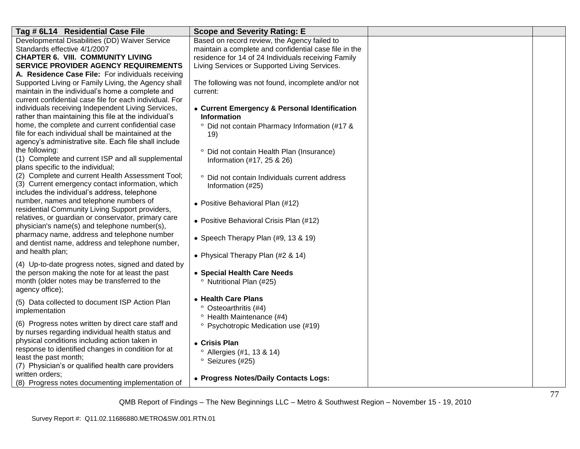| Tag # 6L14 Residential Case File                                                          | <b>Scope and Severity Rating: E</b>                   |  |
|-------------------------------------------------------------------------------------------|-------------------------------------------------------|--|
| Developmental Disabilities (DD) Waiver Service                                            | Based on record review, the Agency failed to          |  |
| Standards effective 4/1/2007                                                              | maintain a complete and confidential case file in the |  |
| <b>CHAPTER 6. VIII. COMMUNITY LIVING</b>                                                  | residence for 14 of 24 Individuals receiving Family   |  |
| SERVICE PROVIDER AGENCY REQUIREMENTS                                                      | Living Services or Supported Living Services.         |  |
| A. Residence Case File: For individuals receiving                                         |                                                       |  |
| Supported Living or Family Living, the Agency shall                                       | The following was not found, incomplete and/or not    |  |
| maintain in the individual's home a complete and                                          | current:                                              |  |
| current confidential case file for each individual. For                                   |                                                       |  |
| individuals receiving Independent Living Services,                                        | • Current Emergency & Personal Identification         |  |
| rather than maintaining this file at the individual's                                     | <b>Information</b>                                    |  |
| home, the complete and current confidential case                                          | ° Did not contain Pharmacy Information (#17 &         |  |
| file for each individual shall be maintained at the                                       | 19)                                                   |  |
| agency's administrative site. Each file shall include                                     |                                                       |  |
| the following:                                                                            | <sup>o</sup> Did not contain Health Plan (Insurance)  |  |
| (1) Complete and current ISP and all supplemental                                         | Information (#17, 25 & 26)                            |  |
| plans specific to the individual;                                                         |                                                       |  |
| (2) Complete and current Health Assessment Tool;                                          | ° Did not contain Individuals current address         |  |
| (3) Current emergency contact information, which                                          | Information (#25)                                     |  |
| includes the individual's address, telephone                                              |                                                       |  |
| number, names and telephone numbers of<br>residential Community Living Support providers, | • Positive Behavioral Plan (#12)                      |  |
| relatives, or guardian or conservator, primary care                                       |                                                       |  |
| physician's name(s) and telephone number(s),                                              | • Positive Behavioral Crisis Plan (#12)               |  |
| pharmacy name, address and telephone number                                               |                                                       |  |
| and dentist name, address and telephone number,                                           | • Speech Therapy Plan (#9, 13 & 19)                   |  |
| and health plan;                                                                          |                                                       |  |
|                                                                                           | • Physical Therapy Plan (#2 & 14)                     |  |
| (4) Up-to-date progress notes, signed and dated by                                        |                                                       |  |
| the person making the note for at least the past                                          | • Special Health Care Needs                           |  |
| month (older notes may be transferred to the                                              | <sup>o</sup> Nutritional Plan (#25)                   |  |
| agency office);                                                                           |                                                       |  |
| (5) Data collected to document ISP Action Plan                                            | • Health Care Plans                                   |  |
| implementation                                                                            | ° Osteoarthritis (#4)                                 |  |
|                                                                                           | <sup>o</sup> Health Maintenance (#4)                  |  |
| (6) Progress notes written by direct care staff and                                       | <sup>o</sup> Psychotropic Medication use (#19)        |  |
| by nurses regarding individual health status and                                          |                                                       |  |
| physical conditions including action taken in                                             | • Crisis Plan                                         |  |
| response to identified changes in condition for at<br>least the past month;               | <sup>o</sup> Allergies (#1, 13 & 14)                  |  |
|                                                                                           | <sup>o</sup> Seizures (#25)                           |  |
| (7) Physician's or qualified health care providers<br>written orders;                     |                                                       |  |
| (8) Progress notes documenting implementation of                                          | • Progress Notes/Daily Contacts Logs:                 |  |
|                                                                                           |                                                       |  |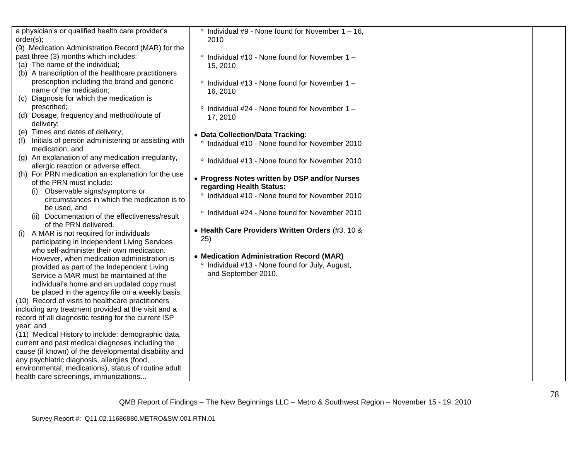| a physician's or qualified health care provider's         | $\degree$ Individual #9 - None found for November 1 - 16,  |  |
|-----------------------------------------------------------|------------------------------------------------------------|--|
| order(s);                                                 | 2010                                                       |  |
| (9) Medication Administration Record (MAR) for the        |                                                            |  |
| past three (3) months which includes:                     | $\degree$ Individual #10 - None found for November 1 -     |  |
| (a) The name of the individual;                           | 15, 2010                                                   |  |
| (b) A transcription of the healthcare practitioners       |                                                            |  |
| prescription including the brand and generic              | $\degree$ Individual #13 - None found for November 1 -     |  |
| name of the medication;                                   | 16, 2010                                                   |  |
| Diagnosis for which the medication is<br>(C)              |                                                            |  |
| prescribed;                                               | $\degree$ Individual #24 - None found for November 1 -     |  |
| (d) Dosage, frequency and method/route of                 | 17, 2010                                                   |  |
| delivery;                                                 |                                                            |  |
| (e) Times and dates of delivery;                          | • Data Collection/Data Tracking:                           |  |
| Initials of person administering or assisting with<br>(f) | ° Individual #10 - None found for November 2010            |  |
| medication; and                                           |                                                            |  |
| (g) An explanation of any medication irregularity,        |                                                            |  |
| allergic reaction or adverse effect.                      | <sup>o</sup> Individual #13 - None found for November 2010 |  |
| (h) For PRN medication an explanation for the use         |                                                            |  |
| of the PRN must include:                                  | • Progress Notes written by DSP and/or Nurses              |  |
| Observable signs/symptoms or                              | regarding Health Status:                                   |  |
| circumstances in which the medication is to               | ° Individual #10 - None found for November 2010            |  |
| be used, and                                              |                                                            |  |
| (ii) Documentation of the effectiveness/result            | <sup>o</sup> Individual #24 - None found for November 2010 |  |
| of the PRN delivered.                                     |                                                            |  |
| A MAR is not required for individuals<br>(i)              | • Health Care Providers Written Orders (#3, 10 &           |  |
| participating in Independent Living Services              | 25)                                                        |  |
| who self-administer their own medication.                 |                                                            |  |
| However, when medication administration is                | • Medication Administration Record (MAR)                   |  |
| provided as part of the Independent Living                | ° Individual #13 - None found for July, August,            |  |
| Service a MAR must be maintained at the                   | and September 2010.                                        |  |
| individual's home and an updated copy must                |                                                            |  |
| be placed in the agency file on a weekly basis.           |                                                            |  |
| (10) Record of visits to healthcare practitioners         |                                                            |  |
| including any treatment provided at the visit and a       |                                                            |  |
| record of all diagnostic testing for the current ISP      |                                                            |  |
| year; and                                                 |                                                            |  |
| (11) Medical History to include: demographic data,        |                                                            |  |
| current and past medical diagnoses including the          |                                                            |  |
| cause (if known) of the developmental disability and      |                                                            |  |
| any psychiatric diagnosis, allergies (food,               |                                                            |  |
| environmental, medications), status of routine adult      |                                                            |  |
| health care screenings, immunizations                     |                                                            |  |
|                                                           |                                                            |  |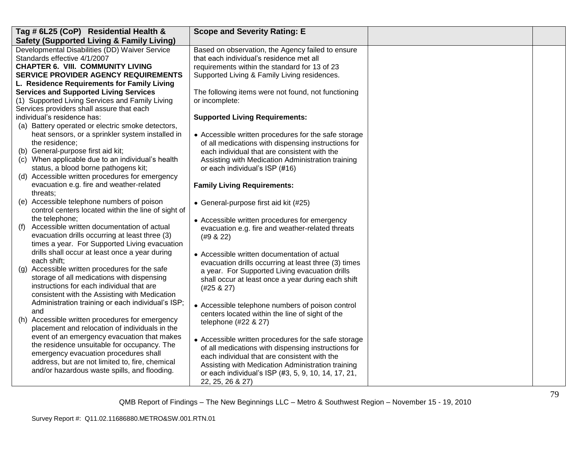| Tag # 6L25 (CoP) Residential Health &                        | <b>Scope and Severity Rating: E</b>                                                                         |  |
|--------------------------------------------------------------|-------------------------------------------------------------------------------------------------------------|--|
| <b>Safety (Supported Living &amp; Family Living)</b>         |                                                                                                             |  |
| Developmental Disabilities (DD) Waiver Service               | Based on observation, the Agency failed to ensure                                                           |  |
| Standards effective 4/1/2007                                 | that each individual's residence met all                                                                    |  |
| <b>CHAPTER 6. VIII. COMMUNITY LIVING</b>                     | requirements within the standard for 13 of 23                                                               |  |
| <b>SERVICE PROVIDER AGENCY REQUIREMENTS</b>                  | Supported Living & Family Living residences.                                                                |  |
| L. Residence Requirements for Family Living                  |                                                                                                             |  |
| <b>Services and Supported Living Services</b>                | The following items were not found, not functioning                                                         |  |
| (1) Supported Living Services and Family Living              | or incomplete:                                                                                              |  |
| Services providers shall assure that each                    |                                                                                                             |  |
| individual's residence has:                                  | <b>Supported Living Requirements:</b>                                                                       |  |
| (a) Battery operated or electric smoke detectors,            |                                                                                                             |  |
| heat sensors, or a sprinkler system installed in             | • Accessible written procedures for the safe storage                                                        |  |
| the residence;                                               | of all medications with dispensing instructions for                                                         |  |
| (b) General-purpose first aid kit;                           | each individual that are consistent with the                                                                |  |
| (c) When applicable due to an individual's health            | Assisting with Medication Administration training                                                           |  |
| status, a blood borne pathogens kit;                         | or each individual's ISP (#16)                                                                              |  |
| Accessible written procedures for emergency<br>(d)           |                                                                                                             |  |
| evacuation e.g. fire and weather-related                     | <b>Family Living Requirements:</b>                                                                          |  |
| threats:                                                     |                                                                                                             |  |
| (e) Accessible telephone numbers of poison                   | • General-purpose first aid kit (#25)                                                                       |  |
| control centers located within the line of sight of          |                                                                                                             |  |
| the telephone;<br>Accessible written documentation of actual | • Accessible written procedures for emergency                                                               |  |
| (f)<br>evacuation drills occurring at least three (3)        | evacuation e.g. fire and weather-related threats                                                            |  |
| times a year. For Supported Living evacuation                | (49 & 22)                                                                                                   |  |
| drills shall occur at least once a year during               |                                                                                                             |  |
| each shift;                                                  | • Accessible written documentation of actual                                                                |  |
| Accessible written procedures for the safe<br>(g)            | evacuation drills occurring at least three (3) times                                                        |  |
| storage of all medications with dispensing                   | a year. For Supported Living evacuation drills                                                              |  |
| instructions for each individual that are                    | shall occur at least once a year during each shift                                                          |  |
| consistent with the Assisting with Medication                | (#25 & 27)                                                                                                  |  |
| Administration training or each individual's ISP;            |                                                                                                             |  |
| and                                                          | • Accessible telephone numbers of poison control                                                            |  |
| (h) Accessible written procedures for emergency              | centers located within the line of sight of the                                                             |  |
| placement and relocation of individuals in the               | telephone (#22 & 27)                                                                                        |  |
| event of an emergency evacuation that makes                  |                                                                                                             |  |
| the residence unsuitable for occupancy. The                  | • Accessible written procedures for the safe storage<br>of all medications with dispensing instructions for |  |
| emergency evacuation procedures shall                        |                                                                                                             |  |
| address, but are not limited to, fire, chemical              | each individual that are consistent with the<br>Assisting with Medication Administration training           |  |
| and/or hazardous waste spills, and flooding.                 | or each individual's ISP (#3, 5, 9, 10, 14, 17, 21,                                                         |  |
|                                                              | 22, 25, 26 & 27)                                                                                            |  |
|                                                              |                                                                                                             |  |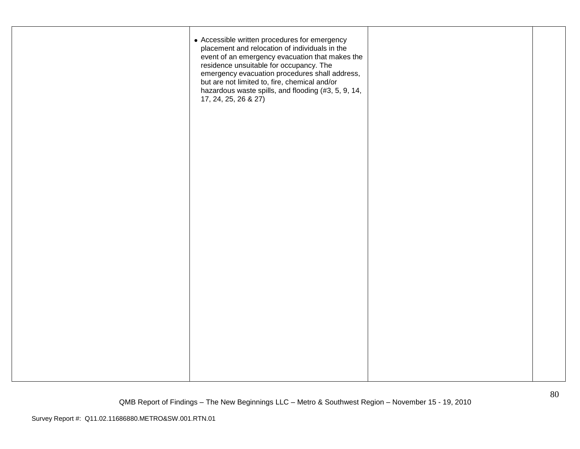| • Accessible written procedures for emergency<br>placement and relocation of individuals in the<br>event of an emergency evacuation that makes the<br>residence unsuitable for occupancy. The<br>emergency evacuation procedures shall address,<br>but are not limited to, fire, chemical and/or<br>hazardous waste spills, and flooding (#3, 5, 9, 14,<br>17, 24, 25, 26 & 27) |  |
|---------------------------------------------------------------------------------------------------------------------------------------------------------------------------------------------------------------------------------------------------------------------------------------------------------------------------------------------------------------------------------|--|
|                                                                                                                                                                                                                                                                                                                                                                                 |  |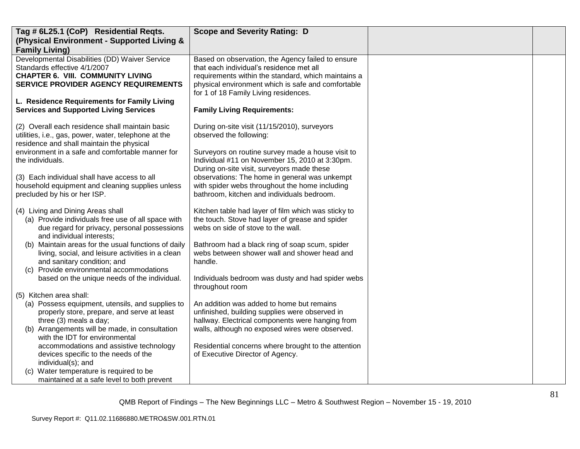| Tag # 6L25.1 (CoP) Residential Reqts.                                                           | <b>Scope and Severity Rating: D</b>                                                           |  |
|-------------------------------------------------------------------------------------------------|-----------------------------------------------------------------------------------------------|--|
| (Physical Environment - Supported Living &                                                      |                                                                                               |  |
| <b>Family Living)</b>                                                                           |                                                                                               |  |
| Developmental Disabilities (DD) Waiver Service<br>Standards effective 4/1/2007                  | Based on observation, the Agency failed to ensure<br>that each individual's residence met all |  |
| <b>CHAPTER 6. VIII. COMMUNITY LIVING</b>                                                        | requirements within the standard, which maintains a                                           |  |
| SERVICE PROVIDER AGENCY REQUIREMENTS                                                            | physical environment which is safe and comfortable                                            |  |
|                                                                                                 | for 1 of 18 Family Living residences.                                                         |  |
| L. Residence Requirements for Family Living                                                     |                                                                                               |  |
| <b>Services and Supported Living Services</b>                                                   | <b>Family Living Requirements:</b>                                                            |  |
| (2) Overall each residence shall maintain basic                                                 | During on-site visit (11/15/2010), surveyors                                                  |  |
| utilities, i.e., gas, power, water, telephone at the                                            | observed the following:                                                                       |  |
| residence and shall maintain the physical                                                       |                                                                                               |  |
| environment in a safe and comfortable manner for                                                | Surveyors on routine survey made a house visit to                                             |  |
| the individuals.                                                                                | Individual #11 on November 15, 2010 at 3:30pm.<br>During on-site visit, surveyors made these  |  |
| (3) Each individual shall have access to all                                                    | observations: The home in general was unkempt                                                 |  |
| household equipment and cleaning supplies unless                                                | with spider webs throughout the home including                                                |  |
| precluded by his or her ISP.                                                                    | bathroom, kitchen and individuals bedroom.                                                    |  |
|                                                                                                 |                                                                                               |  |
| (4) Living and Dining Areas shall                                                               | Kitchen table had layer of film which was sticky to                                           |  |
| (a) Provide individuals free use of all space with                                              | the touch. Stove had layer of grease and spider                                               |  |
| due regard for privacy, personal possessions<br>and individual interests;                       | webs on side of stove to the wall.                                                            |  |
| (b) Maintain areas for the usual functions of daily                                             | Bathroom had a black ring of soap scum, spider                                                |  |
| living, social, and leisure activities in a clean                                               | webs between shower wall and shower head and                                                  |  |
| and sanitary condition; and                                                                     | handle.                                                                                       |  |
| (c) Provide environmental accommodations                                                        |                                                                                               |  |
| based on the unique needs of the individual.                                                    | Individuals bedroom was dusty and had spider webs                                             |  |
|                                                                                                 | throughout room                                                                               |  |
| (5) Kitchen area shall:                                                                         |                                                                                               |  |
| (a) Possess equipment, utensils, and supplies to<br>properly store, prepare, and serve at least | An addition was added to home but remains<br>unfinished, building supplies were observed in   |  |
| three (3) meals a day;                                                                          | hallway. Electrical components were hanging from                                              |  |
| (b) Arrangements will be made, in consultation                                                  | walls, although no exposed wires were observed.                                               |  |
| with the IDT for environmental                                                                  |                                                                                               |  |
| accommodations and assistive technology                                                         | Residential concerns where brought to the attention                                           |  |
| devices specific to the needs of the                                                            | of Executive Director of Agency.                                                              |  |
| individual(s); and                                                                              |                                                                                               |  |
| (c) Water temperature is required to be                                                         |                                                                                               |  |
| maintained at a safe level to both prevent                                                      |                                                                                               |  |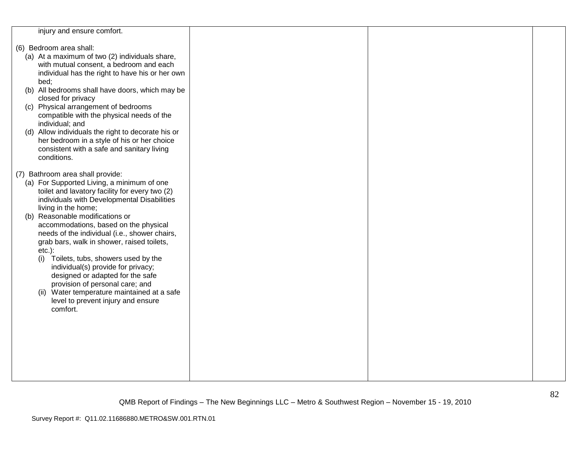| injury and ensure comfort.                                                                                                                                                                                                                                                                                                                                                                                                                                                                                                                                                                                                                                |  |  |
|-----------------------------------------------------------------------------------------------------------------------------------------------------------------------------------------------------------------------------------------------------------------------------------------------------------------------------------------------------------------------------------------------------------------------------------------------------------------------------------------------------------------------------------------------------------------------------------------------------------------------------------------------------------|--|--|
| (6) Bedroom area shall:<br>(a) At a maximum of two (2) individuals share,<br>with mutual consent, a bedroom and each<br>individual has the right to have his or her own<br>bed;<br>(b) All bedrooms shall have doors, which may be<br>closed for privacy<br>(c) Physical arrangement of bedrooms<br>compatible with the physical needs of the<br>individual; and<br>(d) Allow individuals the right to decorate his or<br>her bedroom in a style of his or her choice<br>consistent with a safe and sanitary living<br>conditions.                                                                                                                        |  |  |
| (7) Bathroom area shall provide:<br>(a) For Supported Living, a minimum of one<br>toilet and lavatory facility for every two (2)<br>individuals with Developmental Disabilities<br>living in the home;<br>(b) Reasonable modifications or<br>accommodations, based on the physical<br>needs of the individual (i.e., shower chairs,<br>grab bars, walk in shower, raised toilets,<br>$etc.$ ):<br>Toilets, tubs, showers used by the<br>(i)<br>individual(s) provide for privacy;<br>designed or adapted for the safe<br>provision of personal care; and<br>(ii) Water temperature maintained at a safe<br>level to prevent injury and ensure<br>comfort. |  |  |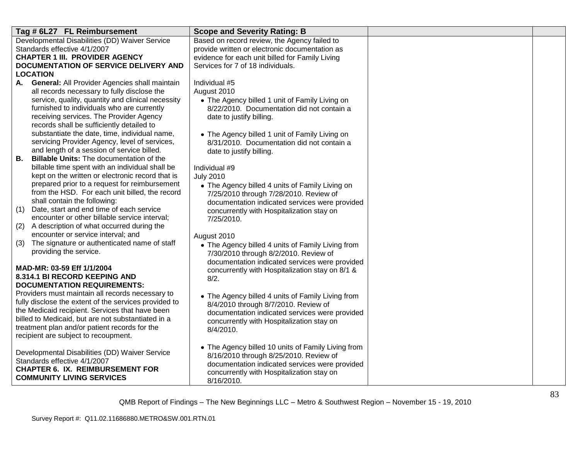| Tag # 6L27 FL Reimbursement                                                           | <b>Scope and Severity Rating: B</b>                                                          |  |
|---------------------------------------------------------------------------------------|----------------------------------------------------------------------------------------------|--|
| Developmental Disabilities (DD) Waiver Service                                        | Based on record review, the Agency failed to                                                 |  |
| Standards effective 4/1/2007                                                          | provide written or electronic documentation as                                               |  |
| <b>CHAPTER 1 III. PROVIDER AGENCY</b>                                                 | evidence for each unit billed for Family Living                                              |  |
| DOCUMENTATION OF SERVICE DELIVERY AND                                                 | Services for 7 of 18 individuals.                                                            |  |
| <b>LOCATION</b>                                                                       |                                                                                              |  |
| A. General: All Provider Agencies shall maintain                                      | Individual #5                                                                                |  |
| all records necessary to fully disclose the                                           | August 2010                                                                                  |  |
| service, quality, quantity and clinical necessity                                     | • The Agency billed 1 unit of Family Living on                                               |  |
| furnished to individuals who are currently<br>receiving services. The Provider Agency | 8/22/2010. Documentation did not contain a                                                   |  |
| records shall be sufficiently detailed to                                             | date to justify billing.                                                                     |  |
| substantiate the date, time, individual name,                                         |                                                                                              |  |
| servicing Provider Agency, level of services,                                         | • The Agency billed 1 unit of Family Living on<br>8/31/2010. Documentation did not contain a |  |
| and length of a session of service billed.                                            | date to justify billing.                                                                     |  |
| Billable Units: The documentation of the<br>В.                                        |                                                                                              |  |
| billable time spent with an individual shall be                                       | Individual #9                                                                                |  |
| kept on the written or electronic record that is                                      | <b>July 2010</b>                                                                             |  |
| prepared prior to a request for reimbursement                                         | • The Agency billed 4 units of Family Living on                                              |  |
| from the HSD. For each unit billed, the record                                        | 7/25/2010 through 7/28/2010. Review of                                                       |  |
| shall contain the following:                                                          | documentation indicated services were provided                                               |  |
| Date, start and end time of each service<br>(1)                                       | concurrently with Hospitalization stay on                                                    |  |
| encounter or other billable service interval;                                         | 7/25/2010.                                                                                   |  |
| (2)<br>A description of what occurred during the                                      |                                                                                              |  |
| encounter or service interval; and                                                    | August 2010                                                                                  |  |
| The signature or authenticated name of staff<br>(3)                                   | • The Agency billed 4 units of Family Living from                                            |  |
| providing the service.                                                                | 7/30/2010 through 8/2/2010. Review of                                                        |  |
| MAD-MR: 03-59 Eff 1/1/2004                                                            | documentation indicated services were provided                                               |  |
| 8.314.1 BI RECORD KEEPING AND                                                         | concurrently with Hospitalization stay on 8/1 &                                              |  |
| <b>DOCUMENTATION REQUIREMENTS:</b>                                                    | 8/2.                                                                                         |  |
| Providers must maintain all records necessary to                                      | • The Agency billed 4 units of Family Living from                                            |  |
| fully disclose the extent of the services provided to                                 | 8/4/2010 through 8/7/2010. Review of                                                         |  |
| the Medicaid recipient. Services that have been                                       | documentation indicated services were provided                                               |  |
| billed to Medicaid, but are not substantiated in a                                    | concurrently with Hospitalization stay on                                                    |  |
| treatment plan and/or patient records for the                                         | 8/4/2010.                                                                                    |  |
| recipient are subject to recoupment.                                                  |                                                                                              |  |
|                                                                                       | • The Agency billed 10 units of Family Living from                                           |  |
| Developmental Disabilities (DD) Waiver Service                                        | 8/16/2010 through 8/25/2010. Review of                                                       |  |
| Standards effective 4/1/2007                                                          | documentation indicated services were provided                                               |  |
| <b>CHAPTER 6. IX. REIMBURSEMENT FOR</b>                                               | concurrently with Hospitalization stay on                                                    |  |
| <b>COMMUNITY LIVING SERVICES</b>                                                      | 8/16/2010.                                                                                   |  |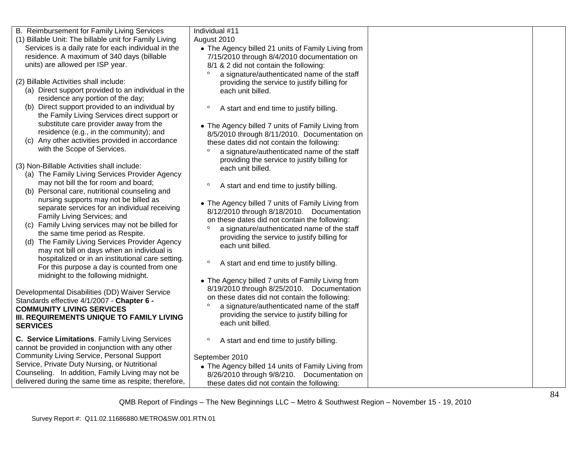| B. Reimbursement for Family Living Services                                                                   | Individual #11                                                                                    |  |
|---------------------------------------------------------------------------------------------------------------|---------------------------------------------------------------------------------------------------|--|
| (1) Billable Unit: The billable unit for Family Living<br>Services is a daily rate for each individual in the | August 2010                                                                                       |  |
| residence. A maximum of 340 days (billable                                                                    | • The Agency billed 21 units of Family Living from<br>7/15/2010 through 8/4/2010 documentation on |  |
| units) are allowed per ISP year.                                                                              | 8/1 & 2 did not contain the following:                                                            |  |
|                                                                                                               | $\circ$<br>a signature/authenticated name of the staff                                            |  |
| (2) Billable Activities shall include:                                                                        | providing the service to justify billing for                                                      |  |
| (a) Direct support provided to an individual in the                                                           | each unit billed.                                                                                 |  |
| residence any portion of the day;                                                                             |                                                                                                   |  |
| Direct support provided to an individual by<br>(b)                                                            | $\circ$<br>A start and end time to justify billing.                                               |  |
| the Family Living Services direct support or                                                                  |                                                                                                   |  |
| substitute care provider away from the                                                                        | • The Agency billed 7 units of Family Living from                                                 |  |
| residence (e.g., in the community); and                                                                       | 8/5/2010 through 8/11/2010. Documentation on                                                      |  |
| (c) Any other activities provided in accordance                                                               | these dates did not contain the following:                                                        |  |
| with the Scope of Services.                                                                                   | $\circ$<br>a signature/authenticated name of the staff                                            |  |
| (3) Non-Billable Activities shall include:                                                                    | providing the service to justify billing for                                                      |  |
| (a) The Family Living Services Provider Agency                                                                | each unit billed.                                                                                 |  |
| may not bill the for room and board;                                                                          | $\circ$<br>A start and end time to justify billing.                                               |  |
| (b) Personal care, nutritional counseling and                                                                 |                                                                                                   |  |
| nursing supports may not be billed as                                                                         | • The Agency billed 7 units of Family Living from                                                 |  |
| separate services for an individual receiving                                                                 | 8/12/2010 through 8/18/2010. Documentation                                                        |  |
| Family Living Services; and                                                                                   | on these dates did not contain the following:                                                     |  |
| (c) Family Living services may not be billed for                                                              | $\circ$<br>a signature/authenticated name of the staff                                            |  |
| the same time period as Respite.                                                                              | providing the service to justify billing for                                                      |  |
| (d) The Family Living Services Provider Agency<br>may not bill on days when an individual is                  | each unit billed.                                                                                 |  |
| hospitalized or in an institutional care setting.                                                             |                                                                                                   |  |
| For this purpose a day is counted from one                                                                    | $\circ$<br>A start and end time to justify billing.                                               |  |
| midnight to the following midnight.                                                                           |                                                                                                   |  |
|                                                                                                               | • The Agency billed 7 units of Family Living from                                                 |  |
| Developmental Disabilities (DD) Waiver Service                                                                | 8/19/2010 through 8/25/2010. Documentation<br>on these dates did not contain the following:       |  |
| Standards effective 4/1/2007 - Chapter 6 -                                                                    | a signature/authenticated name of the staff                                                       |  |
| <b>COMMUNITY LIVING SERVICES</b>                                                                              | providing the service to justify billing for                                                      |  |
| III. REQUIREMENTS UNIQUE TO FAMILY LIVING                                                                     | each unit billed.                                                                                 |  |
| <b>SERVICES</b>                                                                                               |                                                                                                   |  |
| C. Service Limitations. Family Living Services                                                                | $\circ$<br>A start and end time to justify billing.                                               |  |
| cannot be provided in conjunction with any other                                                              |                                                                                                   |  |
| <b>Community Living Service, Personal Support</b>                                                             | September 2010                                                                                    |  |
| Service, Private Duty Nursing, or Nutritional                                                                 | • The Agency billed 14 units of Family Living from                                                |  |
| Counseling. In addition, Family Living may not be<br>delivered during the same time as respite; therefore,    | 8/26/2010 through 9/8/210. Documentation on                                                       |  |
|                                                                                                               | these dates did not contain the following:                                                        |  |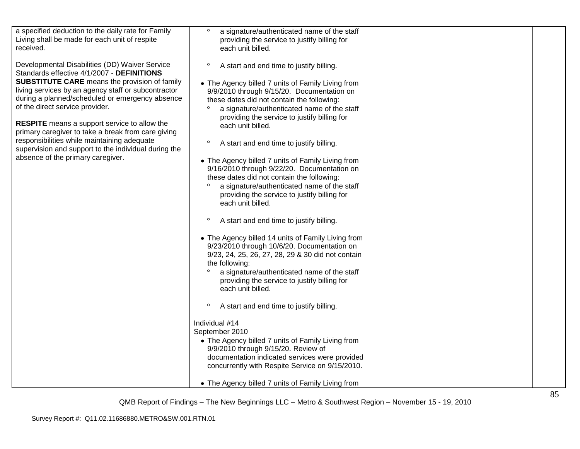| a specified deduction to the daily rate for Family<br>Living shall be made for each unit of respite<br>received.<br>Developmental Disabilities (DD) Waiver Service<br>Standards effective 4/1/2007 - DEFINITIONS<br><b>SUBSTITUTE CARE</b> means the provision of family<br>living services by an agency staff or subcontractor<br>during a planned/scheduled or emergency absence<br>of the direct service provider.<br><b>RESPITE</b> means a support service to allow the<br>primary caregiver to take a break from care giving<br>responsibilities while maintaining adequate<br>supervision and support to the individual during the<br>absence of the primary caregiver. | $\circ$<br>a signature/authenticated name of the staff<br>providing the service to justify billing for<br>each unit billed.<br>$\circ$<br>A start and end time to justify billing.<br>• The Agency billed 7 units of Family Living from<br>9/9/2010 through 9/15/20. Documentation on<br>these dates did not contain the following:<br>a signature/authenticated name of the staff<br>$\circ$<br>providing the service to justify billing for<br>each unit billed.<br>$\circ$<br>A start and end time to justify billing.<br>• The Agency billed 7 units of Family Living from<br>9/16/2010 through 9/22/20. Documentation on<br>these dates did not contain the following:<br>a signature/authenticated name of the staff |  |
|--------------------------------------------------------------------------------------------------------------------------------------------------------------------------------------------------------------------------------------------------------------------------------------------------------------------------------------------------------------------------------------------------------------------------------------------------------------------------------------------------------------------------------------------------------------------------------------------------------------------------------------------------------------------------------|----------------------------------------------------------------------------------------------------------------------------------------------------------------------------------------------------------------------------------------------------------------------------------------------------------------------------------------------------------------------------------------------------------------------------------------------------------------------------------------------------------------------------------------------------------------------------------------------------------------------------------------------------------------------------------------------------------------------------|--|
|                                                                                                                                                                                                                                                                                                                                                                                                                                                                                                                                                                                                                                                                                | providing the service to justify billing for<br>each unit billed.<br>$\circ$<br>A start and end time to justify billing.                                                                                                                                                                                                                                                                                                                                                                                                                                                                                                                                                                                                   |  |
|                                                                                                                                                                                                                                                                                                                                                                                                                                                                                                                                                                                                                                                                                | • The Agency billed 14 units of Family Living from<br>9/23/2010 through 10/6/20. Documentation on<br>9/23, 24, 25, 26, 27, 28, 29 & 30 did not contain<br>the following:<br>$\circ$<br>a signature/authenticated name of the staff<br>providing the service to justify billing for<br>each unit billed.                                                                                                                                                                                                                                                                                                                                                                                                                    |  |
|                                                                                                                                                                                                                                                                                                                                                                                                                                                                                                                                                                                                                                                                                | $\circ$<br>A start and end time to justify billing.                                                                                                                                                                                                                                                                                                                                                                                                                                                                                                                                                                                                                                                                        |  |
|                                                                                                                                                                                                                                                                                                                                                                                                                                                                                                                                                                                                                                                                                | Individual #14<br>September 2010                                                                                                                                                                                                                                                                                                                                                                                                                                                                                                                                                                                                                                                                                           |  |
|                                                                                                                                                                                                                                                                                                                                                                                                                                                                                                                                                                                                                                                                                | • The Agency billed 7 units of Family Living from<br>9/9/2010 through 9/15/20. Review of<br>documentation indicated services were provided<br>concurrently with Respite Service on 9/15/2010.                                                                                                                                                                                                                                                                                                                                                                                                                                                                                                                              |  |
|                                                                                                                                                                                                                                                                                                                                                                                                                                                                                                                                                                                                                                                                                | • The Agency billed 7 units of Family Living from                                                                                                                                                                                                                                                                                                                                                                                                                                                                                                                                                                                                                                                                          |  |